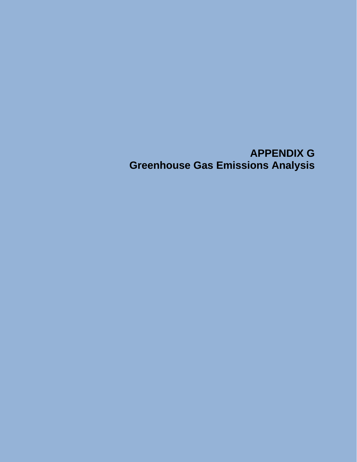## **APPENDIX G Greenhouse Gas Emissions Analysis**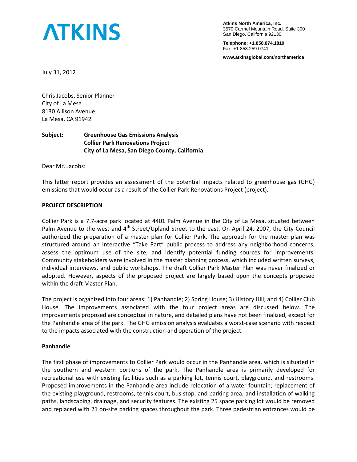# **ATKINS**

**Atkins North America, Inc.**  3570 Carmel Mountain Road, Suite 300 San Diego, California 92130

**Telephone: +1.858.874.1810**  Fax: +1.858.259.0741

**www.atkinsglobal.com/northamerica** 

July 31, 2012

Chris Jacobs, Senior Planner City of La Mesa 8130 Allison Avenue La Mesa, CA 91942

#### **Subject: Greenhouse Gas Emissions Analysis Collier Park Renovations Project City of La Mesa, San Diego County, California**

Dear Mr. Jacobs:

This letter report provides an assessment of the potential impacts related to greenhouse gas (GHG) emissions that would occur as a result of the Collier Park Renovations Project (project).

#### **PROJECT DESCRIPTION**

Collier Park is a 7.7-acre park located at 4401 Palm Avenue in the City of La Mesa, situated between Palm Avenue to the west and 4<sup>th</sup> Street/Upland Street to the east. On April 24, 2007, the City Council authorized the preparation of a master plan for Collier Park. The approach for the master plan was structured around an interactive "Take Part" public process to address any neighborhood concerns, assess the optimum use of the site, and identify potential funding sources for improvements. Community stakeholders were involved in the master planning process, which included written surveys, individual interviews, and public workshops. The draft Collier Park Master Plan was never finalized or adopted. However, aspects of the proposed project are largely based upon the concepts proposed within the draft Master Plan.

The project is organized into four areas: 1) Panhandle; 2) Spring House; 3) History Hill; and 4) Collier Club House. The improvements associated with the four project areas are discussed below. The improvements proposed are conceptual in nature, and detailed plans have not been finalized, except for the Panhandle area of the park. The GHG emission analysis evaluates a worst-case scenario with respect to the impacts associated with the construction and operation of the project.

#### **Panhandle**

The first phase of improvements to Collier Park would occur in the Panhandle area, which is situated in the southern and western portions of the park. The Panhandle area is primarily developed for recreational use with existing facilities such as a parking lot, tennis court, playground, and restrooms. Proposed improvements in the Panhandle area include relocation of a water fountain; replacement of the existing playground, restrooms, tennis court, bus stop, and parking area; and installation of walking paths, landscaping, drainage, and security features. The existing 25 space parking lot would be removed and replaced with 21 on-site parking spaces throughout the park. Three pedestrian entrances would be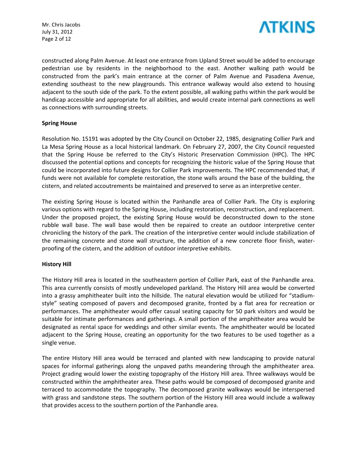Mr. Chris Jacobs July 31, 2012 Page 2 of 12



constructed along Palm Avenue. At least one entrance from Upland Street would be added to encourage pedestrian use by residents in the neighborhood to the east. Another walking path would be constructed from the park's main entrance at the corner of Palm Avenue and Pasadena Avenue, extending southeast to the new playgrounds. This entrance walkway would also extend to housing adjacent to the south side of the park. To the extent possible, all walking paths within the park would be handicap accessible and appropriate for all abilities, and would create internal park connections as well as connections with surrounding streets.

#### **Spring House**

Resolution No. 15191 was adopted by the City Council on October 22, 1985, designating Collier Park and La Mesa Spring House as a local historical landmark. On February 27, 2007, the City Council requested that the Spring House be referred to the City's Historic Preservation Commission (HPC). The HPC discussed the potential options and concepts for recognizing the historic value of the Spring House that could be incorporated into future designs for Collier Park improvements. The HPC recommended that, if funds were not available for complete restoration, the stone walls around the base of the building, the cistern, and related accoutrements be maintained and preserved to serve as an interpretive center.

The existing Spring House is located within the Panhandle area of Collier Park. The City is exploring various options with regard to the Spring House, including restoration, reconstruction, and replacement. Under the proposed project, the existing Spring House would be deconstructed down to the stone rubble wall base. The wall base would then be repaired to create an outdoor interpretive center chronicling the history of the park. The creation of the interpretive center would include stabilization of the remaining concrete and stone wall structure, the addition of a new concrete floor finish, waterproofing of the cistern, and the addition of outdoor interpretive exhibits.

#### **History Hill**

The History Hill area is located in the southeastern portion of Collier Park, east of the Panhandle area. This area currently consists of mostly undeveloped parkland. The History Hill area would be converted into a grassy amphitheater built into the hillside. The natural elevation would be utilized for "stadiumstyle" seating composed of pavers and decomposed granite, fronted by a flat area for recreation or performances. The amphitheater would offer casual seating capacity for 50 park visitors and would be suitable for intimate performances and gatherings. A small portion of the amphitheater area would be designated as rental space for weddings and other similar events. The amphitheater would be located adjacent to the Spring House, creating an opportunity for the two features to be used together as a single venue.

The entire History Hill area would be terraced and planted with new landscaping to provide natural spaces for informal gatherings along the unpaved paths meandering through the amphitheater area. Project grading would lower the existing topography of the History Hill area. Three walkways would be constructed within the amphitheater area. These paths would be composed of decomposed granite and terraced to accommodate the topography. The decomposed granite walkways would be interspersed with grass and sandstone steps. The southern portion of the History Hill area would include a walkway that provides access to the southern portion of the Panhandle area.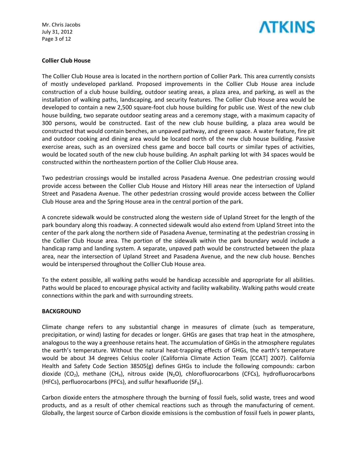Mr. Chris Jacobs July 31, 2012 Page 3 of 12



#### **Collier Club House**

The Collier Club House area is located in the northern portion of Collier Park. This area currently consists of mostly undeveloped parkland. Proposed improvements in the Collier Club House area include construction of a club house building, outdoor seating areas, a plaza area, and parking, as well as the installation of walking paths, landscaping, and security features. The Collier Club House area would be developed to contain a new 2,500 square-foot club house building for public use. West of the new club house building, two separate outdoor seating areas and a ceremony stage, with a maximum capacity of 300 persons, would be constructed. East of the new club house building, a plaza area would be constructed that would contain benches, an unpaved pathway, and green space. A water feature, fire pit and outdoor cooking and dining area would be located north of the new club house building. Passive exercise areas, such as an oversized chess game and bocce ball courts or similar types of activities, would be located south of the new club house building. An asphalt parking lot with 34 spaces would be constructed within the northeastern portion of the Collier Club House area.

Two pedestrian crossings would be installed across Pasadena Avenue. One pedestrian crossing would provide access between the Collier Club House and History Hill areas near the intersection of Upland Street and Pasadena Avenue. The other pedestrian crossing would provide access between the Collier Club House area and the Spring House area in the central portion of the park.

A concrete sidewalk would be constructed along the western side of Upland Street for the length of the park boundary along this roadway. A connected sidewalk would also extend from Upland Street into the center of the park along the northern side of Pasadena Avenue, terminating at the pedestrian crossing in the Collier Club House area. The portion of the sidewalk within the park boundary would include a handicap ramp and landing system. A separate, unpaved path would be constructed between the plaza area, near the intersection of Upland Street and Pasadena Avenue, and the new club house. Benches would be interspersed throughout the Collier Club House area.

To the extent possible, all walking paths would be handicap accessible and appropriate for all abilities. Paths would be placed to encourage physical activity and facility walkability. Walking paths would create connections within the park and with surrounding streets.

#### **BACKGROUND**

Climate change refers to any substantial change in measures of climate (such as temperature, precipitation, or wind) lasting for decades or longer. GHGs are gases that trap heat in the atmosphere, analogous to the way a greenhouse retains heat. The accumulation of GHGs in the atmosphere regulates the earth's temperature. Without the natural heat-trapping effects of GHGs, the earth's temperature would be about 34 degrees Celsius cooler (California Climate Action Team [CCAT] 2007). California Health and Safety Code Section 38505(g) defines GHGs to include the following compounds: carbon dioxide (CO<sub>2</sub>), methane (CH<sub>4</sub>), nitrous oxide (N<sub>2</sub>O), chlorofluorocarbons (CFCs), hydrofluorocarbons (HFCs), perfluorocarbons (PFCs), and sulfur hexafluoride (SF $_6$ ).

Carbon dioxide enters the atmosphere through the burning of fossil fuels, solid waste, trees and wood products, and as a result of other chemical reactions such as through the manufacturing of cement. Globally, the largest source of Carbon dioxide emissions is the combustion of fossil fuels in power plants,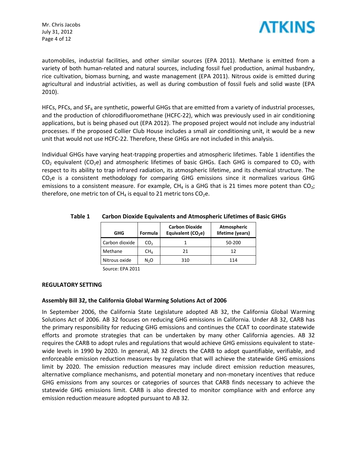Mr. Chris Jacobs July 31, 2012 Page 4 of 12



automobiles, industrial facilities, and other similar sources (EPA 2011). Methane is emitted from a variety of both human-related and natural sources, including fossil fuel production, animal husbandry, rice cultivation, biomass burning, and waste management (EPA 2011). Nitrous oxide is emitted during agricultural and industrial activities, as well as during combustion of fossil fuels and solid waste (EPA 2010).

HFCs, PFCs, and  $SF<sub>6</sub>$  are synthetic, powerful GHGs that are emitted from a variety of industrial processes, and the production of chlorodifluoromethane (HCFC-22), which was previously used in air conditioning applications, but is being phased out (EPA 2012). The proposed project would not include any industrial processes. If the proposed Collier Club House includes a small air conditioning unit, it would be a new unit that would not use HCFC-22. Therefore, these GHGs are not included in this analysis.

Individual GHGs have varying heat-trapping properties and atmospheric lifetimes. Table 1 identifies the  $CO<sub>2</sub>$  equivalent (CO<sub>2</sub>e) and atmospheric lifetimes of basic GHGs. Each GHG is compared to  $CO<sub>2</sub>$  with respect to its ability to trap infrared radiation, its atmospheric lifetime, and its chemical structure. The  $CO<sub>2</sub>e$  is a consistent methodology for comparing GHG emissions since it normalizes various GHG emissions to a consistent measure. For example, CH<sub>4</sub> is a GHG that is 21 times more potent than CO<sub>2</sub>; therefore, one metric ton of  $CH_4$  is equal to 21 metric tons  $CO_2$ e.

| GHG            | <b>Formula</b>   | <b>Carbon Dioxide</b><br>Equivalent (CO <sub>2</sub> e) | <b>Atmospheric</b><br>lifetime (years) |
|----------------|------------------|---------------------------------------------------------|----------------------------------------|
| Carbon dioxide | CO <sub>2</sub>  |                                                         | 50-200                                 |
| Methane        | CH <sub>A</sub>  | 21                                                      | 12                                     |
| Nitrous oxide  | N <sub>2</sub> O | 310                                                     | 114                                    |

#### **Table 1 Carbon Dioxide Equivalents and Atmospheric Lifetimes of Basic GHGs**

Source: EPA 2011

#### **REGULATORY SETTING**

#### **Assembly Bill 32, the California Global Warming Solutions Act of 2006**

In September 2006, the California State Legislature adopted AB 32, the California Global Warming Solutions Act of 2006. AB 32 focuses on reducing GHG emissions in California. Under AB 32, CARB has the primary responsibility for reducing GHG emissions and continues the CCAT to coordinate statewide efforts and promote strategies that can be undertaken by many other California agencies. AB 32 requires the CARB to adopt rules and regulations that would achieve GHG emissions equivalent to statewide levels in 1990 by 2020. In general, AB 32 directs the CARB to adopt quantifiable, verifiable, and enforceable emission reduction measures by regulation that will achieve the statewide GHG emissions limit by 2020. The emission reduction measures may include direct emission reduction measures, alternative compliance mechanisms, and potential monetary and non-monetary incentives that reduce GHG emissions from any sources or categories of sources that CARB finds necessary to achieve the statewide GHG emissions limit. CARB is also directed to monitor compliance with and enforce any emission reduction measure adopted pursuant to AB 32.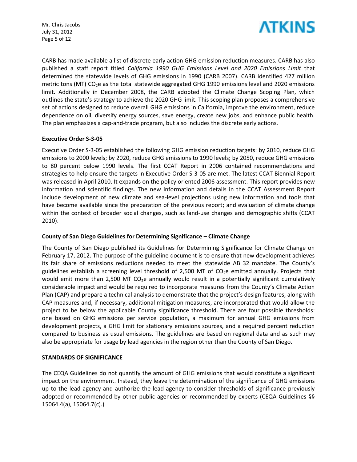Mr. Chris Jacobs July 31, 2012 Page 5 of 12



CARB has made available a list of discrete early action GHG emission reduction measures. CARB has also published a staff report titled *California 1990 GHG Emissions Level and 2020 Emissions Limit* that determined the statewide levels of GHG emissions in 1990 (CARB 2007). CARB identified 427 million metric tons (MT) CO<sub>2</sub>e as the total statewide aggregated GHG 1990 emissions level and 2020 emissions limit. Additionally in December 2008, the CARB adopted the Climate Change Scoping Plan, which outlines the state's strategy to achieve the 2020 GHG limit. This scoping plan proposes a comprehensive set of actions designed to reduce overall GHG emissions in California, improve the environment, reduce dependence on oil, diversify energy sources, save energy, create new jobs, and enhance public health. The plan emphasizes a cap-and-trade program, but also includes the discrete early actions.

#### **Executive Order S-3-05**

Executive Order S-3-05 established the following GHG emission reduction targets: by 2010, reduce GHG emissions to 2000 levels; by 2020, reduce GHG emissions to 1990 levels; by 2050, reduce GHG emissions to 80 percent below 1990 levels. The first CCAT Report in 2006 contained recommendations and strategies to help ensure the targets in Executive Order S-3-05 are met. The latest CCAT Biennial Report was released in April 2010. It expands on the policy oriented 2006 assessment. This report provides new information and scientific findings. The new information and details in the CCAT Assessment Report include development of new climate and sea-level projections using new information and tools that have become available since the preparation of the previous report; and evaluation of climate change within the context of broader social changes, such as land-use changes and demographic shifts (CCAT 2010).

#### **County of San Diego Guidelines for Determining Significance – Climate Change**

The County of San Diego published its Guidelines for Determining Significance for Climate Change on February 17, 2012. The purpose of the guideline document is to ensure that new development achieves its fair share of emissions reductions needed to meet the statewide AB 32 mandate. The County's guidelines establish a screening level threshold of 2,500 MT of  $CO<sub>2</sub>e$  emitted annually. Projects that would emit more than 2,500 MT  $CO<sub>2</sub>e$  annually would result in a potentially significant cumulatively considerable impact and would be required to incorporate measures from the County's Climate Action Plan (CAP) and prepare a technical analysis to demonstrate that the project's design features, along with CAP measures and, if necessary, additional mitigation measures, are incorporated that would allow the project to be below the applicable County significance threshold. There are four possible thresholds: one based on GHG emissions per service population, a maximum for annual GHG emissions from development projects, a GHG limit for stationary emissions sources, and a required percent reduction compared to business as usual emissions. The guidelines are based on regional data and as such may also be appropriate for usage by lead agencies in the region other than the County of San Diego.

#### **STANDARDS OF SIGNIFICANCE**

The CEQA Guidelines do not quantify the amount of GHG emissions that would constitute a significant impact on the environment. Instead, they leave the determination of the significance of GHG emissions up to the lead agency and authorize the lead agency to consider thresholds of significance previously adopted or recommended by other public agencies or recommended by experts (CEQA Guidelines §§ 15064.4(a), 15064.7(c).)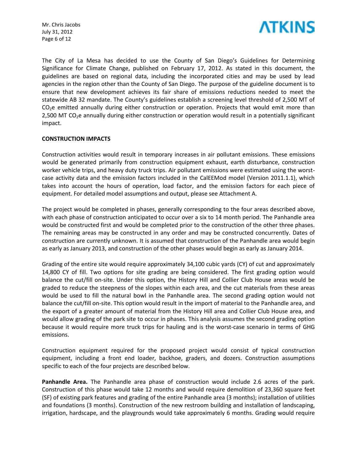Mr. Chris Jacobs July 31, 2012 Page 6 of 12



The City of La Mesa has decided to use the County of San Diego's Guidelines for Determining Significance for Climate Change, published on February 17, 2012. As stated in this document, the guidelines are based on regional data, including the incorporated cities and may be used by lead agencies in the region other than the County of San Diego. The purpose of the guideline document is to ensure that new development achieves its fair share of emissions reductions needed to meet the statewide AB 32 mandate. The County's guidelines establish a screening level threshold of 2,500 MT of  $CO<sub>2</sub>e$  emitted annually during either construction or operation. Projects that would emit more than 2,500 MT CO<sub>2</sub>e annually during either construction or operation would result in a potentially significant impact.

#### **CONSTRUCTION IMPACTS**

Construction activities would result in temporary increases in air pollutant emissions. These emissions would be generated primarily from construction equipment exhaust, earth disturbance, construction worker vehicle trips, and heavy duty truck trips. Air pollutant emissions were estimated using the worstcase activity data and the emission factors included in the CalEEMod model (Version 2011.1.1), which takes into account the hours of operation, load factor, and the emission factors for each piece of equipment. For detailed model assumptions and output, please see Attachment A.

The project would be completed in phases, generally corresponding to the four areas described above, with each phase of construction anticipated to occur over a six to 14 month period. The Panhandle area would be constructed first and would be completed prior to the construction of the other three phases. The remaining areas may be constructed in any order and may be constructed concurrently. Dates of construction are currently unknown. It is assumed that construction of the Panhandle area would begin as early as January 2013, and construction of the other phases would begin as early as January 2014.

Grading of the entire site would require approximately 34,100 cubic yards (CY) of cut and approximately 14,800 CY of fill. Two options for site grading are being considered. The first grading option would balance the cut/fill on-site. Under this option, the History Hill and Collier Club House areas would be graded to reduce the steepness of the slopes within each area, and the cut materials from these areas would be used to fill the natural bowl in the Panhandle area. The second grading option would not balance the cut/fill on-site. This option would result in the import of material to the Panhandle area, and the export of a greater amount of material from the History Hill area and Collier Club House area, and would allow grading of the park site to occur in phases. This analysis assumes the second grading option because it would require more truck trips for hauling and is the worst-case scenario in terms of GHG emissions.

Construction equipment required for the proposed project would consist of typical construction equipment, including a front end loader, backhoe, graders, and dozers. Construction assumptions specific to each of the four projects are described below.

**Panhandle Area.** The Panhandle area phase of construction would include 2.6 acres of the park. Construction of this phase would take 12 months and would require demolition of 23,360 square feet (SF) of existing park features and grading of the entire Panhandle area (3 months); installation of utilities and foundations (3 months). Construction of the new restroom building and installation of landscaping, irrigation, hardscape, and the playgrounds would take approximately 6 months. Grading would require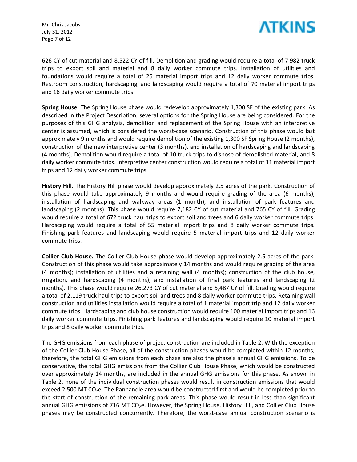Mr. Chris Jacobs July 31, 2012 Page 7 of 12



626 CY of cut material and 8,522 CY of fill. Demolition and grading would require a total of 7,982 truck trips to export soil and material and 8 daily worker commute trips. Installation of utilities and foundations would require a total of 25 material import trips and 12 daily worker commute trips. Restroom construction, hardscaping, and landscaping would require a total of 70 material import trips and 16 daily worker commute trips.

**Spring House.** The Spring House phase would redevelop approximately 1,300 SF of the existing park. As described in the Project Description, several options for the Spring House are being considered. For the purposes of this GHG analysis, demolition and replacement of the Spring House with an interpretive center is assumed, which is considered the worst-case scenario. Construction of this phase would last approximately 9 months and would require demolition of the existing 1,300 SF Spring House (2 months), construction of the new interpretive center (3 months), and installation of hardscaping and landscaping (4 months). Demolition would require a total of 10 truck trips to dispose of demolished material, and 8 daily worker commute trips. Interpretive center construction would require a total of 11 material import trips and 12 daily worker commute trips.

**History Hill.** The History Hill phase would develop approximately 2.5 acres of the park. Construction of this phase would take approximately 9 months and would require grading of the area (6 months), installation of hardscaping and walkway areas (1 month), and installation of park features and landscaping (2 months). This phase would require 7,182 CY of cut material and 765 CY of fill. Grading would require a total of 672 truck haul trips to export soil and trees and 6 daily worker commute trips. Hardscaping would require a total of 55 material import trips and 8 daily worker commute trips. Finishing park features and landscaping would require 5 material import trips and 12 daily worker commute trips.

**Collier Club House.** The Collier Club House phase would develop approximately 2.5 acres of the park. Construction of this phase would take approximately 14 months and would require grading of the area (4 months); installation of utilities and a retaining wall (4 months); construction of the club house, irrigation, and hardscaping (4 months); and installation of final park features and landscaping (2 months). This phase would require 26,273 CY of cut material and 5,487 CY of fill. Grading would require a total of 2,119 truck haul trips to export soil and trees and 8 daily worker commute trips. Retaining wall construction and utilities installation would require a total of 1 material import trip and 12 daily worker commute trips. Hardscaping and club house construction would require 100 material import trips and 16 daily worker commute trips. Finishing park features and landscaping would require 10 material import trips and 8 daily worker commute trips.

The GHG emissions from each phase of project construction are included in Table 2. With the exception of the Collier Club House Phase, all of the construction phases would be completed within 12 months; therefore, the total GHG emissions from each phase are also the phase's annual GHG emissions. To be conservative, the total GHG emissions from the Collier Club House Phase, which would be constructed over approximately 14 months, are included in the annual GHG emissions for this phase. As shown in Table 2, none of the individual construction phases would result in construction emissions that would exceed 2,500 MT  $CO<sub>2</sub>e$ . The Panhandle area would be constructed first and would be completed prior to the start of construction of the remaining park areas. This phase would result in less than significant annual GHG emissions of 716 MT CO<sub>2</sub>e. However, the Spring House, History Hill, and Collier Club House phases may be constructed concurrently. Therefore, the worst-case annual construction scenario is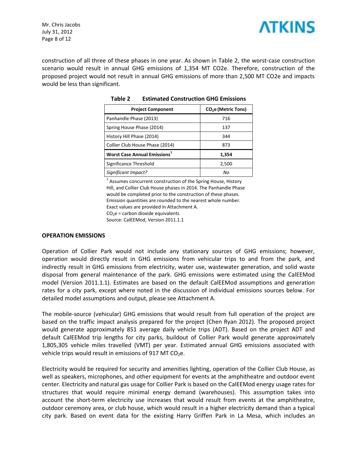

Mr. Chris Jacobs July 31, 2012 Page 8 of 12

construction of all three of these phases in one year. As shown in Table 2, the worst-case construction scenario would result in annual GHG emissions of 1,354 MT CO2e. Therefore, construction of the proposed project would not result in annual GHG emissions of more than 2,500 MT CO2e and impacts would be less than significant.

| <b>Project Component</b>                        | CO <sub>2</sub> e (Metric Tons) |
|-------------------------------------------------|---------------------------------|
| Panhandle Phase (2013)                          | 716                             |
| Spring House Phase (2014)                       | 137                             |
| History Hill Phase (2014)                       | 344                             |
| Collier Club House Phase (2014)                 | 873                             |
| <b>Worst Case Annual Emissions</b> <sup>1</sup> | 1,354                           |
| Significance Threshold                          | 2,500                           |
| Significant Impact?                             | Nο                              |

**Table 2 Estimated Construction GHG Emissions** 

 $1$  Assumes concurrent construction of the Spring House, History Hill, and Collier Club House phases in 2014. The Panhandle Phase would be completed prior to the construction of these phases. Emission quantities are rounded to the nearest whole number. Exact values are provided in Attachment A.  $CO<sub>2</sub>e$  = carbon dioxide equivalents

Source: CalEEMod, Version 2011.1.1

#### **OPERATION EMISSIONS**

Operation of Collier Park would not include any stationary sources of GHG emissions; however, operation would directly result in GHG emissions from vehicular trips to and from the park, and indirectly result in GHG emissions from electricity, water use, wastewater generation, and solid waste disposal from general maintenance of the park. GHG emissions were estimated using the CalEEMod model (Version 2011.1.1). Estimates are based on the default CalEEMod assumptions and generation rates for a city park, except where noted in the discussion of individual emissions sources below. For detailed model assumptions and output, please see Attachment A.

The mobile-source (vehicular) GHG emissions that would result from full operation of the project are based on the traffic impact analysis prepared for the project (Chen Ryan 2012). The proposed project would generate approximately 851 average daily vehicle trips (ADT). Based on the project ADT and default CalEEMod trip lengths for city parks, buildout of Collier Park would generate approximately 1,805,305 vehicle miles travelled (VMT) per year. Estimated annual GHG emissions associated with vehicle trips would result in emissions of 917 MT CO<sub>2</sub>e.

Electricity would be required for security and amenities lighting, operation of the Collier Club House, as well as speakers, microphones, and other equipment for events at the amphitheatre and outdoor event center. Electricity and natural gas usage for Collier Park is based on the CalEEMod energy usage rates for structures that would require minimal energy demand (warehouses). This assumption takes into account the short-term electricity use increases that would result from events at the amphitheatre, outdoor ceremony area, or club house, which would result in a higher electricity demand than a typical city park. Based on event data for the existing Harry Griffen Park in La Mesa, which includes an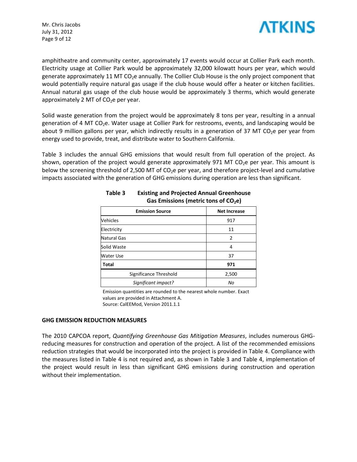Mr. Chris Jacobs July 31, 2012 Page 9 of 12



amphitheatre and community center, approximately 17 events would occur at Collier Park each month. Electricity usage at Collier Park would be approximately 32,000 kilowatt hours per year, which would generate approximately 11 MT CO<sub>2</sub>e annually. The Collier Club House is the only project component that would potentially require natural gas usage if the club house would offer a heater or kitchen facilities. Annual natural gas usage of the club house would be approximately 3 therms, which would generate approximately 2 MT of  $CO<sub>2</sub>e$  per year.

Solid waste generation from the project would be approximately 8 tons per year, resulting in a annual generation of 4 MT  $CO<sub>2</sub>e$ . Water usage at Collier Park for restrooms, events, and landscaping would be about 9 million gallons per year, which indirectly results in a generation of 37 MT CO<sub>2</sub>e per year from energy used to provide, treat, and distribute water to Southern California.

Table 3 includes the annual GHG emissions that would result from full operation of the project. As shown, operation of the project would generate approximately 971 MT CO<sub>2</sub>e per year. This amount is below the screening threshold of 2,500 MT of  $CO<sub>2</sub>e$  per year, and therefore project-level and cumulative impacts associated with the generation of GHG emissions during operation are less than significant.

| <b>Emission Source</b> | <b>Net Increase</b> |
|------------------------|---------------------|
| Vehicles               | 917                 |
| Electricity            | 11                  |
| <b>Natural Gas</b>     | $\overline{2}$      |
| Solid Waste            | 4                   |
| <b>Water Use</b>       | 37                  |
| Total                  | 971                 |
| Significance Threshold | 2,500               |
| Significant impact?    | No                  |

#### **Table 3 Existing and Projected Annual Greenhouse Gas Emissions (metric tons of CO2e)**

Emission quantities are rounded to the nearest whole number. Exact values are provided in Attachment A. Source: CalEEMod, Version 2011.1.1

#### **GHG EMISSION REDUCTION MEASURES**

The 2010 CAPCOA report, *Quantifying Greenhouse Gas Mitigation Measures*, includes numerous GHGreducing measures for construction and operation of the project. A list of the recommended emissions reduction strategies that would be incorporated into the project is provided in Table 4. Compliance with the measures listed in Table 4 is not required and, as shown in Table 3 and Table 4, implementation of the project would result in less than significant GHG emissions during construction and operation without their implementation.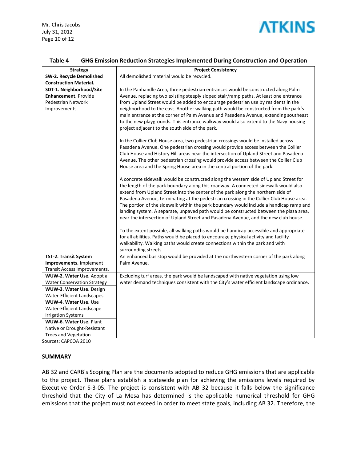

Mr. Chris Jacobs July 31, 2012 Page 10 of 12

| <b>Strategy</b>                    | <b>Project Consistency</b>                                                              |
|------------------------------------|-----------------------------------------------------------------------------------------|
| SW-2. Recycle Demolished           | All demolished material would be recycled.                                              |
| <b>Construction Material.</b>      |                                                                                         |
| SDT-1. Neighborhood/Site           | In the Panhandle Area, three pedestrian entrances would be constructed along Palm       |
| Enhancement. Provide               | Avenue, replacing two existing steeply sloped stair/ramp paths. At least one entrance   |
| Pedestrian Network                 | from Upland Street would be added to encourage pedestrian use by residents in the       |
| Improvements                       | neighborhood to the east. Another walking path would be constructed from the park's     |
|                                    | main entrance at the corner of Palm Avenue and Pasadena Avenue, extending southeast     |
|                                    | to the new playgrounds. This entrance walkway would also extend to the Navy housing     |
|                                    | project adjacent to the south side of the park.                                         |
|                                    | In the Collier Club House area, two pedestrian crossings would be installed across      |
|                                    | Pasadena Avenue. One pedestrian crossing would provide access between the Collier       |
|                                    | Club House and History Hill areas near the intersection of Upland Street and Pasadena   |
|                                    | Avenue. The other pedestrian crossing would provide access between the Collier Club     |
|                                    | House area and the Spring House area in the central portion of the park.                |
|                                    | A concrete sidewalk would be constructed along the western side of Upland Street for    |
|                                    | the length of the park boundary along this roadway. A connected sidewalk would also     |
|                                    | extend from Upland Street into the center of the park along the northern side of        |
|                                    | Pasadena Avenue, terminating at the pedestrian crossing in the Collier Club House area. |
|                                    | The portion of the sidewalk within the park boundary would include a handicap ramp and  |
|                                    | landing system. A separate, unpaved path would be constructed between the plaza area,   |
|                                    | near the intersection of Upland Street and Pasadena Avenue, and the new club house.     |
|                                    | To the extent possible, all walking paths would be handicap accessible and appropriate  |
|                                    | for all abilities. Paths would be placed to encourage physical activity and facility    |
|                                    | walkability. Walking paths would create connections within the park and with            |
|                                    | surrounding streets.                                                                    |
| TST-2. Transit System              | An enhanced bus stop would be provided at the northwestern corner of the park along     |
| Improvements. Implement            | Palm Avenue.                                                                            |
| Transit Access Improvements.       |                                                                                         |
| WUW-2. Water Use. Adopt a          | Excluding turf areas, the park would be landscaped with native vegetation using low     |
| <b>Water Conservation Strategy</b> | water demand techniques consistent with the City's water efficient landscape ordinance. |
| WUW-3. Water Use. Design           |                                                                                         |
| Water-Efficient Landscapes         |                                                                                         |
| <b>WUW-4. Water Use. Use</b>       |                                                                                         |
| Water-Efficient Landscape          |                                                                                         |
| <b>Irrigation Systems</b>          |                                                                                         |
| WUW-6. Water Use. Plant            |                                                                                         |
| Native or Drought-Resistant        |                                                                                         |
| <b>Trees and Vegetation</b>        |                                                                                         |

#### **Table 4 GHG Emission Reduction Strategies Implemented During Construction and Operation**

Sources: CAPCOA 2010

#### **SUMMARY**

AB 32 and CARB's Scoping Plan are the documents adopted to reduce GHG emissions that are applicable to the project. These plans establish a statewide plan for achieving the emissions levels required by Executive Order S-3-05. The project is consistent with AB 32 because it falls below the significance threshold that the City of La Mesa has determined is the applicable numerical threshold for GHG emissions that the project must not exceed in order to meet state goals, including AB 32. Therefore, the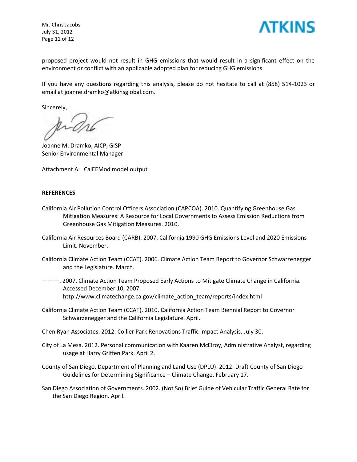Mr. Chris Jacobs July 31, 2012 Page 11 of 12



proposed project would not result in GHG emissions that would result in a significant effect on the environment or conflict with an applicable adopted plan for reducing GHG emissions.

If you have any questions regarding this analysis, please do not hesitate to call at (858) 514-1023 or email at joanne.dramko@atkinsglobal.com.

Sincerely,

Joanne M. Dramko, AICP, GISP Senior Environmental Manager

Attachment A: CalEEMod model output

#### **REFERENCES**

- California Air Pollution Control Officers Association (CAPCOA). 2010. Quantifying Greenhouse Gas Mitigation Measures: A Resource for Local Governments to Assess Emission Reductions from Greenhouse Gas Mitigation Measures. 2010.
- California Air Resources Board (CARB). 2007. California 1990 GHG Emissions Level and 2020 Emissions Limit. November.
- California Climate Action Team (CCAT). 2006. Climate Action Team Report to Governor Schwarzenegger and the Legislature. March.
- ———. 2007. Climate Action Team Proposed Early Actions to Mitigate Climate Change in California. Accessed December 10, 2007. [http://www.climatechange.ca.gov/climate\\_action\\_team/reports/index.html](http://www.climatechange.ca.gov/climate_action_team/reports/index.html)
- California Climate Action Team (CCAT). 2010. California Action Team Biennial Report to Governor Schwarzenegger and the California Legislature. April.

Chen Ryan Associates. 2012. Collier Park Renovations Traffic Impact Analysis. July 30.

- City of La Mesa. 2012. Personal communication with Kaaren McElroy, Administrative Analyst, regarding usage at Harry Griffen Park. April 2.
- County of San Diego, Department of Planning and Land Use (DPLU). 2012. Draft County of San Diego Guidelines for Determining Significance – Climate Change. February 17.
- San Diego Association of Governments. 2002. (Not So) Brief Guide of Vehicular Traffic General Rate for the San Diego Region. April.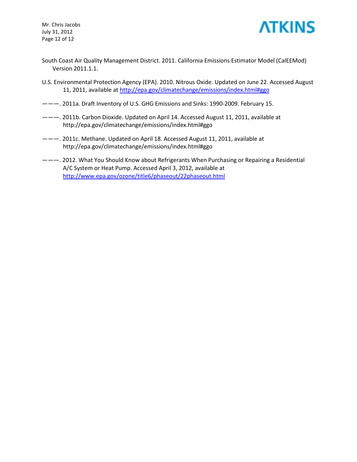Mr. Chris Jacobs July 31, 2012 Page 12 of 12



- South Coast Air Quality Management District. 2011. California Emissions Estimator Model (CalEEMod) Version 2011.1.1.
- U.S. Environmental Protection Agency (EPA). 2010. Nitrous Oxide. Updated on June 22. Accessed August 11, 2011, available at<http://epa.gov/climatechange/emissions/index.html#ggo>
- ———. 2011a. Draft Inventory of U.S. GHG Emissions and Sinks: 1990-2009. February 15.
- ———. 2011b. Carbon Dioxide. Updated on April 14. Accessed August 11, 2011, available at <http://epa.gov/climatechange/emissions/index.html#ggo>
- ———. 2011c. Methane. Updated on April 18. Accessed August 11, 2011, available at <http://epa.gov/climatechange/emissions/index.html#ggo>
- ———. 2012. What You Should Know about Refrigerants When Purchasing or Repairing a Residential A/C System or Heat Pump. Accessed April 3, 2012, available at <http://www.epa.gov/ozone/title6/phaseout/22phaseout.html>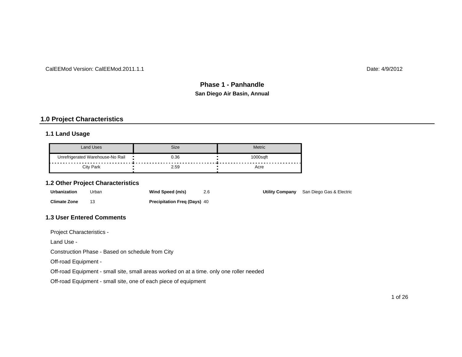#### CalEEMod Version: CalEEMod.2011.1.1

Date: 4/9/2012

## **San Diego Air Basin, Annual Phase 1 - Panhandle**

## **1.0 Project Characteristics**

#### **1.1 Land Usage**

| Land Uses                        | Size | Metric       |
|----------------------------------|------|--------------|
| Unrefrigerated Warehouse-No Rail | 0.36 | 000safi<br>. |
| City Park                        | 2.59 | Acre         |

#### **1.2 Other Project Characteristics**

| <b>Urbanization</b> | Urban | Wind Speed (m/s)                    | 2.6 | Utility Company San Diego Gas & Electric |
|---------------------|-------|-------------------------------------|-----|------------------------------------------|
| <b>Climate Zone</b> |       | <b>Precipitation Freg (Days) 40</b> |     |                                          |

#### **1.3 User Entered Comments**

Project Characteristics -

Land Use -

Construction Phase - Based on schedule from City

Off-road Equipment -

Off-road Equipment - small site, small areas worked on at a time. only one roller needed

Off-road Equipment - small site, one of each piece of equipment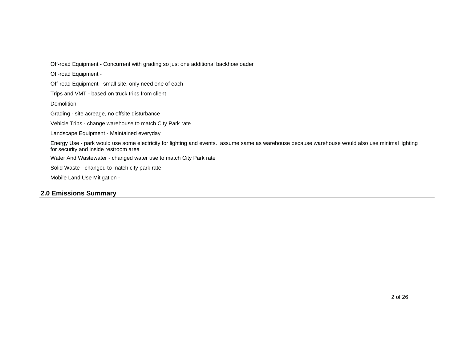Off-road Equipment - Concurrent with grading so just one additional backhoe/loader

Off-road Equipment -

Off-road Equipment - small site, only need one of each

Trips and VMT - based on truck trips from client

Demolition -

Grading - site acreage, no offsite disturbance

Vehicle Trips - change warehouse to match City Park rate

Landscape Equipment - Maintained everyday

Energy Use - park would use some electricity for lighting and events. assume same as warehouse because warehouse would also use minimal lighting for security and inside restroom area

Water And Wastewater - changed water use to match City Park rate

Solid Waste - changed to match city park rate

Mobile Land Use Mitigation -

#### **2.0 Emissions Summary**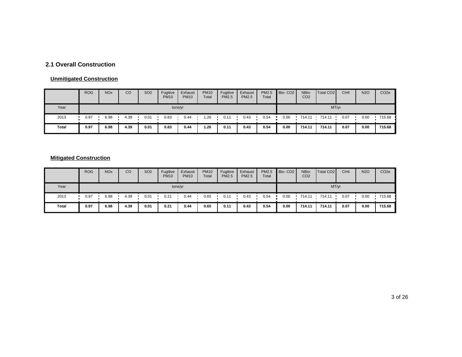## **2.1 Overall Construction**

#### **Unmitigated Construction**

|       | <b>ROG</b> | <b>NO<sub>x</sub></b> | CO   | <b>SO2</b> | Fugitive<br><b>PM10</b> | Exhaust<br><b>PM10</b> | <b>PM10</b><br>Total | Fugitive<br><b>PM2.5</b> | Exhaust<br>PM2.5 | PM2.5<br>Total | Bio-CO <sub>2</sub> | NBio-<br>CO <sub>2</sub> | Total CO <sub>2</sub> | CH <sub>4</sub> | <b>N2O</b> | CO <sub>2</sub> e |
|-------|------------|-----------------------|------|------------|-------------------------|------------------------|----------------------|--------------------------|------------------|----------------|---------------------|--------------------------|-----------------------|-----------------|------------|-------------------|
| Year  |            | tons/yr               |      |            |                         |                        |                      |                          |                  |                |                     |                          | MT/yr                 |                 |            |                   |
| 2013  | 0.97       | 6.98                  | 4.39 | 0.01       | 0.83                    | 0.44                   | 1.26                 | 0.11                     | 0.43             | 0.54           | 0.00                | 714.11                   | 714.11                | 0.07            | 0.00       | 715.68            |
| Total | 0.97       | 6.98                  | 4.39 | 0.01       | 0.83                    | 0.44                   | 1.26                 | 0.11                     | 0.43             | 0.54           | 0.00                | 714.11                   | 714.11                | 0.07            | 0.00       | 715.68            |

## **Mitigated Construction**

|       | <b>ROG</b> | <b>NO<sub>x</sub></b> | CO   | <b>SO2</b> | Fugitive<br><b>PM10</b> | Exhaust<br><b>PM10</b> | <b>PM10</b><br>Total | Fugitive<br><b>PM2.5</b> | Exhaust<br><b>PM2.5</b> | PM2.5<br>Total | Bio-CO <sub>2</sub> | NBio-<br>CO <sub>2</sub> | Total CO <sub>2</sub> | CH <sub>4</sub> | <b>N2O</b> | CO <sub>2</sub> e |  |  |
|-------|------------|-----------------------|------|------------|-------------------------|------------------------|----------------------|--------------------------|-------------------------|----------------|---------------------|--------------------------|-----------------------|-----------------|------------|-------------------|--|--|
| Year  | tons/yr    |                       |      |            |                         |                        |                      |                          |                         |                |                     | MT/yr                    |                       |                 |            |                   |  |  |
| 2013  | 0.97       | 6.98                  | 4.39 | 0.01       | 0.21                    | 0.44                   | 0.65                 | 0.11                     | 0.43                    | 0.54           | 0.00                | 714.11                   | 714.11                | 0.07            | 0.00       | 715.68            |  |  |
| Total | 0.97       | 6.98                  | 4.39 | 0.01       | 0.21                    | 0.44                   | 0.65                 | 0.11                     | 0.43                    | 0.54           | 0.00                | 714.11                   | 714.11                | 0.07            | 0.00       | 715.68            |  |  |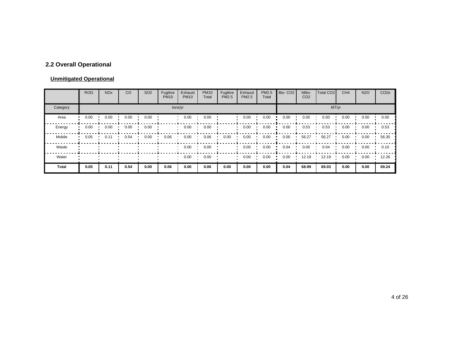## **2.2 Overall Operational**

#### **Unmitigated Operational**

|          | <b>ROG</b> | <b>NO<sub>x</sub></b> | CO   | SO <sub>2</sub> | Fugitive<br><b>PM10</b> | Exhaust<br><b>PM10</b> | <b>PM10</b><br>Total | Fugitive<br>PM2.5 | Exhaust<br><b>PM2.5</b> | PM2.5<br>Total | Bio-CO <sub>2</sub> | NBio-<br>CO <sub>2</sub> | Total CO <sub>2</sub> | CH <sub>4</sub> | <b>N2O</b> | CO <sub>2</sub> e |  |  |
|----------|------------|-----------------------|------|-----------------|-------------------------|------------------------|----------------------|-------------------|-------------------------|----------------|---------------------|--------------------------|-----------------------|-----------------|------------|-------------------|--|--|
| Category | tons/yr    |                       |      |                 |                         |                        |                      |                   |                         |                |                     | MT/yr                    |                       |                 |            |                   |  |  |
| Area     | 0.00       | 0.00                  | 0.00 | 0.00            |                         | 0.00                   | 0.00                 |                   | 0.00                    | 0.00           | 0.00                | 0.00                     | 0.00                  | 0.00            | 0.00       | 0.00              |  |  |
| Energy   | 0.00       | 0.00                  | 0.00 | 0.00            |                         | 0.00                   | 0.00                 |                   | 0.00                    | 0.00           | 0.00                | 0.53                     | 0.53                  | 0.00            | 0.00       | 0.53              |  |  |
| Mobile   | 0.05       | 0.11                  | 0.54 | 0.00            | 0.06                    | 0.00                   | 0.06                 | 0.00              | 0.00                    | 0.00           | 0.00                | 56.27                    | 56.27                 | 0.00            | 0.00       | 56.35             |  |  |
| Waste    |            |                       |      |                 |                         | 0.00                   | 0.00                 |                   | 0.00                    | 0.00           | 0.04                | 0.00                     | 0.04                  | 0.00            | 0.00       | 0.10              |  |  |
| Water    |            |                       |      |                 |                         | 0.00                   | 0.00                 |                   | 0.00                    | 0.00           | 0.00                | 12.19                    | 12.19                 | 0.00            | 0.00       | 12.26             |  |  |
| Total    | 0.05       | 0.11                  | 0.54 | 0.00            | 0.06                    | 0.00                   | 0.06                 | 0.00              | 0.00                    | 0.00           | 0.04                | 68.99                    | 69.03                 | 0.00            | 0.00       | 69.24             |  |  |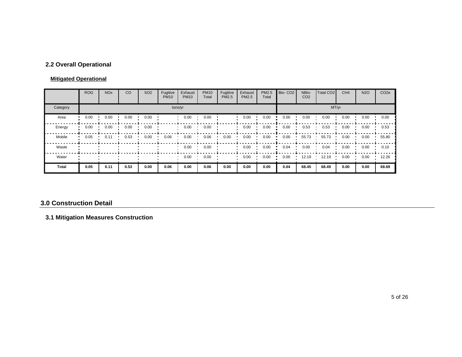## **2.2 Overall Operational**

#### **Mitigated Operational**

|              | <b>ROG</b> | <b>NO<sub>x</sub></b> | CO   | SO <sub>2</sub> | Fugitive<br><b>PM10</b> | Exhaust<br><b>PM10</b> | <b>PM10</b><br>Total | Fugitive<br>PM2.5 | Exhaust<br><b>PM2.5</b> | PM2.5<br>Total | Bio-CO <sub>2</sub> | NBio-<br>CO <sub>2</sub> | Total CO <sub>2</sub> | CH <sub>4</sub> | <b>N2O</b> | CO <sub>2e</sub> |
|--------------|------------|-----------------------|------|-----------------|-------------------------|------------------------|----------------------|-------------------|-------------------------|----------------|---------------------|--------------------------|-----------------------|-----------------|------------|------------------|
| Category     |            |                       |      |                 | tons/yr                 | MT/yr                  |                      |                   |                         |                |                     |                          |                       |                 |            |                  |
| Area         | 0.00       | 0.00                  | 0.00 | 0.00            |                         | 0.00                   | 0.00                 |                   | 0.00                    | 0.00           | 0.00                | 0.00                     | 0.00                  | 0.00            | 0.00       | 0.00             |
| Energy       | 0.00       | 0.00                  | 0.00 | 0.00            |                         | 0.00                   | 0.00                 |                   | 0.00                    | 0.00           | 0.00                | 0.53                     | 0.53                  | 0.00            | 0.00       | 0.53             |
| Mobile       | 0.05       | 0.11                  | 0.53 | 0.00            | 0.06                    | 0.00                   | 0.06                 | 0.00              | 0.00                    | 0.00           | 0.00                | 55.73                    | 55.73                 | 0.00            | 0.00       | 55.80            |
| Waste        |            |                       |      |                 |                         | 0.00                   | 0.00                 |                   | 0.00                    | 0.00           | 0.04                | 0.00                     | 0.04                  | 0.00            | 0.00       | 0.10             |
| Water        |            |                       |      |                 |                         | 0.00                   | 0.00                 |                   | 0.00                    | 0.00           | 0.00                | 12.19                    | 12.19                 | 0.00            | 0.00       | 12.26            |
| <b>Total</b> | 0.05       | 0.11                  | 0.53 | 0.00            | 0.06                    | 0.00                   | 0.06                 | 0.00              | 0.00                    | 0.00           | 0.04                | 68.45                    | 68.49                 | 0.00            | 0.00       | 68.69            |

#### **3.0 Construction Detail**

## **3.1 Mitigation Measures Construction**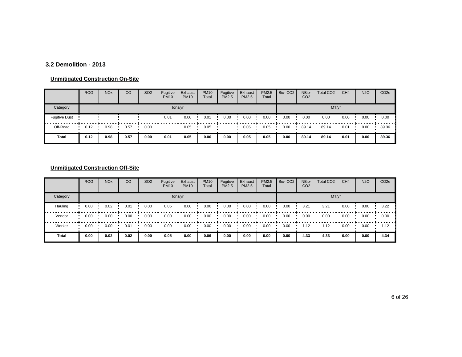#### **3.2 Demolition - 2013**

#### **Unmitigated Construction On-Site**

|                      | <b>ROG</b> | <b>NO<sub>x</sub></b> | CO   | SO <sub>2</sub> | Fugitive<br><b>PM10</b> | Exhaust<br><b>PM10</b> | <b>PM10</b><br>Total | Fugitive<br><b>PM2.5</b> | Exhaust<br><b>PM2.5</b> | PM2.5<br>Total | Bio-CO <sub>2</sub> | NBio-<br>CO <sub>2</sub> | Total CO <sub>2</sub> | CH <sub>4</sub> | <b>N2O</b> | CO <sub>2e</sub> |
|----------------------|------------|-----------------------|------|-----------------|-------------------------|------------------------|----------------------|--------------------------|-------------------------|----------------|---------------------|--------------------------|-----------------------|-----------------|------------|------------------|
| Category             | tons/yr    |                       |      |                 |                         |                        |                      |                          |                         |                |                     |                          | MT/yr                 |                 |            |                  |
| <b>Fugitive Dust</b> |            |                       |      |                 | 0.01                    | 0.00                   | 0.01                 | 0.00                     | 0.00                    | 0.00           | 0.00                | 0.00                     | 0.00                  | 0.00            | 0.00       | 0.00             |
| Off-Road             | 0.12       | 0.98                  | 0.57 | 0.00            |                         | 0.05                   | 0.05                 |                          | 0.05                    | 0.05           | 0.00                | 89.14                    | 89.14                 | 0.01            | 0.00       | 89.36            |
| Total                | 0.12       | 0.98                  | 0.57 | 0.00            | 0.01                    | 0.05                   | 0.06                 | 0.00                     | 0.05                    | 0.05           | 0.00                | 89.14                    | 89.14                 | 0.01            | 0.00       | 89.36            |

## **Unmitigated Construction Off-Site**

|          | <b>ROG</b> | <b>NO<sub>x</sub></b> | CO   | SO <sub>2</sub> | Fugitive<br><b>PM10</b> | Exhaust<br><b>PM10</b> | <b>PM10</b><br>Total | Fugitive<br><b>PM2.5</b> | Exhaust<br><b>PM2.5</b> | PM2.5<br>Total | Bio-CO <sub>2</sub> | NBio-<br>CO <sub>2</sub> | Total CO <sub>2</sub> | CH <sub>4</sub> | <b>N2O</b> | CO <sub>2e</sub> |  |  |
|----------|------------|-----------------------|------|-----------------|-------------------------|------------------------|----------------------|--------------------------|-------------------------|----------------|---------------------|--------------------------|-----------------------|-----------------|------------|------------------|--|--|
| Category | tons/yr    |                       |      |                 |                         |                        |                      |                          |                         |                |                     | MT/yr                    |                       |                 |            |                  |  |  |
| Hauling  | 0.00       | 0.02                  | 0.01 | 0.00            | 0.05                    | 0.00                   | 0.06                 | 0.00                     | 0.00                    | 0.00           | 0.00                | 3.21                     | 3.21                  | 0.00            | 0.00       | 3.22             |  |  |
| Vendor   | 0.00       | 0.00                  | 0.00 | 0.00            | 0.00                    | 0.00                   | 0.00                 | 0.00                     | 0.00                    | 0.00           | 0.00                | 0.00                     | 0.00                  | 0.00            | 0.00       | 0.00             |  |  |
| Worker   | 0.00       | 0.00                  | 0.01 | 0.00            | 0.00                    | 0.00                   | 0.00                 | 0.00                     | 0.00                    | 0.00           | 0.00                | 1.12                     | 1.12                  | 0.00            | 0.00       | 1.12             |  |  |
| Total    | 0.00       | 0.02                  | 0.02 | 0.00            | 0.05                    | 0.00                   | 0.06                 | 0.00                     | 0.00                    | 0.00           | 0.00                | 4.33                     | 4.33                  | 0.00            | 0.00       | 4.34             |  |  |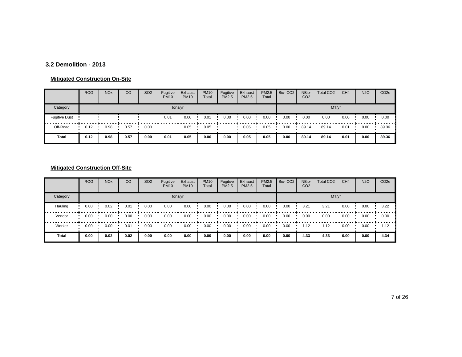#### **3.2 Demolition - 2013**

#### **Mitigated Construction On-Site**

|                      | <b>ROG</b> | <b>NO<sub>x</sub></b> | CO   | <b>SO2</b> | Fugitive<br><b>PM10</b> | Exhaust<br><b>PM10</b> | <b>PM10</b><br>Total | Fugitive<br><b>PM2.5</b> | Exhaust<br><b>PM2.5</b> | PM2.5<br>Total | Bio-CO <sub>2</sub> | NBio-<br>CO <sub>2</sub> | Total CO <sub>2</sub> | CH <sub>4</sub> | <b>N2O</b> | CO <sub>2e</sub> |
|----------------------|------------|-----------------------|------|------------|-------------------------|------------------------|----------------------|--------------------------|-------------------------|----------------|---------------------|--------------------------|-----------------------|-----------------|------------|------------------|
| Category             |            |                       |      |            | tons/yr                 |                        |                      |                          |                         |                |                     |                          |                       | MT/yr           |            |                  |
| <b>Fugitive Dust</b> |            |                       |      |            | 0.01                    | 0.00                   | 0.01                 | 0.00                     | 0.00                    | 0.00           | 0.00                | 0.00                     | 0.00                  | 0.00            | 0.00       | 0.00             |
| Off-Road             | 0.12       | 0.98                  | 0.57 | 0.00       |                         | 0.05                   | 0.05                 |                          | 0.05                    | 0.05           | 0.00                | 89.14                    | 89.14                 | 0.01            | 0.00       | 89.36            |
| Total                | 0.12       | 0.98                  | 0.57 | 0.00       | 0.01                    | 0.05                   | 0.06                 | 0.00                     | 0.05                    | 0.05           | 0.00                | 89.14                    | 89.14                 | 0.01            | 0.00       | 89.36            |

## **Mitigated Construction Off-Site**

|          | <b>ROG</b> | <b>NO<sub>x</sub></b> | CO   | SO <sub>2</sub> | Fugitive<br><b>PM10</b> | Exhaust<br><b>PM10</b> | <b>PM10</b><br>Total | Fugitive<br><b>PM2.5</b> | Exhaust<br><b>PM2.5</b> | PM2.5<br>Total | Bio-CO <sub>2</sub> | NBio-<br>CO <sub>2</sub> | Total CO <sub>2</sub> | CH <sub>4</sub> | <b>N2O</b> | CO <sub>2e</sub> |
|----------|------------|-----------------------|------|-----------------|-------------------------|------------------------|----------------------|--------------------------|-------------------------|----------------|---------------------|--------------------------|-----------------------|-----------------|------------|------------------|
| Category |            |                       |      |                 |                         | tons/yr                |                      |                          |                         |                |                     |                          |                       | MT/yr           |            |                  |
| Hauling  | 0.00       | 0.02                  | 0.01 | 0.00            | 0.00                    | 0.00                   | 0.00                 | 0.00                     | 0.00                    | 0.00           | 0.00                | 3.21                     | 3.21                  | 0.00            | 0.00       | 3.22             |
| Vendor   | 0.00       | 0.00                  | 0.00 | 0.00            | 0.00                    | 0.00                   | 0.00                 | 0.00                     | 0.00                    | 0.00           | 0.00                | 0.00                     | 0.00                  | 0.00            | 0.00       | 0.00             |
| Worker   | 0.00       | 0.00                  | 0.01 | 0.00            | 0.00                    | 0.00                   | 0.00                 | 0.00                     | 0.00                    | 0.00           | 0.00                | 1.12                     | 1.12                  | 0.00            | 0.00       | 1.12             |
| Total    | 0.00       | 0.02                  | 0.02 | 0.00            | 0.00                    | 0.00                   | 0.00                 | 0.00                     | 0.00                    | 0.00           | 0.00                | 4.33                     | 4.33                  | 0.00            | 0.00       | 4.34             |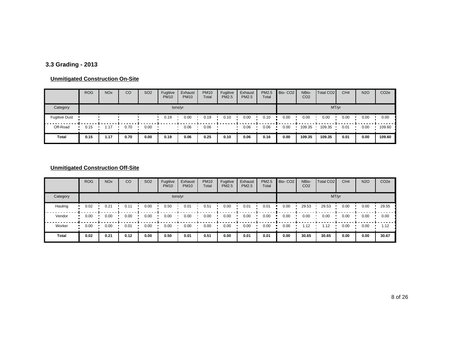## **3.3 Grading - 2013**

#### **Unmitigated Construction On-Site**

|                      | <b>ROG</b> | <b>NO<sub>x</sub></b> | CO   | <b>SO2</b> | Fugitive<br><b>PM10</b> | Exhaust<br><b>PM10</b> | <b>PM10</b><br>Total | Fugitive<br><b>PM2.5</b> | Exhaust<br><b>PM2.5</b> | PM2.5<br>Total | Bio-CO <sub>2</sub> | NBio-<br>CO <sub>2</sub> | Total CO <sub>2</sub> | CH <sub>4</sub> | <b>N2O</b> | CO <sub>2e</sub> |
|----------------------|------------|-----------------------|------|------------|-------------------------|------------------------|----------------------|--------------------------|-------------------------|----------------|---------------------|--------------------------|-----------------------|-----------------|------------|------------------|
| Category             |            |                       |      |            | tons/yr                 |                        |                      |                          |                         |                |                     |                          | MT/yr                 |                 |            |                  |
| <b>Fugitive Dust</b> |            |                       |      |            | 0.19                    | 0.00                   | 0.19                 | 0.10                     | 0.00                    | 0.10           | 0.00                | 0.00                     | 0.00                  | 0.00            | 0.00       | 0.00             |
| Off-Road             | 0.15       | .17                   | 0.70 | 0.00       |                         | 0.06                   | 0.06                 |                          | 0.06                    | 0.06           | 0.00                | 109.35                   | 109.35                | 0.01            | 0.00       | 109.60           |
| Total                | 0.15       | 1.17                  | 0.70 | 0.00       | 0.19                    | 0.06                   | 0.25                 | 0.10                     | 0.06                    | 0.16           | 0.00                | 109.35                   | 109.35                | 0.01            | 0.00       | 109.60           |

#### **Unmitigated Construction Off-Site**

|              | <b>ROG</b> | <b>NO<sub>x</sub></b> | CO   | SO <sub>2</sub> | Fugitive<br><b>PM10</b> | Exhaust<br><b>PM10</b> | <b>PM10</b><br>Total | Fugitive<br><b>PM2.5</b> | Exhaust<br><b>PM2.5</b> | PM2.5<br>Total | Bio-CO <sub>2</sub> | NBio-<br>CO <sub>2</sub> | Total CO <sub>2</sub> | CH <sub>4</sub> | <b>N2O</b> | CO <sub>2e</sub> |
|--------------|------------|-----------------------|------|-----------------|-------------------------|------------------------|----------------------|--------------------------|-------------------------|----------------|---------------------|--------------------------|-----------------------|-----------------|------------|------------------|
| Category     |            |                       |      |                 |                         | tons/yr                |                      |                          |                         |                |                     |                          |                       | MT/yr           |            |                  |
| Hauling      | 0.02       | 0.21                  | 0.11 | 0.00            | 0.50                    | 0.01                   | 0.51                 | 0.00                     | 0.01                    | 0.01           | 0.00                | 29.53                    | 29.53                 | 0.00            | 0.00       | 29.55            |
| Vendor       | 0.00       | 0.00                  | 0.00 | 0.00            | 0.00                    | 0.00                   | 0.00                 | 0.00                     | 0.00                    | 0.00           | 0.00                | 0.00                     | 0.00                  | 0.00            | 0.00       | 0.00             |
| Worker       | 0.00       | 0.00                  | 0.01 | 0.00            | 0.00                    | 0.00                   | 0.00                 | 0.00                     | 0.00                    | 0.00           | 0.00                | 1.12                     | 1.12                  | 0.00            | 0.00       | 1.12             |
| <b>Total</b> | 0.02       | 0.21                  | 0.12 | 0.00            | 0.50                    | 0.01                   | 0.51                 | 0.00                     | 0.01                    | 0.01           | 0.00                | 30.65                    | 30.65                 | 0.00            | 0.00       | 30.67            |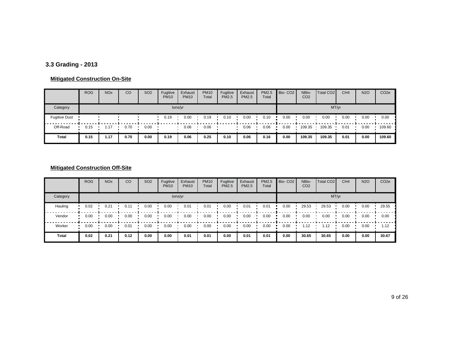## **3.3 Grading - 2013**

#### **Mitigated Construction On-Site**

|                      | <b>ROG</b> | <b>NO<sub>x</sub></b> | CO   | SO <sub>2</sub> | Fugitive<br><b>PM10</b> | Exhaust<br><b>PM10</b> | <b>PM10</b><br>Total | Fugitive<br><b>PM2.5</b> | Exhaust<br><b>PM2.5</b> | PM2.5<br>Total | Bio-CO <sub>2</sub> | NBio-<br>CO <sub>2</sub> | Total CO <sub>2</sub> | CH <sub>4</sub> | <b>N2O</b> | CO <sub>2</sub> e |
|----------------------|------------|-----------------------|------|-----------------|-------------------------|------------------------|----------------------|--------------------------|-------------------------|----------------|---------------------|--------------------------|-----------------------|-----------------|------------|-------------------|
| Category             |            |                       |      |                 | tons/yr                 |                        |                      |                          |                         |                |                     |                          | MT/yr                 |                 |            |                   |
| <b>Fugitive Dust</b> |            |                       |      |                 | 0.19                    | 0.00                   | 0.19                 | 0.10                     | 0.00                    | 0.10           | 0.00                | 0.00                     | 0.00                  | 0.00            | 0.00       | 0.00              |
| Off-Road             | 0.15       | 1.17                  | 0.70 | 0.00            |                         | 0.06                   | 0.06                 |                          | 0.06                    | 0.06           | 0.00                | 109.35                   | 109.35                | 0.01            | 0.00       | 109.60            |
| <b>Total</b>         | 0.15       | 1.17                  | 0.70 | 0.00            | 0.19                    | 0.06                   | 0.25                 | 0.10                     | 0.06                    | 0.16           | 0.00                | 109.35                   | 109.35                | 0.01            | 0.00       | 109.60            |

## **Mitigated Construction Off-Site**

|              | <b>ROG</b> | <b>NO<sub>x</sub></b> | CO   | SO <sub>2</sub> | Fugitive<br><b>PM10</b> | Exhaust<br><b>PM10</b> | <b>PM10</b><br>Total | Fugitive<br><b>PM2.5</b> | Exhaust<br><b>PM2.5</b> | PM2.5<br>Total | Bio-CO <sub>2</sub> | NBio-<br>CO <sub>2</sub> | Total CO <sub>2</sub> | CH <sub>4</sub> | <b>N2O</b> | CO <sub>2e</sub> |
|--------------|------------|-----------------------|------|-----------------|-------------------------|------------------------|----------------------|--------------------------|-------------------------|----------------|---------------------|--------------------------|-----------------------|-----------------|------------|------------------|
| Category     |            |                       |      |                 |                         | tons/yr                |                      |                          |                         |                |                     |                          | MT/yr                 |                 |            |                  |
| Hauling      | 0.02       | 0.21                  | 0.11 | 0.00            | 0.00                    | 0.01                   | 0.01                 | 0.00                     | 0.01                    | 0.01           | 0.00                | 29.53                    | 29.53                 | 0.00            | 0.00       | 29.55            |
| Vendor       | 0.00       | 0.00                  | 0.00 | 0.00            | 0.00                    | 0.00                   | 0.00                 | 0.00                     | 0.00                    | 0.00           | 0.00                | 0.00                     | 0.00                  | 0.00            | 0.00       | 0.00             |
| Worker       | 0.00       | 0.00                  | 0.01 | 0.00            | 0.00                    | 0.00                   | 0.00                 | 0.00                     | 0.00                    | 0.00           | 0.00                | 1.12                     | 1.12                  | 0.00            | 0.00       | 1.12             |
| <b>Total</b> | 0.02       | 0.21                  | 0.12 | 0.00            | 0.00                    | 0.01                   | 0.01                 | 0.00                     | 0.01                    | 0.01           | 0.00                | 30.65                    | 30.65                 | 0.00            | 0.00       | 30.67            |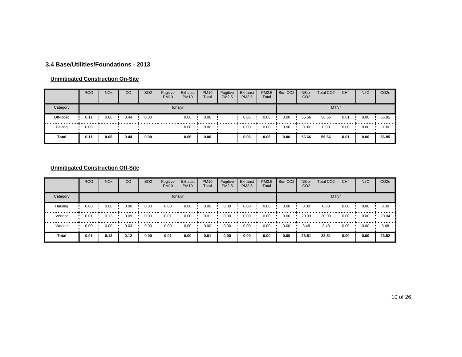#### **3.4 Base/Utilities/Foundations - 2013**

#### **Unmitigated Construction On-Site**

|          | <b>ROG</b> | <b>NO<sub>x</sub></b> | CO   | SO <sub>2</sub> | Fugitive<br><b>PM10</b> | Exhaust<br><b>PM10</b> | <b>PM10</b><br>Total | Fugitive<br><b>PM2.5</b> | Exhaust<br><b>PM2.5</b> | PM2.5<br>Total | Bio-CO <sub>2</sub> | NBio-<br>CO <sub>2</sub> | Total CO <sub>2</sub> | CH <sub>4</sub> | <b>N2O</b> | CO <sub>2</sub> e |
|----------|------------|-----------------------|------|-----------------|-------------------------|------------------------|----------------------|--------------------------|-------------------------|----------------|---------------------|--------------------------|-----------------------|-----------------|------------|-------------------|
| Category |            |                       |      |                 |                         | tons/yr                |                      |                          |                         |                |                     |                          | MT/yr                 |                 |            |                   |
| Off-Road | 0.11       | 0.68                  | 0.44 | 0.00            |                         | 0.06                   | 0.06                 |                          | 0.06                    | 0.06           | 0.00                | 56.66                    | 56.66                 | 0.01            | 0.00       | 56.85             |
| Paving   | 0.00       |                       |      |                 |                         | 0.00                   | 0.00                 |                          | 0.00                    | 0.00           | 0.00                | 0.00                     | 0.00                  | 0.00            | 0.00       | 0.00              |
| Total    | 0.11       | 0.68                  | 0.44 | 0.00            |                         | 0.06                   | 0.06                 |                          | 0.06                    | 0.06           | 0.00                | 56.66                    | 56.66                 | 0.01            | 0.00       | 56.85             |

## **Unmitigated Construction Off-Site**

|              | <b>ROG</b> | <b>NO<sub>x</sub></b> | CO   | SO <sub>2</sub> | Fugitive<br><b>PM10</b> | Exhaust<br><b>PM10</b> | <b>PM10</b><br>Total | Fugitive<br><b>PM2.5</b> | Exhaust<br><b>PM2.5</b> | PM2.5<br>Total | Bio-CO <sub>2</sub> | NBio-<br>CO <sub>2</sub> | Total CO <sub>2</sub> | CH <sub>4</sub> | <b>N2O</b> | CO <sub>2e</sub> |
|--------------|------------|-----------------------|------|-----------------|-------------------------|------------------------|----------------------|--------------------------|-------------------------|----------------|---------------------|--------------------------|-----------------------|-----------------|------------|------------------|
| Category     |            |                       |      |                 |                         | tons/yr                |                      |                          |                         |                |                     |                          | MT/yr                 |                 |            |                  |
| Hauling      | 0.00       | 0.00                  | 0.00 | 0.00            | 0.00                    | 0.00                   | 0.00                 | 0.00                     | 0.00                    | 0.00           | 0.00                | 0.00                     | 0.00                  | 0.00            | 0.00       | 0.00             |
| Vendor       | 0.01       | 0.13                  | 0.09 | 0.00            | 0.01                    | 0.00                   | 0.01                 | 0.00                     | 0.00                    | 0.00           | 0.00                | 20.03                    | 20.03                 | 0.00            | 0.00       | 20.04            |
| Worker       | 0.00       | 0.00                  | 0.03 | 0.00            | 0.00                    | 0.00                   | 0.00                 | 0.00                     | 0.00                    | 0.00           | 0.00                | 3.48                     | 3.48                  | 0.00            | 0.00       | 3.48             |
| <b>Total</b> | 0.01       | 0.13                  | 0.12 | 0.00            | 0.01                    | 0.00                   | 0.01                 | 0.00                     | 0.00                    | 0.00           | 0.00                | 23.51                    | 23.51                 | 0.00            | 0.00       | 23.52            |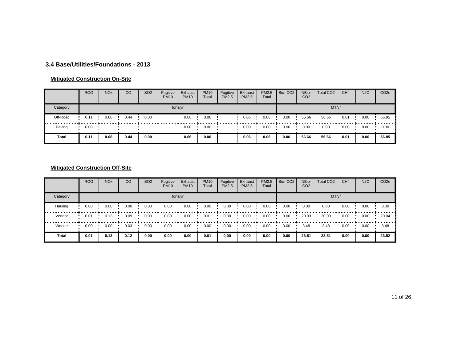#### **3.4 Base/Utilities/Foundations - 2013**

#### **Mitigated Construction On-Site**

|          | <b>ROG</b> | <b>NO<sub>x</sub></b> | CO   | SO <sub>2</sub> | Fugitive<br><b>PM10</b> | Exhaust<br><b>PM10</b> | <b>PM10</b><br>Total | Fugitive<br><b>PM2.5</b> | Exhaust<br>PM2.5 | <b>PM2.5</b><br>Total | Bio-CO <sub>2</sub> | NBio-<br>CO <sub>2</sub> | Total CO <sub>2</sub> | CH <sub>4</sub> | <b>N2O</b> | CO <sub>2</sub> e |
|----------|------------|-----------------------|------|-----------------|-------------------------|------------------------|----------------------|--------------------------|------------------|-----------------------|---------------------|--------------------------|-----------------------|-----------------|------------|-------------------|
| Category |            |                       |      |                 |                         | tons/yr                |                      |                          |                  |                       |                     |                          | MT/yr                 |                 |            |                   |
| Off-Road | 0.11       | 0.68                  | 0.44 | 0.00            |                         | 0.06                   | 0.06                 |                          | 0.06             | 0.06                  | 0.00                | 56.66                    | 56.66                 | 0.01            | 0.00       | 56.85             |
| Paving   | 0.00       |                       |      |                 |                         | 0.00                   | 0.00                 |                          | 0.00             | 0.00                  | 0.00                | 0.00                     | 0.00                  | 0.00            | 0.00       | 0.00              |
| Total    | 0.11       | 0.68                  | 0.44 | 0.00            |                         | 0.06                   | 0.06                 |                          | 0.06             | 0.06                  | 0.00                | 56.66                    | 56.66                 | 0.01            | 0.00       | 56.85             |

## **Mitigated Construction Off-Site**

|              | <b>ROG</b> | <b>NO<sub>x</sub></b> | CO   | SO <sub>2</sub> | Fugitive<br><b>PM10</b> | Exhaust<br><b>PM10</b> | <b>PM10</b><br>Total | Fugitive<br><b>PM2.5</b> | Exhaust<br><b>PM2.5</b> | PM2.5<br>Total | Bio-CO <sub>2</sub> | NBio-<br>CO <sub>2</sub> | Total CO <sub>2</sub> | CH <sub>4</sub> | <b>N2O</b> | CO <sub>2e</sub> |
|--------------|------------|-----------------------|------|-----------------|-------------------------|------------------------|----------------------|--------------------------|-------------------------|----------------|---------------------|--------------------------|-----------------------|-----------------|------------|------------------|
| Category     |            |                       |      |                 |                         | tons/yr                |                      |                          |                         |                |                     |                          |                       | MT/yr           |            |                  |
| Hauling      | 0.00       | 0.00                  | 0.00 | 0.00            | 0.00                    | 0.00                   | 0.00                 | 0.00                     | 0.00                    | 0.00           | 0.00                | 0.00                     | 0.00                  | 0.00            | 0.00       | 0.00             |
| Vendor       | 0.01       | 0.13                  | 0.09 | 0.00            | 0.00                    | 0.00                   | 0.01                 | 0.00                     | 0.00                    | 0.00           | 0.00                | 20.03                    | 20.03                 | 0.00            | 0.00       | 20.04            |
| Worker       | 0.00       | 0.00                  | 0.03 | 0.00            | 0.00                    | 0.00                   | 0.00                 | 0.00                     | 0.00                    | 0.00           | 0.00                | 3.48                     | 3.48                  | 0.00            | 0.00       | 3.48             |
| <b>Total</b> | 0.01       | 0.13                  | 0.12 | 0.00            | 0.00                    | 0.00                   | 0.01                 | 0.00                     | 0.00                    | 0.00           | 0.00                | 23.51                    | 23.51                 | 0.00            | 0.00       | 23.52            |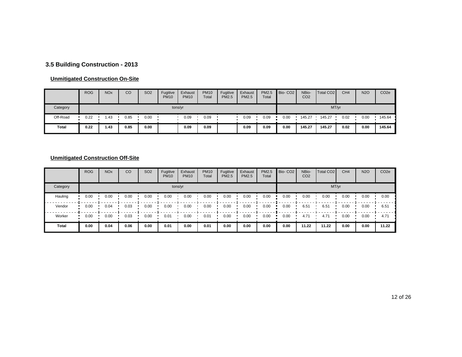## **3.5 Building Construction - 2013**

#### **Unmitigated Construction On-Site**

|          | <b>ROG</b> | <b>NO<sub>x</sub></b> | CO   | SO <sub>2</sub> | Fugitive<br><b>PM10</b> | Exhaust<br><b>PM10</b> | <b>PM10</b><br>Total | Fugitive<br><b>PM2.5</b> | Exhaust<br><b>PM2.5</b> | PM2.5<br>Total | Bio-CO <sub>2</sub> | NBio-<br>CO <sub>2</sub> | Total CO <sub>2</sub> | CH <sub>4</sub> | <b>N2O</b> | CO <sub>2</sub> e |
|----------|------------|-----------------------|------|-----------------|-------------------------|------------------------|----------------------|--------------------------|-------------------------|----------------|---------------------|--------------------------|-----------------------|-----------------|------------|-------------------|
| Category |            |                       |      |                 | tons/yr                 |                        |                      |                          |                         |                |                     |                          | MT/yr                 |                 |            |                   |
| Off-Road | 0.22       | 1.43                  | 0.85 | 0.00            |                         | 0.09                   | 0.09                 |                          | 0.09                    | 0.09           | 0.00                | 145.27                   | 145.27                | 0.02            | 0.00       | 145.64            |
| Total    | 0.22       | 1.43                  | 0.85 | 0.00            |                         | 0.09                   | 0.09                 |                          | 0.09                    | 0.09           | 0.00                | 145.27                   | 145.27                | 0.02            | 0.00       | 145.64            |

## **Unmitigated Construction Off-Site**

|              | <b>ROG</b> | <b>NO<sub>x</sub></b> | CO   | SO <sub>2</sub> | Fugitive<br><b>PM10</b> | Exhaust<br><b>PM10</b> | <b>PM10</b><br>Total | Fugitive<br><b>PM2.5</b> | Exhaust<br><b>PM2.5</b> | PM2.5<br>Total | Bio-CO <sub>2</sub> | NBio-<br>CO <sub>2</sub> | <b>Total CO2</b> | CH <sub>4</sub> | <b>N2O</b> | CO <sub>2e</sub> |
|--------------|------------|-----------------------|------|-----------------|-------------------------|------------------------|----------------------|--------------------------|-------------------------|----------------|---------------------|--------------------------|------------------|-----------------|------------|------------------|
| Category     |            |                       |      |                 |                         | tons/yr                |                      |                          |                         |                |                     |                          |                  | MT/yr           |            |                  |
| Hauling      | 0.00       | 0.00                  | 0.00 | 0.00            | 0.00                    | 0.00                   | 0.00                 | 0.00                     | 0.00                    | 0.00           | 0.00                | 0.00                     | 0.00             | 0.00            | 0.00       | 0.00             |
| Vendor       | 0.00       | 0.04                  | 0.03 | 0.00            | 0.00                    | 0.00                   | 0.00                 | 0.00                     | 0.00                    | 0.00           | 0.00                | 6.51                     | 6.51             | 0.00            | 0.00       | 6.51             |
| Worker       | 0.00       | 0.00                  | 0.03 | 0.00            | 0.01                    | 0.00                   | 0.01                 | 0.00                     | 0.00                    | 0.00           | 0.00                | 4.71                     | 4.71             | 0.00            | 0.00       | 4.71             |
| <b>Total</b> | 0.00       | 0.04                  | 0.06 | 0.00            | 0.01                    | 0.00                   | 0.01                 | 0.00                     | 0.00                    | 0.00           | 0.00                | 11.22                    | 11.22            | 0.00            | 0.00       | 11.22            |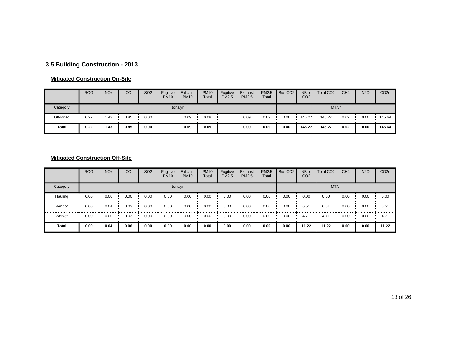## **3.5 Building Construction - 2013**

#### **Mitigated Construction On-Site**

|          | <b>ROG</b> | <b>NO<sub>x</sub></b> | CO   | SO <sub>2</sub> | Fugitive<br><b>PM10</b> | Exhaust<br><b>PM10</b> | <b>PM10</b><br>Total | Fugitive<br><b>PM2.5</b> | Exhaust<br><b>PM2.5</b> | PM2.5<br>Total | Bio-CO <sub>2</sub> | NBio-<br>CO <sub>2</sub> | Total CO <sub>2</sub> | CH <sub>4</sub> | <b>N2O</b> | CO <sub>2</sub> e |
|----------|------------|-----------------------|------|-----------------|-------------------------|------------------------|----------------------|--------------------------|-------------------------|----------------|---------------------|--------------------------|-----------------------|-----------------|------------|-------------------|
| Category |            |                       |      |                 | tons/yr                 |                        |                      |                          |                         |                |                     |                          | MT/yr                 |                 |            |                   |
| Off-Road | 0.22       | 1.43                  | 0.85 | 0.00            |                         | 0.09                   | 0.09                 |                          | 0.09                    | 0.09           | 0.00                | 145.27                   | 145.27                | 0.02            | 0.00       | 145.64            |
| Total    | 0.22       | 1.43                  | 0.85 | 0.00            |                         | 0.09                   | 0.09                 |                          | 0.09                    | 0.09           | 0.00                | 145.27                   | 145.27                | 0.02            | 0.00       | 145.64            |

## **Mitigated Construction Off-Site**

|              | <b>ROG</b> | <b>NO<sub>x</sub></b> | CO   | SO <sub>2</sub> | Fugitive<br><b>PM10</b> | Exhaust<br><b>PM10</b> | <b>PM10</b><br>Total | Fugitive<br><b>PM2.5</b> | Exhaust<br><b>PM2.5</b> | PM2.5<br>Total | Bio-CO <sub>2</sub> | NBio-<br>CO <sub>2</sub> | <b>Total CO2</b> | CH <sub>4</sub> | <b>N2O</b> | CO <sub>2e</sub> |
|--------------|------------|-----------------------|------|-----------------|-------------------------|------------------------|----------------------|--------------------------|-------------------------|----------------|---------------------|--------------------------|------------------|-----------------|------------|------------------|
| Category     |            |                       |      |                 |                         | tons/yr                |                      |                          |                         |                |                     |                          | MT/yr            |                 |            |                  |
| Hauling      | 0.00       | 0.00                  | 0.00 | 0.00            | 0.00                    | 0.00                   | 0.00                 | 0.00                     | 0.00                    | 0.00           | 0.00                | 0.00                     | 0.00             | 0.00            | 0.00       | 0.00             |
| Vendor       | 0.00       | 0.04                  | 0.03 | 0.00            | 0.00                    | 0.00                   | 0.00                 | 0.00                     | 0.00                    | 0.00           | 0.00                | 6.51                     | 6.51             | 0.00            | 0.00       | 6.51             |
| Worker       | 0.00       | 0.00                  | 0.03 | 0.00            | 0.00                    | 0.00                   | 0.00                 | 0.00                     | 0.00                    | 0.00           | 0.00                | 4.71                     | 4.71             | 0.00            | 0.00       | 4.71             |
| <b>Total</b> | 0.00       | 0.04                  | 0.06 | 0.00            | 0.00                    | 0.00                   | 0.00                 | 0.00                     | 0.00                    | 0.00           | 0.00                | 11.22                    | 11.22            | 0.00            | 0.00       | 11.22            |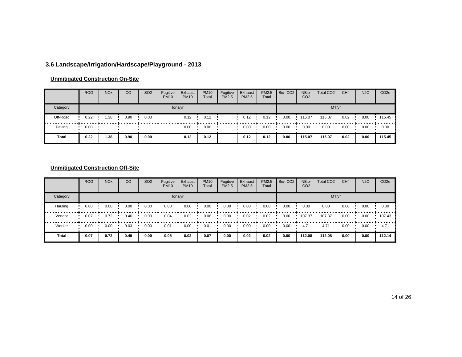## **3.6 Landscape/Irrigation/Hardscape/Playground - 2013**

#### **Unmitigated Construction On-Site**

|          | <b>ROG</b> | <b>NO<sub>x</sub></b> | CO   | SO <sub>2</sub> | Fugitive<br><b>PM10</b> | Exhaust<br><b>PM10</b> | <b>PM10</b><br>Total | Fugitive<br><b>PM2.5</b> | Exhaust<br>PM2.5 | PM2.5<br>Total | Bio-CO <sub>2</sub> | NBio-<br>CO <sub>2</sub> | Total CO <sub>2</sub> | CH <sub>4</sub> | <b>N2O</b> | CO <sub>2e</sub> |
|----------|------------|-----------------------|------|-----------------|-------------------------|------------------------|----------------------|--------------------------|------------------|----------------|---------------------|--------------------------|-----------------------|-----------------|------------|------------------|
| Category |            |                       |      |                 | tons/yr                 |                        |                      |                          |                  |                |                     |                          |                       | MT/yr           |            |                  |
| Off-Road | 0.22       | 1.38                  | 0.90 | 0.00            |                         | 0.12                   | 0.12                 |                          | 0.12             | 0.12           | 0.00                | 115.07                   | 115.07                | 0.02            | 0.00       | 115.45           |
| Paving   | 0.00       |                       |      |                 |                         | 0.00                   | 0.00                 |                          | 0.00             | 0.00           | 0.00                | 0.00                     | 0.00                  | 0.00            | 0.00       | 0.00             |
| Total    | 0.22       | 1.38                  | 0.90 | 0.00            |                         | 0.12                   | 0.12                 |                          | 0.12             | 0.12           | 0.00                | 115.07                   | 115.07                | 0.02            | 0.00       | 115.45           |

## **Unmitigated Construction Off-Site**

|              | <b>ROG</b> | <b>NO<sub>x</sub></b> | CO   | SO <sub>2</sub> | Fugitive<br><b>PM10</b> | Exhaust<br><b>PM10</b> | <b>PM10</b><br>Total | Fugitive<br><b>PM2.5</b> | Exhaust<br><b>PM2.5</b> | PM2.5<br>Total | Bio-CO <sub>2</sub> | NBio-<br>CO <sub>2</sub> | Total CO <sub>2</sub> | CH <sub>4</sub> | <b>N2O</b> | CO <sub>2e</sub> |
|--------------|------------|-----------------------|------|-----------------|-------------------------|------------------------|----------------------|--------------------------|-------------------------|----------------|---------------------|--------------------------|-----------------------|-----------------|------------|------------------|
| Category     |            |                       |      |                 |                         | tons/yr                |                      |                          |                         |                |                     |                          |                       | MT/yr           |            |                  |
| Hauling      | 0.00       | 0.00                  | 0.00 | 0.00            | 0.00                    | 0.00                   | 0.00                 | 0.00                     | 0.00                    | 0.00           | 0.00                | 0.00                     | 0.00                  | 0.00            | 0.00       | 0.00             |
| Vendor       | 0.07       | 0.72                  | 0.46 | 0.00            | 0.04                    | 0.02                   | 0.06                 | 0.00                     | 0.02                    | 0.02           | 0.00                | 107.37                   | 107.37                | 0.00            | 0.00       | 107.43           |
| Worker       | 0.00       | 0.00                  | 0.03 | 0.00            | 0.01                    | 0.00                   | 0.01                 | 0.00                     | 0.00                    | 0.00           | 0.00                | 4.71                     | 4.71                  | 0.00            | 0.00       | 4.71             |
| <b>Total</b> | 0.07       | 0.72                  | 0.49 | 0.00            | 0.05                    | 0.02                   | 0.07                 | 0.00                     | 0.02                    | 0.02           | 0.00                | 112.08                   | 112.08                | 0.00            | 0.00       | 112.14           |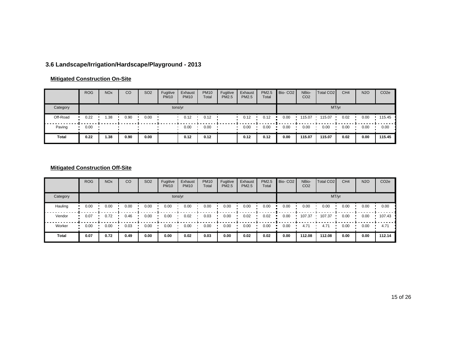## **3.6 Landscape/Irrigation/Hardscape/Playground - 2013**

#### **Mitigated Construction On-Site**

|          | <b>ROG</b> | <b>NO<sub>x</sub></b> | CO   | SO <sub>2</sub> | Fugitive<br><b>PM10</b> | Exhaust<br><b>PM10</b> | <b>PM10</b><br>Total | Fugitive<br><b>PM2.5</b> | Exhaust<br>PM2.5 | PM2.5<br>Total | Bio-CO <sub>2</sub> | NBio-<br>CO <sub>2</sub> | Total CO <sub>2</sub> | CH <sub>4</sub> | <b>N2O</b> | CO <sub>2e</sub> |
|----------|------------|-----------------------|------|-----------------|-------------------------|------------------------|----------------------|--------------------------|------------------|----------------|---------------------|--------------------------|-----------------------|-----------------|------------|------------------|
| Category |            |                       |      |                 | tons/yr                 |                        |                      |                          |                  |                |                     |                          |                       | MT/yr           |            |                  |
| Off-Road | 0.22       | 1.38                  | 0.90 | 0.00            |                         | 0.12                   | 0.12                 |                          | 0.12             | 0.12           | 0.00                | 115.07                   | 115.07                | 0.02            | 0.00       | 115.45           |
| Paving   | 0.00       |                       |      |                 |                         | 0.00                   | 0.00                 |                          | 0.00             | 0.00           | 0.00                | 0.00                     | 0.00                  | 0.00            | 0.00       | 0.00             |
| Total    | 0.22       | 1.38                  | 0.90 | 0.00            |                         | 0.12                   | 0.12                 |                          | 0.12             | 0.12           | 0.00                | 115.07                   | 115.07                | 0.02            | 0.00       | 115.45           |

## **Mitigated Construction Off-Site**

|          | <b>ROG</b> | <b>NO<sub>x</sub></b> | CO   | SO <sub>2</sub> | Fugitive<br><b>PM10</b> | Exhaust<br><b>PM10</b> | <b>PM10</b><br>Total | Fugitive<br><b>PM2.5</b> | Exhaust<br><b>PM2.5</b> | PM2.5<br>Total | Bio-CO <sub>2</sub> | NBio-<br>CO <sub>2</sub> | Total CO <sub>2</sub> | CH <sub>4</sub> | <b>N2O</b> | CO <sub>2e</sub> |
|----------|------------|-----------------------|------|-----------------|-------------------------|------------------------|----------------------|--------------------------|-------------------------|----------------|---------------------|--------------------------|-----------------------|-----------------|------------|------------------|
| Category |            |                       |      |                 |                         | tons/yr                |                      |                          |                         |                |                     |                          |                       | MT/yr           |            |                  |
| Hauling  | 0.00       | 0.00                  | 0.00 | 0.00            | 0.00                    | 0.00                   | 0.00                 | 0.00                     | 0.00                    | 0.00           | 0.00                | 0.00                     | 0.00                  | 0.00            | 0.00       | 0.00             |
| Vendor   | 0.07       | 0.72                  | 0.46 | 0.00            | 0.00                    | 0.02                   | 0.03                 | 0.00                     | 0.02                    | 0.02           | 0.00                | 107.37                   | 107.37                | 0.00            | 0.00       | 107.43           |
| Worker   | 0.00       | 0.00                  | 0.03 | 0.00            | 0.00                    | 0.00                   | 0.00                 | 0.00                     | 0.00                    | 0.00           | 0.00                | 4.71                     | 4.71                  | 0.00            | 0.00       | 4.71             |
| Total    | 0.07       | 0.72                  | 0.49 | 0.00            | 0.00                    | 0.02                   | 0.03                 | 0.00                     | 0.02                    | 0.02           | 0.00                | 112.08                   | 112.08                | 0.00            | 0.00       | 112.14           |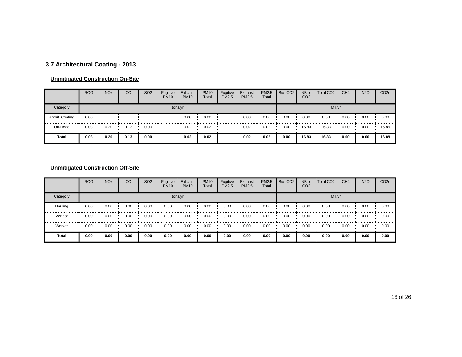## **3.7 Architectural Coating - 2013**

#### **Unmitigated Construction On-Site**

|                 | <b>ROG</b> | <b>NO<sub>x</sub></b> | CO   | SO <sub>2</sub> | Fugitive<br><b>PM10</b> | Exhaust<br><b>PM10</b> | <b>PM10</b><br>Total | Fugitive<br><b>PM2.5</b> | Exhaust<br><b>PM2.5</b> | PM2.5<br>Total | Bio-CO <sub>2</sub> | NBio-<br>CO <sub>2</sub> | Total CO <sub>2</sub> | CH <sub>4</sub> | <b>N2O</b> | CO <sub>2</sub> e |
|-----------------|------------|-----------------------|------|-----------------|-------------------------|------------------------|----------------------|--------------------------|-------------------------|----------------|---------------------|--------------------------|-----------------------|-----------------|------------|-------------------|
| Category        |            |                       |      |                 | tons/yr                 |                        |                      |                          |                         |                |                     |                          | MT/yr                 |                 |            |                   |
| Archit. Coating | 0.00       |                       |      |                 |                         | 0.00                   | 0.00                 |                          | 0.00                    | 0.00           | 0.00                | 0.00                     | 0.00                  | 0.00            | 0.00       | 0.00              |
| Off-Road        | 0.03       | 0.20                  | 0.13 | 0.00            |                         | 0.02                   | 0.02                 |                          | 0.02                    | 0.02           | 0.00                | 16.83                    | 16.83                 | 0.00            | 0.00       | 16.89             |
| Total           | 0.03       | 0.20                  | 0.13 | 0.00            |                         | 0.02                   | 0.02                 |                          | 0.02                    | 0.02           | 0.00                | 16.83                    | 16.83                 | 0.00            | 0.00       | 16.89             |

## **Unmitigated Construction Off-Site**

|              | <b>ROG</b> | <b>NO<sub>x</sub></b> | CO   | SO <sub>2</sub> | Fugitive<br><b>PM10</b> | Exhaust<br><b>PM10</b> | <b>PM10</b><br>Total | Fugitive<br><b>PM2.5</b> | Exhaust<br><b>PM2.5</b> | PM2.5<br>Total | Bio-CO <sub>2</sub> | NBio-<br>CO <sub>2</sub> | Total CO <sub>2</sub> | CH <sub>4</sub> | <b>N2O</b> | CO <sub>2e</sub> |
|--------------|------------|-----------------------|------|-----------------|-------------------------|------------------------|----------------------|--------------------------|-------------------------|----------------|---------------------|--------------------------|-----------------------|-----------------|------------|------------------|
| Category     |            |                       |      |                 |                         | tons/yr                |                      |                          |                         |                |                     |                          |                       | MT/yr           |            |                  |
| Hauling      | 0.00       | 0.00                  | 0.00 | 0.00            | 0.00                    | 0.00                   | 0.00                 | 0.00                     | 0.00                    | 0.00           | 0.00                | 0.00                     | 0.00                  | 0.00            | 0.00       | 0.00             |
| Vendor       | 0.00       | 0.00                  | 0.00 | 0.00            | 0.00                    | 0.00                   | 0.00                 | 0.00                     | 0.00                    | 0.00           | 0.00                | 0.00                     | 0.00                  | 0.00            | 0.00       | 0.00             |
| Worker       | 0.00       | 0.00                  | 0.00 | 0.00            | 0.00                    | 0.00                   | 0.00                 | 0.00                     | 0.00                    | 0.00           | 0.00                | 0.00                     | 0.00                  | 0.00            | 0.00       | 0.00             |
| <b>Total</b> | 0.00       | 0.00                  | 0.00 | 0.00            | 0.00                    | 0.00                   | 0.00                 | 0.00                     | 0.00                    | 0.00           | 0.00                | 0.00                     | 0.00                  | 0.00            | 0.00       | 0.00             |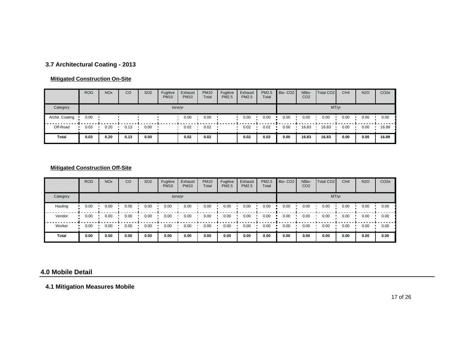## **3.7 Architectural Coating - 2013**

#### **Mitigated Construction On-Site**

|                 | <b>ROG</b> | <b>NO<sub>x</sub></b> | CO   | SO <sub>2</sub> | Fugitive<br><b>PM10</b> | Exhaust<br><b>PM10</b> | <b>PM10</b><br>Total | Fugitive<br><b>PM2.5</b> | Exhaust<br><b>PM2.5</b> | PM2.5<br>Total | Bio-CO <sub>2</sub> | NBio-<br>CO <sub>2</sub> | Total CO <sub>2</sub> | CH <sub>4</sub> | <b>N2O</b> | CO <sub>2</sub> e |
|-----------------|------------|-----------------------|------|-----------------|-------------------------|------------------------|----------------------|--------------------------|-------------------------|----------------|---------------------|--------------------------|-----------------------|-----------------|------------|-------------------|
| Category        |            |                       |      |                 | tons/yr                 |                        |                      |                          |                         |                |                     |                          | MT/yr                 |                 |            |                   |
| Archit. Coating | 0.00       |                       |      |                 |                         | 0.00                   | 0.00                 |                          | 0.00                    | 0.00           | 0.00                | 0.00                     | 0.00                  | 0.00            | 0.00       | 0.00              |
| Off-Road        | 0.03       | 0.20                  | 0.13 | 0.00            |                         | 0.02                   | 0.02                 |                          | 0.02                    | 0.02           | 0.00                | 16.83                    | 16.83                 | 0.00            | 0.00       | 16.89             |
| <b>Total</b>    | 0.03       | 0.20                  | 0.13 | 0.00            |                         | 0.02                   | 0.02                 |                          | 0.02                    | 0.02           | 0.00                | 16.83                    | 16.83                 | 0.00            | 0.00       | 16.89             |

#### **Mitigated Construction Off-Site**

|          | <b>ROG</b> | <b>NO<sub>x</sub></b> | CO   | SO <sub>2</sub> | Fugitive<br><b>PM10</b> | Exhaust<br><b>PM10</b> | <b>PM10</b><br>Total | Fugitive<br>PM2.5 | Exhaust<br><b>PM2.5</b> | PM2.5<br>Total | Bio-CO <sub>2</sub> | NBio-<br>CO <sub>2</sub> | Total CO <sub>2</sub> | CH <sub>4</sub> | <b>N2O</b> | CO <sub>2e</sub> |
|----------|------------|-----------------------|------|-----------------|-------------------------|------------------------|----------------------|-------------------|-------------------------|----------------|---------------------|--------------------------|-----------------------|-----------------|------------|------------------|
| Category |            |                       |      |                 |                         | tons/yr                |                      |                   |                         |                |                     |                          | MT/yr                 |                 |            |                  |
| Hauling  | 0.00       | 0.00                  | 0.00 | 0.00            | 0.00                    | 0.00                   | 0.00                 | 0.00              | 0.00                    | 0.00           | 0.00                | 0.00                     | 0.00                  | 0.00            | 0.00       | 0.00             |
| Vendor   | 0.00       | 0.00                  | 0.00 | 0.00            | 0.00                    | 0.00                   | 0.00                 | 0.00              | 0.00                    | 0.00           | 0.00                | 0.00                     | 0.00                  | 0.00            | 0.00       | 0.00             |
| Worker   | 0.00       | 0.00                  | 0.00 | 0.00            | 0.00                    | 0.00                   | 0.00                 | 0.00              | 0.00                    | 0.00           | 0.00                | 0.00                     | 0.00                  | 0.00            | 0.00       | 0.00             |
| Total    | 0.00       | 0.00                  | 0.00 | 0.00            | 0.00                    | 0.00                   | 0.00                 | 0.00              | 0.00                    | 0.00           | 0.00                | 0.00                     | 0.00                  | 0.00            | 0.00       | 0.00             |

#### **4.0 Mobile Detail**

**4.1 Mitigation Measures Mobile**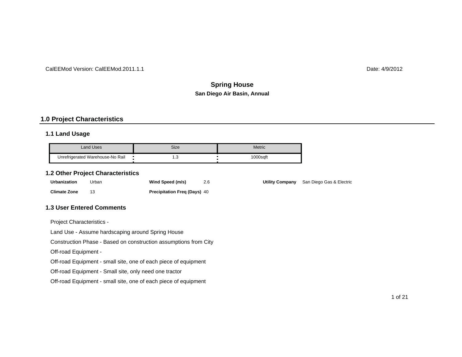#### CalEEMod Version: CalEEMod.2011.1.1

Date: 4/9/2012

## **San Diego Air Basin, Annual Spring House**

#### **1.0 Project Characteristics**

#### **1.1 Land Usage**

| Land Uses                        | Size | Metric   |
|----------------------------------|------|----------|
| Unrefrigerated Warehouse-No Rail | ں. ا | 1000saft |

#### **1.2 Other Project Characteristics**

| Urbanization        | Urban | Wind Speed (m/s)                    | 2.6 |
|---------------------|-------|-------------------------------------|-----|
| <b>Climate Zone</b> |       | <b>Precipitation Freg (Days) 40</b> |     |

**Utility Company** San Diego Gas & Electric

#### **1.3 User Entered Comments**

Project Characteristics -

Land Use - Assume hardscaping around Spring House

Construction Phase - Based on construction assumptions from City

Off-road Equipment -

Off-road Equipment - small site, one of each piece of equipment

Off-road Equipment - Small site, only need one tractor

Off-road Equipment - small site, one of each piece of equipment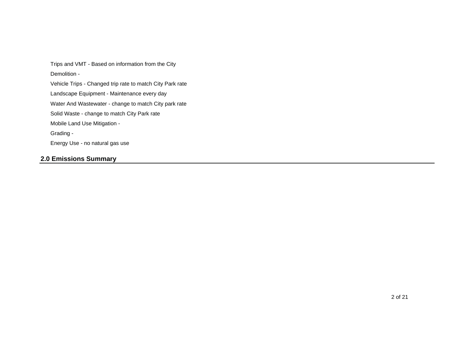Mobile Land Use Mitigation - Solid Waste - change to match City Park rate Energy Use - no natural gas use Grading - Water And Wastewater - change to match City park rate Demolition - Trips and VMT - Based on information from the City Landscape Equipment - Maintenance every day Vehicle Trips - Changed trip rate to match City Park rate

## **2.0 Emissions Summary**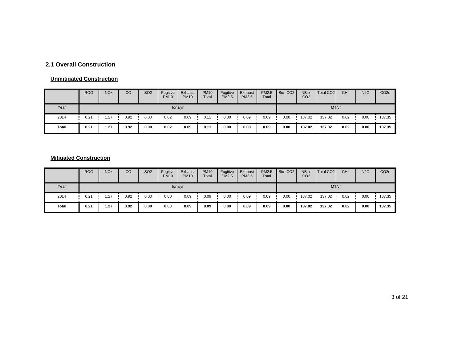## **2.1 Overall Construction**

#### **Unmitigated Construction**

|       | <b>ROG</b> | <b>NO<sub>x</sub></b> | CO   | SO <sub>2</sub> | Fugitive<br><b>PM10</b> | Exhaust<br><b>PM10</b> | <b>PM10</b><br>Total | Fugitive<br><b>PM2.5</b> | Exhaust<br>PM2.5 | PM2.5<br>Total | Bio-CO <sub>2</sub> | NBio-<br>CO <sub>2</sub> | Total CO <sub>2</sub> | CH <sub>4</sub> | <b>N2O</b> | CO <sub>2e</sub> |  |
|-------|------------|-----------------------|------|-----------------|-------------------------|------------------------|----------------------|--------------------------|------------------|----------------|---------------------|--------------------------|-----------------------|-----------------|------------|------------------|--|
| Year  | tons/yr    |                       |      |                 |                         |                        |                      |                          |                  |                | MT/yr               |                          |                       |                 |            |                  |  |
| 2014  | 0.21       | 1.27                  | 0.92 | 0.00            | 0.02                    | 0.09                   | 0.11                 | 0.00                     | 0.09             | 0.09           | 0.00                | 137.02                   | 137.02                | 0.02            | 0.00       | 137.35           |  |
| Total | 0.21       | 1.27                  | 0.92 | 0.00            | 0.02                    | 0.09                   | 0.11                 | 0.00                     | 0.09             | 0.09           | 0.00                | 137.02                   | 137.02                | 0.02            | 0.00       | 137.35           |  |

## **Mitigated Construction**

|       | <b>ROG</b> | <b>NO<sub>x</sub></b> | CO   | <b>SO2</b> | Fugitive<br><b>PM10</b> | Exhaust<br><b>PM10</b> | <b>PM10</b><br>Total | Fugitive<br><b>PM2.5</b> | Exhaust<br><b>PM2.5</b> | PM2.5<br>Total | Bio-CO <sub>2</sub> | NBio-<br>CO <sub>2</sub> | Total CO <sub>2</sub> | CH <sub>4</sub> | <b>N2O</b> | CO <sub>2</sub> e |  |  |
|-------|------------|-----------------------|------|------------|-------------------------|------------------------|----------------------|--------------------------|-------------------------|----------------|---------------------|--------------------------|-----------------------|-----------------|------------|-------------------|--|--|
| Year  | tons/yr    |                       |      |            |                         |                        |                      |                          |                         |                | MT/yr               |                          |                       |                 |            |                   |  |  |
| 2014  | 0.21       | .27                   | 0.92 | 0.00       | 0.00                    | 0.09                   | 0.09                 | 0.00                     | 0.09                    | 0.09           | 0.00                | 137.02                   | 137.02                | 0.02            | 0.00       | 137.35            |  |  |
| Total | 0.21       | 1.27                  | 0.92 | 0.00       | 0.00                    | 0.09                   | 0.09                 | 0.00                     | 0.09                    | 0.09           | 0.00                | 137.02                   | 137.02                | 0.02            | 0.00       | 137.35            |  |  |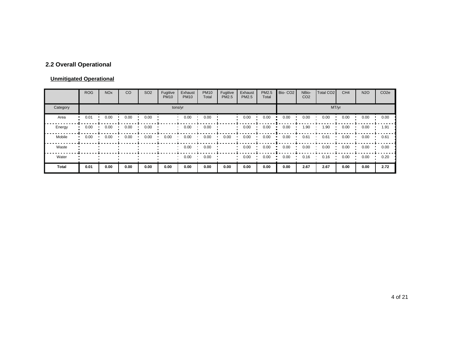## **2.2 Overall Operational**

#### **Unmitigated Operational**

|          | <b>ROG</b> | <b>NO<sub>x</sub></b> | CO   | SO <sub>2</sub> | Fugitive<br><b>PM10</b> | Exhaust<br><b>PM10</b> | <b>PM10</b><br>Total | Fugitive<br>PM2.5 | Exhaust<br>PM2.5 | PM2.5<br>Total | Bio-CO <sub>2</sub> | NBio-<br>CO <sub>2</sub> | Total CO <sub>2</sub> | CH <sub>4</sub> | <b>N2O</b> | CO <sub>2e</sub> |  |  |  |
|----------|------------|-----------------------|------|-----------------|-------------------------|------------------------|----------------------|-------------------|------------------|----------------|---------------------|--------------------------|-----------------------|-----------------|------------|------------------|--|--|--|
| Category | tons/yr    |                       |      |                 |                         |                        |                      |                   |                  |                |                     | MT/yr                    |                       |                 |            |                  |  |  |  |
| Area     | 0.01       | 0.00                  | 0.00 | 0.00            |                         | 0.00                   | 0.00                 |                   | 0.00             | 0.00           | 0.00                | 0.00                     | 0.00                  | 0.00            | 0.00       | 0.00             |  |  |  |
| Energy   | 0.00       | 0.00                  | 0.00 | 0.00            |                         | 0.00                   | 0.00                 |                   | 0.00             | 0.00           | 0.00                | .90                      | 90. ا                 | 0.00            | 0.00       | 1.91             |  |  |  |
| Mobile   | 0.00       | 0.00                  | 0.00 | 0.00            | 0.00                    | 0.00                   | 0.00                 | 0.00              | 0.00             | 0.00           | 0.00                | 0.61                     | 0.61                  | 0.00            | 0.00       | 0.61             |  |  |  |
| Waste    |            |                       |      |                 |                         | 0.00                   | 0.00                 |                   | 0.00             | 0.00           | 0.00                | 0.00                     | 0.00                  | 0.00            | 0.00       | 0.00             |  |  |  |
| Water    |            |                       |      |                 |                         | 0.00                   | 0.00                 |                   | 0.00             | 0.00           | 0.00                | 0.16                     | 0.16                  | 0.00            | 0.00       | 0.20             |  |  |  |
| Total    | 0.01       | 0.00                  | 0.00 | 0.00            | 0.00                    | 0.00                   | 0.00                 | 0.00              | 0.00             | 0.00           | 0.00                | 2.67                     | 2.67                  | 0.00            | 0.00       | 2.72             |  |  |  |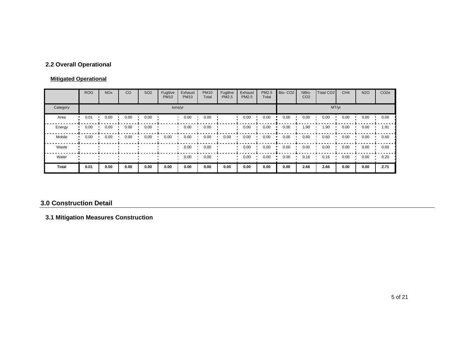## **2.2 Overall Operational**

#### **Mitigated Operational**

|              | <b>ROG</b> | <b>NO<sub>x</sub></b> | CO   | SO <sub>2</sub> | Fugitive<br><b>PM10</b> | Exhaust<br><b>PM10</b> | <b>PM10</b><br>Total | Fugitive<br>PM2.5 | Exhaust<br><b>PM2.5</b> | PM2.5<br>Total | Bio-CO <sub>2</sub> | NBio-<br>CO <sub>2</sub> | Total CO <sub>2</sub> | CH <sub>4</sub> | <b>N2O</b> | CO <sub>2e</sub> |  |  |  |
|--------------|------------|-----------------------|------|-----------------|-------------------------|------------------------|----------------------|-------------------|-------------------------|----------------|---------------------|--------------------------|-----------------------|-----------------|------------|------------------|--|--|--|
| Category     | tons/yr    |                       |      |                 |                         |                        |                      |                   |                         |                |                     | MT/yr                    |                       |                 |            |                  |  |  |  |
| Area         | 0.01       | 0.00                  | 0.00 | 0.00            |                         | 0.00                   | 0.00                 |                   | 0.00                    | 0.00           | 0.00                | 0.00                     | 0.00                  | 0.00            | 0.00       | 0.00             |  |  |  |
| Energy       | 0.00       | 0.00                  | 0.00 | 0.00            |                         | 0.00                   | 0.00                 |                   | 0.00                    | 0.00           | 0.00                | 1.90                     | 1.90                  | 0.00            | 0.00       | 1.91             |  |  |  |
| Mobile       | 0.00       | 0.00                  | 0.00 | 0.00            | 0.00                    | 0.00                   | 0.00                 | 0.00              | 0.00                    | 0.00           | 0.00                | 0.60                     | 0.60                  | 0.00            | 0.00       | 0.60             |  |  |  |
| Waste        |            |                       |      |                 |                         | 0.00                   | 0.00                 |                   | 0.00                    | 0.00           | 0.00                | 0.00                     | 0.00                  | 0.00            | 0.00       | 0.00             |  |  |  |
| Water        |            |                       |      |                 |                         | 0.00                   | 0.00                 |                   | 0.00                    | 0.00           | 0.00                | 0.16                     | 0.16                  | 0.00            | 0.00       | 0.20             |  |  |  |
| <b>Total</b> | 0.01       | 0.00                  | 0.00 | 0.00            | 0.00                    | 0.00                   | 0.00                 | 0.00              | 0.00                    | 0.00           | 0.00                | 2.66                     | 2.66                  | 0.00            | 0.00       | 2.71             |  |  |  |

#### **3.0 Construction Detail**

## **3.1 Mitigation Measures Construction**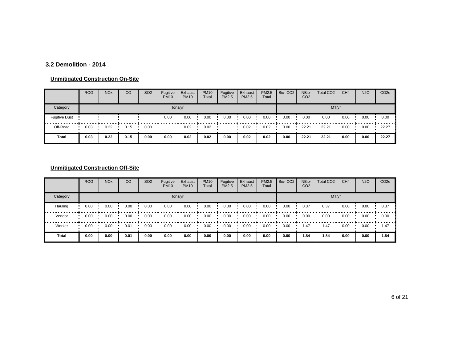### **3.2 Demolition - 2014**

#### **Unmitigated Construction On-Site**

|                      | <b>ROG</b> | <b>NO<sub>x</sub></b> | CO   | SO <sub>2</sub> | Fugitive<br><b>PM10</b> | Exhaust<br><b>PM10</b> | <b>PM10</b><br>Total | Fugitive<br><b>PM2.5</b> | Exhaust<br><b>PM2.5</b> | PM2.5<br>Total | Bio-CO <sub>2</sub> | NBio-<br>CO <sub>2</sub> | Total CO <sub>2</sub> | CH <sub>4</sub> | <b>N2O</b> | CO <sub>2e</sub> |
|----------------------|------------|-----------------------|------|-----------------|-------------------------|------------------------|----------------------|--------------------------|-------------------------|----------------|---------------------|--------------------------|-----------------------|-----------------|------------|------------------|
| Category             |            |                       |      |                 | tons/yr                 |                        |                      |                          |                         |                |                     |                          |                       | MT/yr           |            |                  |
| <b>Fugitive Dust</b> |            |                       |      |                 | 0.00                    | 0.00                   | 0.00                 | 0.00                     | 0.00                    | 0.00           | 0.00                | 0.00                     | 0.00                  | 0.00            | 0.00       | 0.00             |
| Off-Road             | 0.03       | 0.22                  | 0.15 | 0.00            |                         | 0.02                   | 0.02                 |                          | 0.02                    | 0.02           | 0.00                | 22.21                    | 22.21                 | 0.00            | 0.00       | 22.27            |
| Total                | 0.03       | 0.22                  | 0.15 | 0.00            | 0.00                    | 0.02                   | 0.02                 | 0.00                     | 0.02                    | 0.02           | 0.00                | 22.21                    | 22.21                 | 0.00            | 0.00       | 22.27            |

|          | <b>ROG</b> | <b>NO<sub>x</sub></b> | CO   | SO <sub>2</sub> | Fugitive<br><b>PM10</b> | Exhaust<br><b>PM10</b> | <b>PM10</b><br>Total | Fugitive<br><b>PM2.5</b> | Exhaust<br><b>PM2.5</b> | PM2.5<br>Total | Bio-CO <sub>2</sub> | NBio-<br>CO <sub>2</sub> | Total CO <sub>2</sub> | CH <sub>4</sub> | <b>N2O</b> | CO <sub>2e</sub> |
|----------|------------|-----------------------|------|-----------------|-------------------------|------------------------|----------------------|--------------------------|-------------------------|----------------|---------------------|--------------------------|-----------------------|-----------------|------------|------------------|
| Category |            |                       |      |                 |                         | tons/yr                |                      |                          |                         |                |                     |                          |                       | MT/yr           |            |                  |
| Hauling  | 0.00       | 0.00                  | 0.00 | 0.00            | 0.00                    | 0.00                   | 0.00                 | 0.00                     | 0.00                    | 0.00           | 0.00                | 0.37                     | 0.37                  | 0.00            | 0.00       | 0.37             |
| Vendor   | 0.00       | 0.00                  | 0.00 | 0.00            | 0.00                    | 0.00                   | 0.00                 | 0.00                     | 0.00                    | 0.00           | 0.00                | 0.00                     | 0.00                  | 0.00            | 0.00       | 0.00             |
| Worker   | 0.00       | 0.00                  | 0.01 | 0.00            | 0.00                    | 0.00                   | 0.00                 | 0.00                     | 0.00                    | 0.00           | 0.00                | 1.47                     | 1.47                  | 0.00            | 0.00       | 1.47             |
| Total    | 0.00       | 0.00                  | 0.01 | 0.00            | 0.00                    | 0.00                   | 0.00                 | 0.00                     | 0.00                    | 0.00           | 0.00                | 1.84                     | 1.84                  | 0.00            | 0.00       | 1.84             |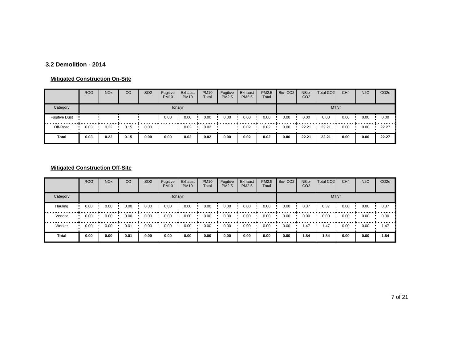### **3.2 Demolition - 2014**

#### **Mitigated Construction On-Site**

|                      | <b>ROG</b> | <b>NO<sub>x</sub></b> | CO   | <b>SO2</b> | Fugitive<br><b>PM10</b> | Exhaust<br><b>PM10</b> | <b>PM10</b><br>Total | Fugitive<br><b>PM2.5</b> | Exhaust<br><b>PM2.5</b> | PM2.5<br>Total | Bio-CO <sub>2</sub> | NBio-<br>CO <sub>2</sub> | Total CO <sub>2</sub> | CH <sub>4</sub> | <b>N2O</b> | CO <sub>2e</sub> |
|----------------------|------------|-----------------------|------|------------|-------------------------|------------------------|----------------------|--------------------------|-------------------------|----------------|---------------------|--------------------------|-----------------------|-----------------|------------|------------------|
| Category             |            |                       |      |            | tons/yr                 |                        |                      |                          |                         |                |                     |                          | MT/yr                 |                 |            |                  |
| <b>Fugitive Dust</b> |            |                       |      |            | 0.00                    | 0.00                   | 0.00                 | 0.00                     | 0.00                    | 0.00           | 0.00                | 0.00                     | 0.00                  | 0.00            | 0.00       | 0.00             |
| Off-Road             | 0.03       | 0.22                  | 0.15 | 0.00       |                         | 0.02                   | 0.02                 |                          | 0.02                    | 0.02           | 0.00                | 22.21                    | 22.21                 | 0.00            | 0.00       | 22.27            |
| Total                | 0.03       | 0.22                  | 0.15 | 0.00       | 0.00                    | 0.02                   | 0.02                 | 0.00                     | 0.02                    | 0.02           | 0.00                | 22.21                    | 22.21                 | 0.00            | 0.00       | 22.27            |

|              | <b>ROG</b> | <b>NO<sub>x</sub></b> | CO   | SO <sub>2</sub> | Fugitive<br><b>PM10</b> | Exhaust<br><b>PM10</b> | <b>PM10</b><br>Total | Fugitive<br><b>PM2.5</b> | Exhaust<br><b>PM2.5</b> | PM2.5<br>Total | Bio-CO <sub>2</sub> | NBio-<br>CO <sub>2</sub> | Total CO <sub>2</sub> | CH <sub>4</sub> | <b>N2O</b> | CO <sub>2e</sub> |
|--------------|------------|-----------------------|------|-----------------|-------------------------|------------------------|----------------------|--------------------------|-------------------------|----------------|---------------------|--------------------------|-----------------------|-----------------|------------|------------------|
| Category     |            |                       |      |                 |                         | tons/yr                |                      |                          |                         |                |                     |                          |                       | MT/yr           |            |                  |
| Hauling      | 0.00       | 0.00                  | 0.00 | 0.00            | 0.00                    | 0.00                   | 0.00                 | 0.00                     | 0.00                    | 0.00           | 0.00                | 0.37                     | 0.37                  | 0.00            | 0.00       | 0.37             |
| Vendor       | 0.00       | 0.00                  | 0.00 | 0.00            | 0.00                    | 0.00                   | 0.00                 | 0.00                     | 0.00                    | 0.00           | 0.00                | 0.00                     | 0.00                  | 0.00            | 0.00       | 0.00             |
| Worker       | 0.00       | 0.00                  | 0.01 | 0.00            | 0.00                    | 0.00                   | 0.00                 | 0.00                     | 0.00                    | 0.00           | 0.00                | 1.47                     | 1.47                  | 0.00            | 0.00       | 1.47             |
| <b>Total</b> | 0.00       | 0.00                  | 0.01 | 0.00            | 0.00                    | 0.00                   | 0.00                 | 0.00                     | 0.00                    | 0.00           | 0.00                | 1.84                     | 1.84                  | 0.00            | 0.00       | 1.84             |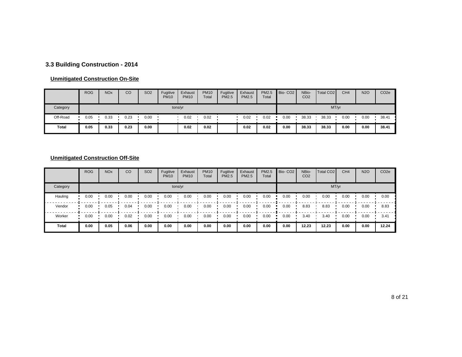# **3.3 Building Construction - 2014**

#### **Unmitigated Construction On-Site**

|          | <b>ROG</b> | <b>NO<sub>x</sub></b> | CO   | SO <sub>2</sub> | Fugitive<br><b>PM10</b> | Exhaust<br><b>PM10</b> | <b>PM10</b><br>Total | Fugitive<br><b>PM2.5</b> | Exhaust<br><b>PM2.5</b> | PM2.5<br>Total | Bio-CO <sub>2</sub> | NBio-<br>CO <sub>2</sub> | Total CO <sub>2</sub> | CH <sub>4</sub> | <b>N2O</b> | CO <sub>2</sub> e |
|----------|------------|-----------------------|------|-----------------|-------------------------|------------------------|----------------------|--------------------------|-------------------------|----------------|---------------------|--------------------------|-----------------------|-----------------|------------|-------------------|
| Category |            |                       |      |                 | tons/yr                 |                        |                      |                          |                         | MT/yr          |                     |                          |                       |                 |            |                   |
| Off-Road | 0.05       | 0.33                  | 0.23 | 0.00            |                         | 0.02                   | 0.02                 |                          | 0.02                    | 0.02           | 0.00                | 38.33                    | 38.33                 | 0.00            | 0.00       | 38.41             |
| Total    | 0.05       | 0.33                  | 0.23 | 0.00            |                         | 0.02                   | 0.02                 |                          | 0.02                    | 0.02           | 0.00                | 38.33                    | 38.33                 | 0.00            | 0.00       | 38.41             |

|              | <b>ROG</b> | <b>NO<sub>x</sub></b> | CO   | SO <sub>2</sub> | Fugitive<br><b>PM10</b> | Exhaust<br><b>PM10</b> | <b>PM10</b><br>Total | Fugitive<br><b>PM2.5</b> | Exhaust<br><b>PM2.5</b> | PM2.5<br>Total | Bio-CO <sub>2</sub> | NBio-<br>CO <sub>2</sub> | Total CO <sub>2</sub> | CH <sub>4</sub> | <b>N2O</b> | CO <sub>2e</sub> |
|--------------|------------|-----------------------|------|-----------------|-------------------------|------------------------|----------------------|--------------------------|-------------------------|----------------|---------------------|--------------------------|-----------------------|-----------------|------------|------------------|
| Category     |            |                       |      |                 |                         | tons/yr                |                      |                          |                         |                |                     |                          |                       | MT/yr           |            |                  |
| Hauling      | 0.00       | 0.00                  | 0.00 | 0.00            | 0.00                    | 0.00                   | 0.00                 | 0.00                     | 0.00                    | 0.00           | 0.00                | 0.00                     | 0.00                  | 0.00            | 0.00       | 0.00             |
| Vendor       | 0.00       | 0.05                  | 0.04 | 0.00            | 0.00                    | 0.00                   | 0.00                 | 0.00                     | 0.00                    | 0.00           | 0.00                | 8.83                     | 8.83                  | 0.00            | 0.00       | 8.83             |
| Worker       | 0.00       | 0.00                  | 0.02 | 0.00            | 0.00                    | 0.00                   | 0.00                 | 0.00                     | 0.00                    | 0.00           | 0.00                | 3.40                     | 3.40                  | 0.00            | 0.00       | 3.41             |
| <b>Total</b> | 0.00       | 0.05                  | 0.06 | 0.00            | 0.00                    | 0.00                   | 0.00                 | 0.00                     | 0.00                    | 0.00           | 0.00                | 12.23                    | 12.23                 | 0.00            | 0.00       | 12.24            |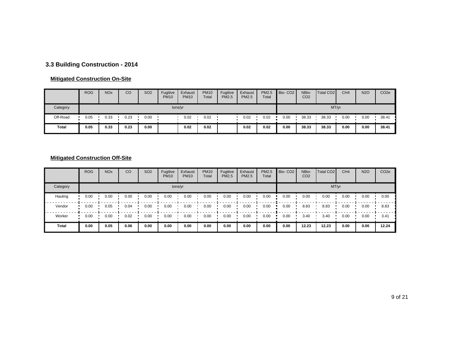# **3.3 Building Construction - 2014**

#### **Mitigated Construction On-Site**

|          | <b>ROG</b> | <b>NO<sub>x</sub></b> | CO   | SO <sub>2</sub> | Fugitive<br><b>PM10</b> | Exhaust<br><b>PM10</b> | <b>PM10</b><br>Total | Fugitive<br><b>PM2.5</b> | Exhaust<br><b>PM2.5</b> | PM2.5<br>Total | Bio-CO <sub>2</sub> | NBio-<br>CO <sub>2</sub> | Total CO <sub>2</sub> | CH <sub>4</sub> | <b>N2O</b> | CO <sub>2</sub> e |
|----------|------------|-----------------------|------|-----------------|-------------------------|------------------------|----------------------|--------------------------|-------------------------|----------------|---------------------|--------------------------|-----------------------|-----------------|------------|-------------------|
| Category |            |                       |      |                 | tons/yr                 |                        |                      |                          |                         | MT/yr          |                     |                          |                       |                 |            |                   |
| Off-Road | 0.05       | 0.33                  | 0.23 | 0.00            |                         | 0.02                   | 0.02                 |                          | 0.02                    | 0.02           | 0.00                | 38.33                    | 38.33                 | 0.00            | 0.00       | 38.41             |
| Total    | 0.05       | 0.33                  | 0.23 | 0.00            |                         | 0.02                   | 0.02                 |                          | 0.02                    | 0.02           | 0.00                | 38.33                    | 38.33                 | 0.00            | 0.00       | 38.41             |

|              | <b>ROG</b> | <b>NO<sub>x</sub></b> | CO   | SO <sub>2</sub> | Fugitive<br><b>PM10</b> | Exhaust<br><b>PM10</b> | <b>PM10</b><br>Total | Fugitive<br><b>PM2.5</b> | Exhaust<br><b>PM2.5</b> | PM2.5<br>Total | Bio-CO <sub>2</sub> | NBio-<br>CO <sub>2</sub> | Total CO <sub>2</sub> | CH <sub>4</sub> | <b>N2O</b> | CO <sub>2e</sub> |
|--------------|------------|-----------------------|------|-----------------|-------------------------|------------------------|----------------------|--------------------------|-------------------------|----------------|---------------------|--------------------------|-----------------------|-----------------|------------|------------------|
| Category     |            |                       |      |                 |                         | tons/yr                |                      |                          |                         |                |                     |                          |                       | MT/yr           |            |                  |
| Hauling      | 0.00       | 0.00                  | 0.00 | 0.00            | 0.00                    | 0.00                   | 0.00                 | 0.00                     | 0.00                    | 0.00           | 0.00                | 0.00                     | 0.00                  | 0.00            | 0.00       | 0.00             |
| Vendor       | 0.00       | 0.05                  | 0.04 | 0.00            | 0.00                    | 0.00                   | 0.00                 | 0.00                     | 0.00                    | 0.00           | 0.00                | 8.83                     | 8.83                  | 0.00            | 0.00       | 8.83             |
| Worker       | 0.00       | 0.00                  | 0.02 | 0.00            | 0.00                    | 0.00                   | 0.00                 | 0.00                     | 0.00                    | 0.00           | 0.00                | 3.40                     | 3.40                  | 0.00            | 0.00       | 3.41             |
| <b>Total</b> | 0.00       | 0.05                  | 0.06 | 0.00            | 0.00                    | 0.00                   | 0.00                 | 0.00                     | 0.00                    | 0.00           | 0.00                | 12.23                    | 12.23                 | 0.00            | 0.00       | 12.24            |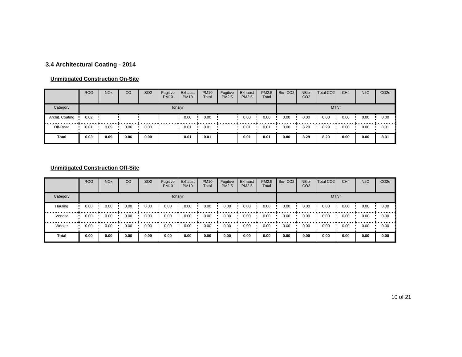# **3.4 Architectural Coating - 2014**

#### **Unmitigated Construction On-Site**

|                 | <b>ROG</b> | <b>NO<sub>x</sub></b> | CO   | SO <sub>2</sub> | Fugitive<br><b>PM10</b> | Exhaust<br><b>PM10</b> | <b>PM10</b><br>Total | Fugitive<br><b>PM2.5</b> | Exhaust<br>PM2.5 | PM2.5<br>Total | Bio-CO <sub>2</sub> | NBio-<br>CO <sub>2</sub> | Total CO <sub>2</sub> | CH <sub>4</sub> | <b>N2O</b> | CO <sub>2e</sub> |
|-----------------|------------|-----------------------|------|-----------------|-------------------------|------------------------|----------------------|--------------------------|------------------|----------------|---------------------|--------------------------|-----------------------|-----------------|------------|------------------|
| Category        |            |                       |      |                 |                         | tons/yr                |                      |                          |                  |                |                     |                          | MT/yr                 |                 |            |                  |
| Archit. Coating | 0.02       |                       |      |                 |                         | 0.00                   | 0.00                 |                          | 0.00             | 0.00           | 0.00                | 0.00                     | 0.00                  | 0.00            | 0.00       | 0.00             |
| Off-Road        | 0.01       | 0.09                  | 0.06 | 0.00            |                         | 0.01                   | 0.01                 |                          | 0.01             | 0.01           | 0.00                | 8.29                     | 8.29                  | 0.00            | 0.00       | 8.31             |
| Total           | 0.03       | 0.09                  | 0.06 | 0.00            |                         | 0.01                   | 0.01                 |                          | 0.01             | 0.01           | 0.00                | 8.29                     | 8.29                  | 0.00            | 0.00       | 8.31             |

|              | <b>ROG</b> | <b>NO<sub>x</sub></b> | CO   | SO <sub>2</sub> | Fugitive<br><b>PM10</b> | Exhaust<br><b>PM10</b> | <b>PM10</b><br>Total | Fugitive<br><b>PM2.5</b> | Exhaust<br><b>PM2.5</b> | PM2.5<br>Total | Bio-CO <sub>2</sub> | NBio-<br>CO <sub>2</sub> | Total CO <sub>2</sub> | CH <sub>4</sub> | <b>N2O</b> | CO <sub>2e</sub> |
|--------------|------------|-----------------------|------|-----------------|-------------------------|------------------------|----------------------|--------------------------|-------------------------|----------------|---------------------|--------------------------|-----------------------|-----------------|------------|------------------|
| Category     |            |                       |      |                 |                         | tons/yr                |                      |                          |                         |                |                     |                          |                       | MT/yr           |            |                  |
| Hauling      | 0.00       | 0.00                  | 0.00 | 0.00            | 0.00                    | 0.00                   | 0.00                 | 0.00                     | 0.00                    | 0.00           | 0.00                | 0.00                     | 0.00                  | 0.00            | 0.00       | 0.00             |
| Vendor       | 0.00       | 0.00                  | 0.00 | 0.00            | 0.00                    | 0.00                   | 0.00                 | 0.00                     | 0.00                    | 0.00           | 0.00                | 0.00                     | 0.00                  | 0.00            | 0.00       | 0.00             |
| Worker       | 0.00       | 0.00                  | 0.00 | 0.00            | 0.00                    | 0.00                   | 0.00                 | 0.00                     | 0.00                    | 0.00           | 0.00                | 0.00                     | 0.00                  | 0.00            | 0.00       | 0.00             |
| <b>Total</b> | 0.00       | 0.00                  | 0.00 | 0.00            | 0.00                    | 0.00                   | 0.00                 | 0.00                     | 0.00                    | 0.00           | 0.00                | 0.00                     | 0.00                  | 0.00            | 0.00       | 0.00             |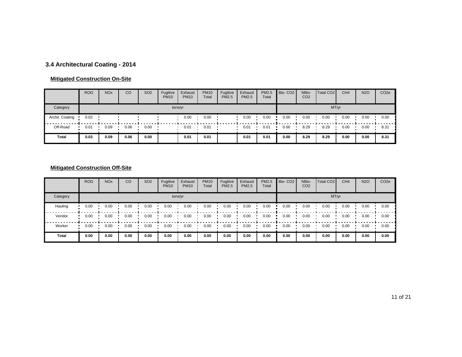# **3.4 Architectural Coating - 2014**

#### **Mitigated Construction On-Site**

|                 | <b>ROG</b> | <b>NO<sub>x</sub></b> | CO   | SO <sub>2</sub> | Fugitive<br><b>PM10</b> | Exhaust<br><b>PM10</b> | <b>PM10</b><br>Total | Fugitive<br><b>PM2.5</b> | Exhaust<br><b>PM2.5</b> | PM2.5<br>Total | Bio-CO <sub>2</sub> | NBio-<br>CO <sub>2</sub> | Total CO <sub>2</sub> | CH <sub>4</sub> | <b>N2O</b> | CO <sub>2</sub> e |
|-----------------|------------|-----------------------|------|-----------------|-------------------------|------------------------|----------------------|--------------------------|-------------------------|----------------|---------------------|--------------------------|-----------------------|-----------------|------------|-------------------|
| Category        |            |                       |      |                 | tons/yr                 |                        |                      |                          |                         |                |                     |                          | MT/yr                 |                 |            |                   |
| Archit. Coating | 0.02       |                       |      |                 |                         | 0.00                   | 0.00                 |                          | 0.00                    | 0.00           | 0.00                | 0.00                     | 0.00                  | 0.00            | 0.00       | 0.00              |
| Off-Road        | 0.01       | 0.09                  | 0.06 | 0.00            |                         | 0.01                   | 0.01                 |                          | 0.01                    | 0.01           | 0.00                | 8.29                     | 8.29                  | 0.00            | 0.00       | 8.31              |
| <b>Total</b>    | 0.03       | 0.09                  | 0.06 | 0.00            |                         | 0.01                   | 0.01                 |                          | 0.01                    | 0.01           | 0.00                | 8.29                     | 8.29                  | 0.00            | 0.00       | 8.31              |

|              | <b>ROG</b> | <b>NO<sub>x</sub></b> | CO   | SO <sub>2</sub> | Fugitive<br><b>PM10</b> | Exhaust<br><b>PM10</b> | <b>PM10</b><br>Total | Fugitive<br><b>PM2.5</b> | Exhaust<br><b>PM2.5</b> | PM2.5<br>Total | Bio-CO <sub>2</sub> | NBio-<br>CO <sub>2</sub> | Total CO <sub>2</sub> | CH <sub>4</sub> | <b>N2O</b> | CO <sub>2e</sub> |
|--------------|------------|-----------------------|------|-----------------|-------------------------|------------------------|----------------------|--------------------------|-------------------------|----------------|---------------------|--------------------------|-----------------------|-----------------|------------|------------------|
| Category     |            |                       |      |                 |                         | tons/yr                |                      |                          |                         |                |                     |                          |                       | MT/yr           |            |                  |
| Hauling      | 0.00       | 0.00                  | 0.00 | 0.00            | 0.00                    | 0.00                   | 0.00                 | 0.00                     | 0.00                    | 0.00           | 0.00                | 0.00                     | 0.00                  | 0.00            | 0.00       | 0.00             |
| Vendor       | 0.00       | 0.00                  | 0.00 | 0.00            | 0.00                    | 0.00                   | 0.00                 | 0.00                     | 0.00                    | 0.00           | 0.00                | 0.00                     | 0.00                  | 0.00            | 0.00       | 0.00             |
| Worker       | 0.00       | 0.00                  | 0.00 | 0.00            | 0.00                    | 0.00                   | 0.00                 | 0.00                     | 0.00                    | 0.00           | 0.00                | 0.00                     | 0.00                  | 0.00            | 0.00       | 0.00             |
| <b>Total</b> | 0.00       | 0.00                  | 0.00 | 0.00            | 0.00                    | 0.00                   | 0.00                 | 0.00                     | 0.00                    | 0.00           | 0.00                | 0.00                     | 0.00                  | 0.00            | 0.00       | 0.00             |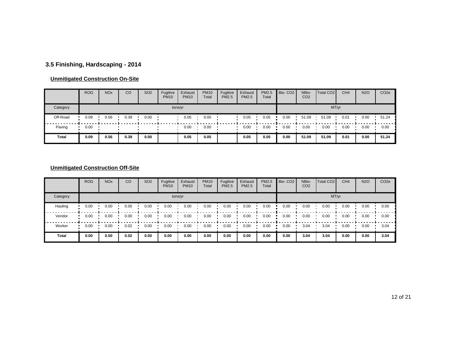# **3.5 Finishing, Hardscaping - 2014**

#### **Unmitigated Construction On-Site**

|          | <b>ROG</b> | <b>NO<sub>x</sub></b> | CO   | SO <sub>2</sub> | Fugitive<br><b>PM10</b> | Exhaust<br><b>PM10</b> | <b>PM10</b><br>Total | Fugitive<br><b>PM2.5</b> | Exhaust<br><b>PM2.5</b> | PM2.5<br>Total | Bio-CO <sub>2</sub> | NBio-<br>CO <sub>2</sub> | Total CO <sub>2</sub> | CH <sub>4</sub> | <b>N2O</b> | CO <sub>2</sub> e |
|----------|------------|-----------------------|------|-----------------|-------------------------|------------------------|----------------------|--------------------------|-------------------------|----------------|---------------------|--------------------------|-----------------------|-----------------|------------|-------------------|
| Category |            |                       |      |                 | tons/yr                 |                        |                      |                          |                         |                |                     |                          | MT/yr                 |                 |            |                   |
| Off-Road | 0.09       | 0.56                  | 0.39 | 0.00            |                         | 0.05                   | 0.05                 |                          | 0.05                    | 0.05           | 0.00                | 51.09                    | 51.09                 | 0.01            | 0.00       | 51.24             |
| Paving   | 0.00       |                       |      |                 |                         | 0.00                   | 0.00                 |                          | 0.00                    | 0.00           | 0.00                | 0.00                     | 0.00                  | 0.00            | 0.00       | 0.00              |
| Total    | 0.09       | 0.56                  | 0.39 | 0.00            |                         | 0.05                   | 0.05                 |                          | 0.05                    | 0.05           | 0.00                | 51.09                    | 51.09                 | 0.01            | 0.00       | 51.24             |

|              | <b>ROG</b> | <b>NO<sub>x</sub></b> | CO   | SO <sub>2</sub> | Fugitive<br><b>PM10</b> | Exhaust<br><b>PM10</b> | <b>PM10</b><br>Total | Fugitive<br><b>PM2.5</b> | Exhaust<br><b>PM2.5</b> | PM2.5<br>Total | Bio-CO <sub>2</sub> | NBio-<br>CO <sub>2</sub> | Total CO <sub>2</sub> | CH <sub>4</sub> | <b>N2O</b> | CO <sub>2e</sub> |
|--------------|------------|-----------------------|------|-----------------|-------------------------|------------------------|----------------------|--------------------------|-------------------------|----------------|---------------------|--------------------------|-----------------------|-----------------|------------|------------------|
| Category     |            |                       |      |                 |                         | tons/yr                |                      |                          |                         |                |                     |                          |                       | MT/yr           |            |                  |
| Hauling      | 0.00       | 0.00                  | 0.00 | 0.00            | 0.00                    | 0.00                   | 0.00                 | 0.00                     | 0.00                    | 0.00           | 0.00                | 0.00                     | 0.00                  | 0.00            | 0.00       | 0.00             |
| Vendor       | 0.00       | 0.00                  | 0.00 | 0.00            | 0.00                    | 0.00                   | 0.00                 | 0.00                     | 0.00                    | 0.00           | 0.00                | 0.00                     | 0.00                  | 0.00            | 0.00       | 0.00             |
| Worker       | 0.00       | 0.00                  | 0.02 | 0.00            | 0.00                    | 0.00                   | 0.00                 | 0.00                     | 0.00                    | 0.00           | 0.00                | 3.04                     | 3.04                  | 0.00            | 0.00       | 3.04             |
| <b>Total</b> | 0.00       | 0.00                  | 0.02 | 0.00            | 0.00                    | 0.00                   | 0.00                 | 0.00                     | 0.00                    | 0.00           | 0.00                | 3.04                     | 3.04                  | 0.00            | 0.00       | 3.04             |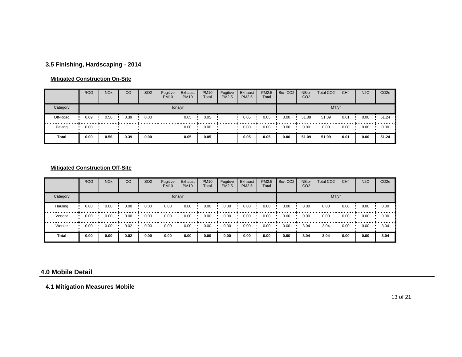# **3.5 Finishing, Hardscaping - 2014**

#### **Mitigated Construction On-Site**

|          | <b>ROG</b> | <b>NO<sub>x</sub></b> | CO   | <b>SO2</b> | Fugitive<br><b>PM10</b> | Exhaust<br><b>PM10</b> | <b>PM10</b><br>Total | Fugitive<br><b>PM2.5</b> | Exhaust<br>PM2.5 | <b>PM2.5</b><br>Total | Bio-CO <sub>2</sub> | NBio-<br>CO <sub>2</sub> | Total CO <sub>2</sub> | CH <sub>4</sub> | <b>N2O</b> | CO <sub>2</sub> e |
|----------|------------|-----------------------|------|------------|-------------------------|------------------------|----------------------|--------------------------|------------------|-----------------------|---------------------|--------------------------|-----------------------|-----------------|------------|-------------------|
| Category |            |                       |      |            |                         | tons/yr                |                      |                          |                  |                       |                     |                          |                       | MT/yr           |            |                   |
| Off-Road | 0.09       | 0.56                  | 0.39 | 0.00       |                         | 0.05                   | 0.05                 |                          | 0.05             | 0.05                  | 0.00                | 51.09                    | 51.09                 | 0.01            | 0.00       | 51.24             |
| Paving   | 0.00       |                       |      |            |                         | 0.00                   | 0.00                 |                          | 0.00             | 0.00                  | 0.00                | 0.00                     | 0.00                  | 0.00            | 0.00       | 0.00              |
| Total    | 0.09       | 0.56                  | 0.39 | 0.00       |                         | 0.05                   | 0.05                 |                          | 0.05             | 0.05                  | 0.00                | 51.09                    | 51.09                 | 0.01            | 0.00       | 51.24             |

#### **Mitigated Construction Off-Site**

|          | <b>ROG</b> | <b>NO<sub>x</sub></b> | CO   | <b>SO2</b> | Fugitive<br><b>PM10</b> | Exhaust<br><b>PM10</b> | <b>PM10</b><br>Total | Fugitive<br>PM2.5 | Exhaust<br><b>PM2.5</b> | PM2.5<br>Total | Bio-CO <sub>2</sub> | NBio-<br>CO <sub>2</sub> | Total CO <sub>2</sub> | CH <sub>4</sub> | <b>N2O</b> | CO <sub>2e</sub> |
|----------|------------|-----------------------|------|------------|-------------------------|------------------------|----------------------|-------------------|-------------------------|----------------|---------------------|--------------------------|-----------------------|-----------------|------------|------------------|
| Category |            |                       |      |            |                         | tons/yr                |                      |                   |                         |                |                     |                          | MT/yr                 |                 |            |                  |
| Hauling  | 0.00       | 0.00                  | 0.00 | 0.00       | 0.00                    | 0.00                   | 0.00                 | 0.00              | 0.00                    | 0.00           | 0.00                | 0.00                     | 0.00                  | 0.00            | 0.00       | 0.00             |
| Vendor   | 0.00       | 0.00                  | 0.00 | 0.00       | 0.00                    | 0.00                   | 0.00                 | 0.00              | 0.00                    | 0.00           | 0.00                | 0.00                     | 0.00                  | 0.00            | 0.00       | 0.00             |
| Worker   | 0.00       | 0.00                  | 0.02 | 0.00       | 0.00                    | 0.00                   | 0.00                 | 0.00              | 0.00                    | 0.00           | 0.00                | 3.04                     | 3.04                  | 0.00            | 0.00       | 3.04             |
| Total    | 0.00       | 0.00                  | 0.02 | 0.00       | 0.00                    | 0.00                   | 0.00                 | 0.00              | 0.00                    | 0.00           | 0.00                | 3.04                     | 3.04                  | 0.00            | 0.00       | 3.04             |

#### **4.0 Mobile Detail**

**4.1 Mitigation Measures Mobile**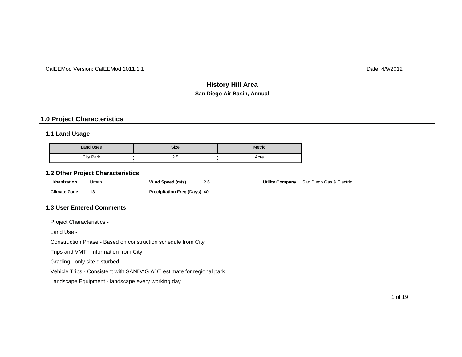#### CalEEMod Version: CalEEMod.2011.1.1

Date: 4/9/2012

# **San Diego Air Basin, Annual History Hill Area**

**Utility Company** San Diego Gas & Electric

#### **1.0 Project Characteristics**

#### **1.1 Land Usage**

| Land Uses | <b>Size</b> | <b>Metric</b> |
|-----------|-------------|---------------|
| City Park | ں.ے         | Acre          |

#### **1.2 Other Project Characteristics**

| <b>Urbanization</b> | Urban | Wind Speed (m/s)                    | 2.6 |
|---------------------|-------|-------------------------------------|-----|
| <b>Climate Zone</b> |       | <b>Precipitation Freg (Days) 40</b> |     |

#### **1.3 User Entered Comments**

Project Characteristics -

Land Use -

Construction Phase - Based on construction schedule from City

Trips and VMT - Information from City

Grading - only site disturbed

Vehicle Trips - Consistent with SANDAG ADT estimate for regional park

Landscape Equipment - landscape every working day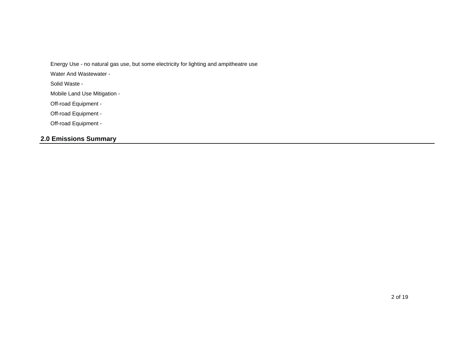Energy Use - no natural gas use, but some electricity for lighting and ampitheatre use

Water And Wastewater -

Solid Waste -

Mobile Land Use Mitigation -

Off-road Equipment -

Off-road Equipment -

Off-road Equipment -

# **2.0 Emissions Summary**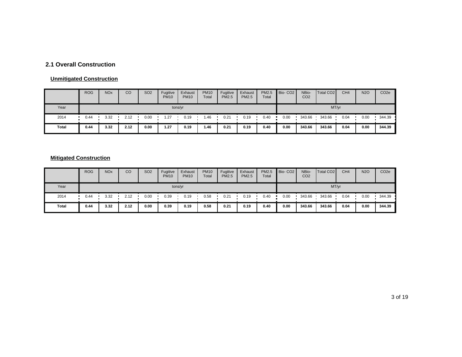# **2.1 Overall Construction**

#### **Unmitigated Construction**

|       | <b>ROG</b> | <b>NO<sub>x</sub></b> | CO   | SO <sub>2</sub> | Fugitive<br><b>PM10</b> | Exhaust<br><b>PM10</b> | <b>PM10</b><br>Total | Fugitive<br><b>PM2.5</b> | Exhaust<br><b>PM2.5</b> | PM2.5<br>Total | Bio-CO <sub>2</sub> | NBio-<br>CO <sub>2</sub> | Total CO <sub>2</sub> | CH <sub>4</sub> | <b>N2O</b> | CO <sub>2</sub> e |
|-------|------------|-----------------------|------|-----------------|-------------------------|------------------------|----------------------|--------------------------|-------------------------|----------------|---------------------|--------------------------|-----------------------|-----------------|------------|-------------------|
| Year  |            |                       |      |                 |                         | tons/yr                |                      |                          |                         |                |                     |                          | MT/yr                 |                 |            |                   |
| 2014  | 0.44       | 3.32                  | 2.12 | 0.00            | 1.27                    | 0.19                   | .46                  | 0.21                     | 0.19                    | 0.40           | 0.00                | 343.66                   | 343.66                | 0.04            | 0.00       | 344.39            |
| Total | 0.44       | 3.32                  | 2.12 | 0.00            | 1.27                    | 0.19                   | 1.46                 | 0.21                     | 0.19                    | 0.40           | 0.00                | 343.66                   | 343.66                | 0.04            | 0.00       | 344.39            |

#### **Mitigated Construction**

|       | <b>ROG</b> | <b>NO<sub>x</sub></b> | CO   | SO <sub>2</sub> | Fugitive<br><b>PM10</b> | Exhaust<br><b>PM10</b> | <b>PM10</b><br>Total | Fugitive<br><b>PM2.5</b> | Exhaust<br>PM2.5 | PM2.5<br>Total | Bio-CO <sub>2</sub> | NBio-<br>CO <sub>2</sub> | Total CO <sub>2</sub> | CH <sub>4</sub> | <b>N2O</b> | CO <sub>2</sub> e |
|-------|------------|-----------------------|------|-----------------|-------------------------|------------------------|----------------------|--------------------------|------------------|----------------|---------------------|--------------------------|-----------------------|-----------------|------------|-------------------|
| Year  |            |                       |      |                 | tons/yr                 |                        |                      |                          |                  |                |                     |                          | MT/yr                 |                 |            |                   |
| 2014  | 0.44       | 3.32                  | 2.12 | 0.00            | 0.39                    | 0.19                   | 0.58                 | 0.21                     | 0.19             | 0.40           | 0.00                | 343.66                   | 343.66                | 0.04            | 0.00       | 344.39            |
| Total | 0.44       | 3.32                  | 2.12 | 0.00            | 0.39                    | 0.19                   | 0.58                 | 0.21                     | 0.19             | 0.40           | 0.00                | 343.66                   | 343.66                | 0.04            | 0.00       | 344.39            |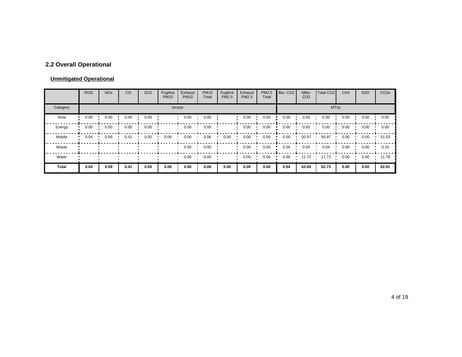# **2.2 Overall Operational**

#### **Unmitigated Operational**

|          | <b>ROG</b> | <b>NO<sub>x</sub></b> | CO   | SO <sub>2</sub> | Fugitive<br><b>PM10</b> | Exhaust<br><b>PM10</b> | <b>PM10</b><br>Total | Fugitive<br>PM2.5 | Exhaust<br>PM2.5 | PM2.5<br>Total | Bio-CO <sub>2</sub> | NBio-<br>CO <sub>2</sub> | Total CO <sub>2</sub> | CH <sub>4</sub> | <b>N2O</b> | CO <sub>2e</sub> |
|----------|------------|-----------------------|------|-----------------|-------------------------|------------------------|----------------------|-------------------|------------------|----------------|---------------------|--------------------------|-----------------------|-----------------|------------|------------------|
| Category |            |                       |      |                 | tons/yr                 |                        |                      |                   |                  |                |                     |                          | MT/yr                 |                 |            |                  |
| Area     | 0.00       | 0.00                  | 0.00 | 0.00            |                         | 0.00                   | 0.00                 |                   | 0.00             | 0.00           | 0.00                | 0.00                     | 0.00                  | 0.00            | 0.00       | 0.00             |
| Energy   | 0.00       | 0.00                  | 0.00 | 0.00            |                         | 0.00                   | 0.00                 |                   | 0.00             | 0.00           | 0.00                | 0.00                     | 0.00                  | 0.00            | 0.00       | 0.00             |
| Mobile   | 0.04       | 0.09                  | 0.41 | 0.00            | 0.06                    | 0.00                   | 0.06                 | 0.00              | 0.00             | 0.00           | 0.00                | 50.97                    | 50.97                 | 0.00            | 0.00       | 51.03            |
| Waste    |            |                       |      |                 |                         | 0.00                   | 0.00                 |                   | 0.00             | 0.00           | 0.04                | 0.00                     | 0.04                  | 0.00            | 0.00       | 0.10             |
| Water    |            |                       |      |                 |                         | 0.00                   | 0.00                 |                   | 0.00             | 0.00           | 0.00                | 11.72                    | 11.72                 | 0.00            | 0.00       | 11.78            |
| Total    | 0.04       | 0.09                  | 0.41 | 0.00            | 0.06                    | 0.00                   | 0.06                 | 0.00              | 0.00             | 0.00           | 0.04                | 62.69                    | 62.73                 | 0.00            | 0.00       | 62.91            |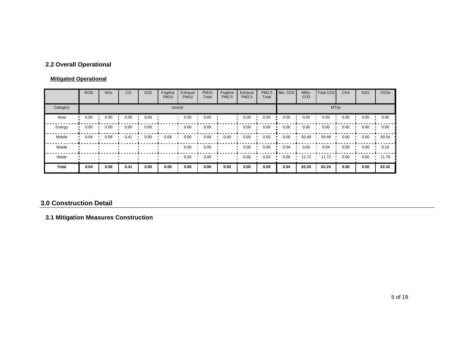# **2.2 Overall Operational**

#### **Mitigated Operational**

|          | <b>ROG</b> | <b>NO<sub>x</sub></b> | CO   | SO <sub>2</sub> | Fugitive<br><b>PM10</b> | Exhaust<br><b>PM10</b> | <b>PM10</b><br>Total | Fugitive<br>PM2.5 | Exhaust<br><b>PM2.5</b> | PM2.5<br>Total | Bio-CO <sub>2</sub> | NBio-<br>CO <sub>2</sub> | Total CO <sub>2</sub> | CH <sub>4</sub> | <b>N2O</b> | CO <sub>2e</sub> |
|----------|------------|-----------------------|------|-----------------|-------------------------|------------------------|----------------------|-------------------|-------------------------|----------------|---------------------|--------------------------|-----------------------|-----------------|------------|------------------|
| Category |            |                       |      |                 |                         | tons/yr                |                      |                   |                         |                |                     |                          |                       | MT/yr           |            |                  |
| Area     | 0.00       | 0.00                  | 0.00 | 0.00            |                         | 0.00                   | 0.00                 |                   | 0.00                    | 0.00           | 0.00                | 0.00                     | 0.00                  | 0.00            | 0.00       | 0.00             |
| Energy   | 0.00       | 0.00                  | 0.00 | 0.00            |                         | 0.00                   | 0.00                 |                   | 0.00                    | 0.00           | 0.00                | 0.00                     | 0.00                  | 0.00            | 0.00       | 0.00             |
| Mobile   | 0.04       | 0.08                  | 0.41 | 0.00            | 0.06                    | 0.00                   | 0.06                 | 0.00              | 0.00                    | 0.00           | 0.00                | 50.48                    | 50.48                 | 0.00            | 0.00       | 50.54            |
| Waste    |            |                       |      |                 |                         | 0.00                   | 0.00                 |                   | 0.00                    | 0.00           | 0.04                | 0.00                     | 0.04                  | 0.00            | 0.00       | 0.10             |
| Water    |            |                       |      |                 |                         | 0.00                   | 0.00                 |                   | 0.00                    | 0.00           | 0.00                | 11.72                    | 11.72                 | 0.00            | 0.00       | 11.78            |
| Total    | 0.04       | 0.08                  | 0.41 | 0.00            | 0.06                    | 0.00                   | 0.06                 | 0.00              | 0.00                    | 0.00           | 0.04                | 62.20                    | 62.24                 | 0.00            | 0.00       | 62.42            |

#### **3.0 Construction Detail**

# **3.1 Mitigation Measures Construction**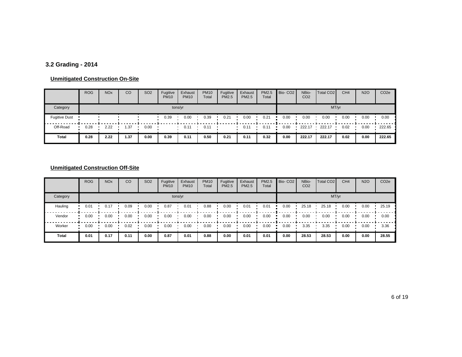# **3.2 Grading - 2014**

#### **Unmitigated Construction On-Site**

|                      | <b>ROG</b> | <b>NO<sub>x</sub></b> | CO   | SO <sub>2</sub> | Fugitive<br><b>PM10</b> | Exhaust<br><b>PM10</b> | <b>PM10</b><br>Total | Fugitive<br><b>PM2.5</b> | Exhaust<br><b>PM2.5</b> | PM2.5<br>Total | Bio-CO <sub>2</sub> | NBio-<br>CO <sub>2</sub> | Total CO <sub>2</sub> | CH <sub>4</sub> | <b>N2O</b> | CO <sub>2e</sub> |
|----------------------|------------|-----------------------|------|-----------------|-------------------------|------------------------|----------------------|--------------------------|-------------------------|----------------|---------------------|--------------------------|-----------------------|-----------------|------------|------------------|
| Category             |            |                       |      |                 |                         | tons/yr                |                      |                          |                         |                |                     |                          |                       | MT/yr           |            |                  |
| <b>Fugitive Dust</b> |            |                       |      |                 | 0.39                    | 0.00                   | 0.39                 | 0.21                     | 0.00                    | 0.21           | 0.00                | 0.00                     | 0.00                  | 0.00            | 0.00       | 0.00             |
| Off-Road             | 0.28       | 2.22                  | 1.37 | 0.00            |                         | 0.11                   | 0.1                  |                          | 0.11                    | 0.11           | 0.00                | 222.17                   | 222.17                | 0.02            | 0.00       | 222.65           |
| Total                | 0.28       | 2.22                  | 1.37 | 0.00            | 0.39                    | 0.11                   | 0.50                 | 0.21                     | 0.11                    | 0.32           | 0.00                | 222.17                   | 222.17                | 0.02            | 0.00       | 222.65           |

|              | <b>ROG</b> | <b>NO<sub>x</sub></b> | CO   | SO <sub>2</sub> | Fugitive<br><b>PM10</b> | Exhaust<br><b>PM10</b> | <b>PM10</b><br>Total | Fugitive<br><b>PM2.5</b> | Exhaust<br><b>PM2.5</b> | PM2.5<br>Total | Bio-CO <sub>2</sub> | NBio-<br>CO <sub>2</sub> | Total CO <sub>2</sub> | CH <sub>4</sub> | <b>N2O</b> | CO <sub>2e</sub> |
|--------------|------------|-----------------------|------|-----------------|-------------------------|------------------------|----------------------|--------------------------|-------------------------|----------------|---------------------|--------------------------|-----------------------|-----------------|------------|------------------|
| Category     |            |                       |      |                 |                         | tons/yr                |                      |                          |                         |                |                     |                          |                       | MT/yr           |            |                  |
| Hauling      | 0.01       | 0.17                  | 0.09 | 0.00            | 0.87                    | 0.01                   | 0.88                 | 0.00                     | 0.01                    | 0.01           | 0.00                | 25.18                    | 25.18                 | 0.00            | 0.00       | 25.19            |
| Vendor       | 0.00       | 0.00                  | 0.00 | 0.00            | 0.00                    | 0.00                   | 0.00                 | 0.00                     | 0.00                    | 0.00           | 0.00                | 0.00                     | 0.00                  | 0.00            | 0.00       | 0.00             |
| Worker       | 0.00       | 0.00                  | 0.02 | 0.00            | 0.00                    | 0.00                   | 0.00                 | 0.00                     | 0.00                    | 0.00           | 0.00                | 3.35                     | 3.35                  | 0.00            | 0.00       | 3.36             |
| <b>Total</b> | 0.01       | 0.17                  | 0.11 | 0.00            | 0.87                    | 0.01                   | 0.88                 | 0.00                     | 0.01                    | 0.01           | 0.00                | 28.53                    | 28.53                 | 0.00            | 0.00       | 28.55            |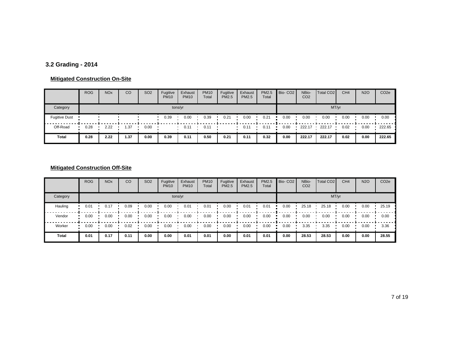# **3.2 Grading - 2014**

#### **Mitigated Construction On-Site**

|                      | <b>ROG</b> | <b>NO<sub>x</sub></b> | CO   | SO <sub>2</sub> | Fugitive<br><b>PM10</b> | Exhaust<br><b>PM10</b> | <b>PM10</b><br>Total | Fugitive<br><b>PM2.5</b> | Exhaust<br><b>PM2.5</b> | <b>PM2.5</b><br>Total | Bio-CO <sub>2</sub> | NBio-<br>CO <sub>2</sub> | Total CO <sub>2</sub> | CH <sub>4</sub> | <b>N2O</b> | CO <sub>2</sub> e |
|----------------------|------------|-----------------------|------|-----------------|-------------------------|------------------------|----------------------|--------------------------|-------------------------|-----------------------|---------------------|--------------------------|-----------------------|-----------------|------------|-------------------|
| Category             |            |                       |      |                 | tons/yr                 |                        |                      |                          |                         |                       |                     |                          | MT/yr                 |                 |            |                   |
| <b>Fugitive Dust</b> |            |                       |      |                 | 0.39                    | 0.00                   | 0.39                 | 0.21                     | 0.00                    | 0.21                  | 0.00                | 0.00                     | 0.00                  | 0.00            | 0.00       | 0.00              |
| Off-Road             | 0.28       | 2.22                  | 1.37 | 0.00            |                         | 0.1                    | $0.1^{\circ}$        |                          | 0.11                    | 0.1'                  | 0.00                | 222.17                   | 222.17                | 0.02            | 0.00       | 222.65            |
| Total                | 0.28       | 2.22                  | 1.37 | 0.00            | 0.39                    | 0.11                   | 0.50                 | 0.21                     | 0.11                    | 0.32                  | 0.00                | 222.17                   | 222.17                | 0.02            | 0.00       | 222.65            |

|          | <b>ROG</b> | <b>NO<sub>x</sub></b> | CO   | SO <sub>2</sub> | Fugitive<br><b>PM10</b> | Exhaust<br><b>PM10</b> | <b>PM10</b><br>Total | Fugitive<br><b>PM2.5</b> | Exhaust<br><b>PM2.5</b> | PM2.5<br>Total | Bio-CO <sub>2</sub> | NBio-<br>CO <sub>2</sub> | Total CO <sub>2</sub> | CH <sub>4</sub> | <b>N2O</b> | CO <sub>2e</sub> |
|----------|------------|-----------------------|------|-----------------|-------------------------|------------------------|----------------------|--------------------------|-------------------------|----------------|---------------------|--------------------------|-----------------------|-----------------|------------|------------------|
| Category |            |                       |      |                 |                         | tons/yr                |                      |                          |                         |                |                     |                          |                       | MT/yr           |            |                  |
| Hauling  | 0.01       | 0.17                  | 0.09 | 0.00            | 0.00                    | 0.01                   | 0.01                 | 0.00                     | 0.01                    | 0.01           | 0.00                | 25.18                    | 25.18                 | 0.00            | 0.00       | 25.19            |
| Vendor   | 0.00       | 0.00                  | 0.00 | 0.00            | 0.00                    | 0.00                   | 0.00                 | 0.00                     | 0.00                    | 0.00           | 0.00                | 0.00                     | 0.00                  | 0.00            | 0.00       | 0.00             |
| Worker   | 0.00       | 0.00                  | 0.02 | 0.00            | 0.00                    | 0.00                   | 0.00                 | 0.00                     | 0.00                    | 0.00           | 0.00                | 3.35                     | 3.35                  | 0.00            | 0.00       | 3.36             |
| Total    | 0.01       | 0.17                  | 0.11 | 0.00            | 0.00                    | 0.01                   | 0.01                 | 0.00                     | 0.01                    | 0.01           | 0.00                | 28.53                    | 28.53                 | 0.00            | 0.00       | 28.55            |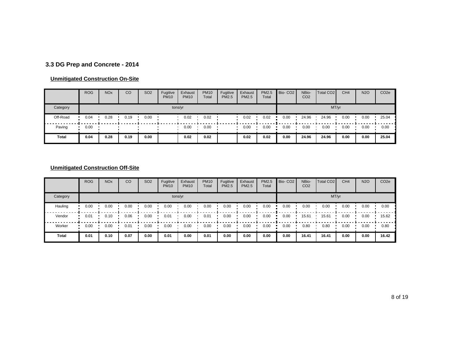# **3.3 DG Prep and Concrete - 2014**

#### **Unmitigated Construction On-Site**

|              | <b>ROG</b> | <b>NO<sub>x</sub></b> | CO   | SO <sub>2</sub> | Fugitive<br><b>PM10</b> | Exhaust<br><b>PM10</b> | <b>PM10</b><br>Total | Fugitive<br><b>PM2.5</b> | Exhaust<br><b>PM2.5</b> | PM2.5<br>Total | Bio-CO <sub>2</sub> | NBio-<br>CO <sub>2</sub> | Total CO <sub>2</sub> | CH <sub>4</sub> | <b>N2O</b> | CO <sub>2</sub> e |
|--------------|------------|-----------------------|------|-----------------|-------------------------|------------------------|----------------------|--------------------------|-------------------------|----------------|---------------------|--------------------------|-----------------------|-----------------|------------|-------------------|
| Category     |            |                       |      |                 |                         | tons/yr                |                      |                          |                         |                |                     |                          | MT/yr                 |                 |            |                   |
| Off-Road     | 0.04       | 0.28                  | 0.19 | 0.00            |                         | 0.02                   | 0.02                 |                          | 0.02                    | 0.02           | 0.00                | 24.96                    | 24.96                 | 0.00            | 0.00       | 25.04             |
| Paving       | 0.00       |                       |      |                 |                         | 0.00                   | 0.00                 |                          | 0.00                    | 0.00           | 0.00                | 0.00                     | 0.00                  | 0.00            | 0.00       | 0.00              |
| <b>Total</b> | 0.04       | 0.28                  | 0.19 | 0.00            |                         | 0.02                   | 0.02                 |                          | 0.02                    | 0.02           | 0.00                | 24.96                    | 24.96                 | 0.00            | 0.00       | 25.04             |

|              | <b>ROG</b> | <b>NO<sub>x</sub></b> | CO   | SO <sub>2</sub> | Fugitive<br><b>PM10</b> | Exhaust<br><b>PM10</b> | <b>PM10</b><br>Total | Fugitive<br><b>PM2.5</b> | Exhaust<br><b>PM2.5</b> | PM2.5<br>Total | Bio-CO <sub>2</sub> | NBio-<br>CO <sub>2</sub> | Total CO <sub>2</sub> | CH <sub>4</sub> | <b>N2O</b> | CO <sub>2e</sub> |
|--------------|------------|-----------------------|------|-----------------|-------------------------|------------------------|----------------------|--------------------------|-------------------------|----------------|---------------------|--------------------------|-----------------------|-----------------|------------|------------------|
| Category     |            |                       |      |                 |                         | tons/yr                |                      |                          |                         |                |                     |                          |                       | MT/yr           |            |                  |
| Hauling      | 0.00       | 0.00                  | 0.00 | 0.00            | 0.00                    | 0.00                   | 0.00                 | 0.00                     | 0.00                    | 0.00           | 0.00                | 0.00                     | 0.00                  | 0.00            | 0.00       | 0.00             |
| Vendor       | 0.01       | 0.10                  | 0.06 | 0.00            | 0.01                    | 0.00                   | 0.01                 | 0.00                     | 0.00                    | 0.00           | 0.00                | 15.61                    | 15.61                 | 0.00            | 0.00       | 15.62            |
| Worker       | 0.00       | 0.00                  | 0.01 | 0.00            | 0.00                    | 0.00                   | 0.00                 | 0.00                     | 0.00                    | 0.00           | 0.00                | 0.80                     | 0.80                  | 0.00            | 0.00       | 0.80             |
| <b>Total</b> | 0.01       | 0.10                  | 0.07 | 0.00            | 0.01                    | 0.00                   | 0.01                 | 0.00                     | 0.00                    | 0.00           | 0.00                | 16.41                    | 16.41                 | 0.00            | 0.00       | 16.42            |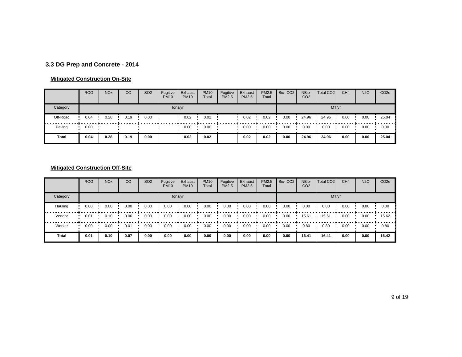# **3.3 DG Prep and Concrete - 2014**

#### **Mitigated Construction On-Site**

|              | <b>ROG</b> | <b>NO<sub>x</sub></b> | CO   | SO <sub>2</sub> | Fugitive<br><b>PM10</b> | Exhaust<br><b>PM10</b> | <b>PM10</b><br>Total | Fugitive<br><b>PM2.5</b> | Exhaust<br><b>PM2.5</b> | PM2.5<br>Total | Bio-CO <sub>2</sub> | NBio-<br>CO <sub>2</sub> | Total CO <sub>2</sub> | CH <sub>4</sub> | <b>N2O</b> | CO <sub>2</sub> e |
|--------------|------------|-----------------------|------|-----------------|-------------------------|------------------------|----------------------|--------------------------|-------------------------|----------------|---------------------|--------------------------|-----------------------|-----------------|------------|-------------------|
| Category     |            |                       |      |                 |                         | tons/yr                |                      |                          |                         |                |                     |                          | MT/yr                 |                 |            |                   |
| Off-Road     | 0.04       | 0.28                  | 0.19 | 0.00            |                         | 0.02                   | 0.02                 |                          | 0.02                    | 0.02           | 0.00                | 24.96                    | 24.96                 | 0.00            | 0.00       | 25.04             |
| Paving       | 0.00       |                       |      |                 |                         | 0.00                   | 0.00                 |                          | 0.00                    | 0.00           | 0.00                | 0.00                     | 0.00                  | 0.00            | 0.00       | 0.00              |
| <b>Total</b> | 0.04       | 0.28                  | 0.19 | 0.00            |                         | 0.02                   | 0.02                 |                          | 0.02                    | 0.02           | 0.00                | 24.96                    | 24.96                 | 0.00            | 0.00       | 25.04             |

|          | <b>ROG</b> | <b>NO<sub>x</sub></b> | CO   | SO <sub>2</sub> | Fugitive<br><b>PM10</b> | Exhaust<br><b>PM10</b> | <b>PM10</b><br>Total | Fugitive<br><b>PM2.5</b> | Exhaust<br><b>PM2.5</b> | PM2.5<br>Total | Bio-CO <sub>2</sub> | NBio-<br>CO <sub>2</sub> | Total CO <sub>2</sub> | CH <sub>4</sub> | <b>N2O</b> | CO <sub>2e</sub> |
|----------|------------|-----------------------|------|-----------------|-------------------------|------------------------|----------------------|--------------------------|-------------------------|----------------|---------------------|--------------------------|-----------------------|-----------------|------------|------------------|
| Category |            |                       |      |                 |                         | tons/yr                |                      |                          |                         |                |                     |                          |                       | MT/yr           |            |                  |
| Hauling  | 0.00       | 0.00                  | 0.00 | 0.00            | 0.00                    | 0.00                   | 0.00                 | 0.00                     | 0.00                    | 0.00           | 0.00                | 0.00                     | 0.00                  | 0.00            | 0.00       | 0.00             |
| Vendor   | 0.01       | 0.10                  | 0.06 | 0.00            | 0.00                    | 0.00                   | 0.00                 | 0.00                     | 0.00                    | 0.00           | 0.00                | 15.61                    | 15.61                 | 0.00            | 0.00       | 15.62            |
| Worker   | 0.00       | 0.00                  | 0.01 | 0.00            | 0.00                    | 0.00                   | 0.00                 | 0.00                     | 0.00                    | 0.00           | 0.00                | 0.80                     | 0.80                  | 0.00            | 0.00       | 0.80             |
| Total    | 0.01       | 0.10                  | 0.07 | 0.00            | 0.00                    | 0.00                   | 0.00                 | 0.00                     | 0.00                    | 0.00           | 0.00                | 16.41                    | 16.41                 | 0.00            | 0.00       | 16.42            |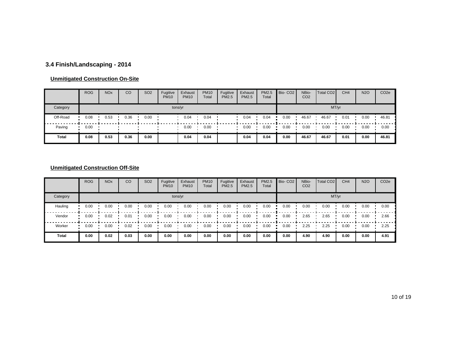# **3.4 Finish/Landscaping - 2014**

#### **Unmitigated Construction On-Site**

|          | <b>ROG</b> | <b>NO<sub>x</sub></b> | CO   | SO <sub>2</sub> | Fugitive<br><b>PM10</b> | Exhaust<br><b>PM10</b> | <b>PM10</b><br>Total | Fugitive<br><b>PM2.5</b> | Exhaust<br><b>PM2.5</b> | PM2.5<br>Total | Bio-CO <sub>2</sub> | NBio-<br>CO <sub>2</sub> | Total CO <sub>2</sub> | CH <sub>4</sub> | <b>N2O</b> | CO <sub>2</sub> e |
|----------|------------|-----------------------|------|-----------------|-------------------------|------------------------|----------------------|--------------------------|-------------------------|----------------|---------------------|--------------------------|-----------------------|-----------------|------------|-------------------|
| Category |            |                       |      |                 |                         | tons/yr                |                      |                          |                         |                |                     |                          | MT/yr                 |                 |            |                   |
| Off-Road | 0.08       | 0.53                  | 0.36 | 0.00            |                         | 0.04                   | 0.04                 |                          | 0.04                    | 0.04           | 0.00                | 46.67                    | 46.67                 | 0.01            | 0.00       | 46.81             |
| Paving   | 0.00       |                       |      |                 |                         | 0.00                   | 0.00                 |                          | 0.00                    | 0.00           | 0.00                | 0.00                     | 0.00                  | 0.00            | 0.00       | 0.00              |
| Total    | 0.08       | 0.53                  | 0.36 | 0.00            |                         | 0.04                   | 0.04                 |                          | 0.04                    | 0.04           | 0.00                | 46.67                    | 46.67                 | 0.01            | 0.00       | 46.81             |

|          | <b>ROG</b> | <b>NO<sub>x</sub></b> | CO   | <b>SO2</b> | Fugitive<br><b>PM10</b> | Exhaust<br><b>PM10</b> | <b>PM10</b><br>Total | Fugitive<br>PM2.5 | Exhaust<br><b>PM2.5</b> | PM2.5<br>Total | Bio-CO <sub>2</sub> | NBio-<br>CO <sub>2</sub> | Total CO <sub>2</sub> | CH <sub>4</sub> | <b>N2O</b> | CO <sub>2e</sub> |
|----------|------------|-----------------------|------|------------|-------------------------|------------------------|----------------------|-------------------|-------------------------|----------------|---------------------|--------------------------|-----------------------|-----------------|------------|------------------|
| Category |            |                       |      |            |                         | tons/yr                |                      |                   |                         |                |                     |                          |                       | MT/yr           |            |                  |
| Hauling  | 0.00       | 0.00                  | 0.00 | 0.00       | 0.00                    | 0.00                   | 0.00                 | 0.00              | 0.00                    | 0.00           | 0.00                | 0.00                     | 0.00                  | 0.00            | 0.00       | 0.00             |
| Vendor   | 0.00       | 0.02                  | 0.01 | 0.00       | 0.00                    | 0.00                   | 0.00                 | 0.00              | 0.00                    | 0.00           | 0.00                | 2.65                     | 2.65                  | 0.00            | 0.00       | 2.66             |
| Worker   | 0.00       | 0.00                  | 0.02 | 0.00       | 0.00                    | 0.00                   | 0.00                 | 0.00              | 0.00                    | 0.00           | 0.00                | 2.25                     | 2.25                  | 0.00            | 0.00       | 2.25             |
| Total    | 0.00       | 0.02                  | 0.03 | 0.00       | 0.00                    | 0.00                   | 0.00                 | 0.00              | 0.00                    | 0.00           | 0.00                | 4.90                     | 4.90                  | 0.00            | 0.00       | 4.91             |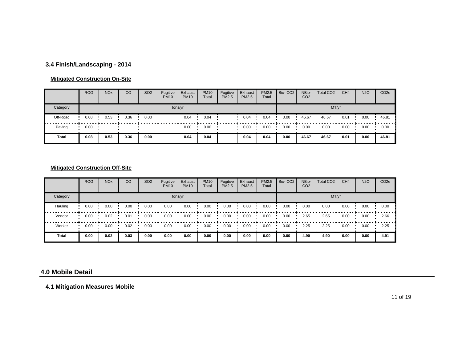# **3.4 Finish/Landscaping - 2014**

#### **Mitigated Construction On-Site**

|          | <b>ROG</b> | <b>NO<sub>x</sub></b> | CO   | <b>SO2</b> | Fugitive<br><b>PM10</b> | Exhaust<br><b>PM10</b> | <b>PM10</b><br>Total | Fugitive<br><b>PM2.5</b> | Exhaust<br>PM2.5 | <b>PM2.5</b><br>Total | Bio-CO <sub>2</sub> | NBio-<br>CO <sub>2</sub> | Total CO <sub>2</sub> | CH <sub>4</sub> | <b>N2O</b> | CO <sub>2</sub> e |
|----------|------------|-----------------------|------|------------|-------------------------|------------------------|----------------------|--------------------------|------------------|-----------------------|---------------------|--------------------------|-----------------------|-----------------|------------|-------------------|
| Category |            |                       |      |            |                         | tons/yr                |                      |                          |                  |                       |                     |                          |                       | MT/yr           |            |                   |
| Off-Road | 0.08       | 0.53                  | 0.36 | 0.00       |                         | 0.04                   | 0.04                 |                          | 0.04             | 0.04                  | 0.00                | 46.67                    | 46.67                 | 0.01            | 0.00       | 46.81             |
| Paving   | 0.00       |                       |      |            |                         | 0.00                   | 0.00                 |                          | 0.00             | 0.00                  | 0.00                | 0.00                     | 0.00                  | 0.00            | 0.00       | 0.00              |
| Total    | 0.08       | 0.53                  | 0.36 | 0.00       |                         | 0.04                   | 0.04                 |                          | 0.04             | 0.04                  | 0.00                | 46.67                    | 46.67                 | 0.01            | 0.00       | 46.81             |

#### **Mitigated Construction Off-Site**

|          | <b>ROG</b> | <b>NO<sub>x</sub></b> | CO   | SO <sub>2</sub> | Fugitive<br><b>PM10</b> | Exhaust<br><b>PM10</b> | <b>PM10</b><br>Total | Fugitive<br>PM2.5 | Exhaust<br><b>PM2.5</b> | PM2.5<br>Total | Bio-CO <sub>2</sub> | NBio-<br>CO <sub>2</sub> | Total CO <sub>2</sub> | CH <sub>4</sub> | <b>N2O</b> | CO <sub>2e</sub> |
|----------|------------|-----------------------|------|-----------------|-------------------------|------------------------|----------------------|-------------------|-------------------------|----------------|---------------------|--------------------------|-----------------------|-----------------|------------|------------------|
| Category |            |                       |      |                 |                         | tons/yr                |                      |                   |                         |                |                     |                          | MT/yr                 |                 |            |                  |
| Hauling  | 0.00       | 0.00                  | 0.00 | 0.00            | 0.00                    | 0.00                   | 0.00                 | 0.00              | 0.00                    | 0.00           | 0.00                | 0.00                     | 0.00                  | 0.00            | 0.00       | 0.00             |
| Vendor   | 0.00       | 0.02                  | 0.01 | 0.00            | 0.00                    | 0.00                   | 0.00                 | 0.00              | 0.00                    | 0.00           | 0.00                | 2.65                     | 2.65                  | 0.00            | 0.00       | 2.66             |
| Worker   | 0.00       | 0.00                  | 0.02 | 0.00            | 0.00                    | 0.00                   | 0.00                 | 0.00              | 0.00                    | 0.00           | 0.00                | 2.25                     | 2.25                  | 0.00            | 0.00       | 2.25             |
| Total    | 0.00       | 0.02                  | 0.03 | 0.00            | 0.00                    | 0.00                   | 0.00                 | 0.00              | 0.00                    | 0.00           | 0.00                | 4.90                     | 4.90                  | 0.00            | 0.00       | 4.91             |

#### **4.0 Mobile Detail**

**4.1 Mitigation Measures Mobile**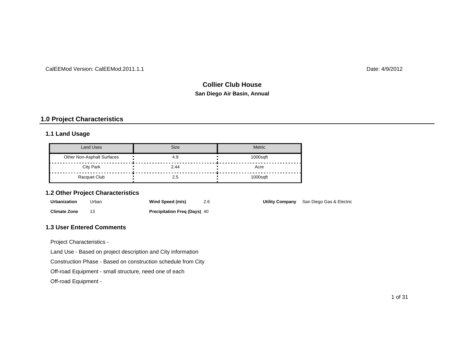#### CalEEMod Version: CalEEMod.2011.1.1

Date: 4/9/2012

# **San Diego Air Basin, Annual Collier Club House**

# **1.0 Project Characteristics**

#### **1.1 Land Usage**

| Land Uses                  | <b>Size</b> | <b>Metric</b> |
|----------------------------|-------------|---------------|
| Other Non-Asphalt Surfaces | 4.9         | 1000sqft      |
| <b>City Park</b>           | 2.44        | Acre          |
| Racquet Club               | 2.5         | $1000$ saft   |

#### **1.2 Other Project Characteristics**

| Urbanization        | Jrban | Wind Speed (m/s)                    |  | Utility Company San Diego Gas & Electric |
|---------------------|-------|-------------------------------------|--|------------------------------------------|
| <b>Climate Zone</b> |       | <b>Precipitation Freg (Days) 40</b> |  |                                          |

#### **1.3 User Entered Comments**

Project Characteristics -

Land Use - Based on project description and City information

Construction Phase - Based on construction schedule from City

Off-road Equipment - small structure, need one of each

Off-road Equipment -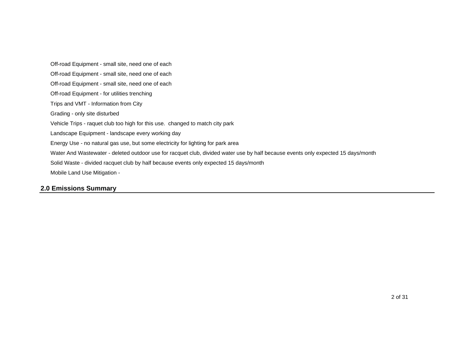Energy Use - no natural gas use, but some electricity for lighting for park area Landscape Equipment - landscape every working day Vehicle Trips - raquet club too high for this use. changed to match city park Mobile Land Use Mitigation - Solid Waste - divided racquet club by half because events only expected 15 days/month Water And Wastewater - deleted outdoor use for racquet club, divided water use by half because events only expected 15 days/month Off-road Equipment - small site, need one of each Off-road Equipment - small site, need one of each Off-road Equipment - small site, need one of each Grading - only site disturbed Trips and VMT - Information from City Off-road Equipment - for utilities trenching

#### **2.0 Emissions Summary**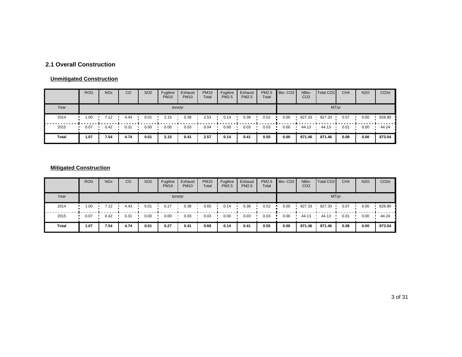# **2.1 Overall Construction**

#### **Unmitigated Construction**

|       | <b>ROG</b> | <b>NO<sub>x</sub></b> | CO   | SO <sub>2</sub> | Fugitive<br><b>PM10</b> | Exhaust<br><b>PM10</b> | <b>PM10</b><br>Total | Fugitive<br><b>PM2.5</b> | Exhaust<br><b>PM2.5</b> | PM2.5<br>Total | Bio-CO <sub>2</sub> | NBio-<br>CO <sub>2</sub> | Total CO <sub>2</sub> | CH <sub>4</sub> | <b>N2O</b> | CO <sub>2</sub> e |
|-------|------------|-----------------------|------|-----------------|-------------------------|------------------------|----------------------|--------------------------|-------------------------|----------------|---------------------|--------------------------|-----------------------|-----------------|------------|-------------------|
| Year  |            |                       |      |                 | tons/yr                 |                        |                      |                          |                         |                |                     |                          | MT/yr                 |                 |            |                   |
| 2014  | 1.00       | 7.12                  | 4.43 | 0.01            | 2.15                    | 0.38                   | 2.53                 | 0.14                     | 0.38                    | 0.52           | 0.00                | 827.33                   | 827.33                | 0.07            | 0.00       | 828.80            |
| 2015  | 0.07       | 0.42                  | 0.31 | 0.00            | 0.00                    | 0.03                   | 0.04                 | 0.00                     | 0.03                    | 0.03           | 0.00                | 44.13                    | 44.13                 | 0.01            | 0.00       | 44.24             |
| Total | 1.07       | 7.54                  | 4.74 | 0.01            | 2.15                    | 0.41                   | 2.57                 | 0.14                     | 0.41                    | 0.55           | 0.00                | 871.46                   | 871.46                | 0.08            | 0.00       | 873.04            |

# **Mitigated Construction**

|       | <b>ROG</b> | <b>NO<sub>x</sub></b> | CO   | SO <sub>2</sub> | Fugitive<br><b>PM10</b> | Exhaust<br><b>PM10</b> | <b>PM10</b><br>Total | Fugitive<br>PM2.5 | Exhaust<br><b>PM2.5</b> | PM2.5<br>Total | Bio-CO <sub>2</sub> | NBio-<br>CO <sub>2</sub> | Total CO <sub>2</sub> | CH <sub>4</sub> | <b>N2O</b> | CO <sub>2</sub> e |
|-------|------------|-----------------------|------|-----------------|-------------------------|------------------------|----------------------|-------------------|-------------------------|----------------|---------------------|--------------------------|-----------------------|-----------------|------------|-------------------|
| Year  |            |                       |      |                 |                         | tons/yr                |                      |                   |                         |                |                     |                          | MT/yr                 |                 |            |                   |
| 2014  | 1.00       | 7.12                  | 4.43 | 0.01            | 0.27                    | 0.38                   | 0.65                 | 0.14              | 0.38                    | 0.52           | 0.00                | 827.33                   | 827.33                | 0.07            | 0.00       | 828.80            |
| 2015  | 0.07       | 0.42                  | 0.31 | 0.00            | 0.00                    | 0.03                   | 0.03                 | 0.00              | 0.03                    | 0.03           | 0.00                | 44.13                    | 44.13                 | 0.01            | 0.00       | 44.24             |
| Total | 1.07       | 7.54                  | 4.74 | 0.01            | 0.27                    | 0.41                   | 0.68                 | 0.14              | 0.41                    | 0.55           | 0.00                | 871.46                   | 871.46                | 0.08            | 0.00       | 873.04            |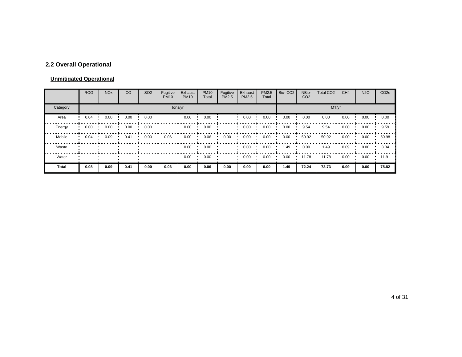# **2.2 Overall Operational**

#### **Unmitigated Operational**

|          | <b>ROG</b> | <b>NO<sub>x</sub></b> | CO   | SO <sub>2</sub> | Fugitive<br><b>PM10</b> | Exhaust<br><b>PM10</b> | <b>PM10</b><br>Total | Fugitive<br>PM2.5 | Exhaust<br>PM2.5 | PM2.5<br>Total | Bio-CO <sub>2</sub> | NBio-<br>CO <sub>2</sub> | Total CO <sub>2</sub> | CH <sub>4</sub> | <b>N2O</b> | CO <sub>2</sub> e |
|----------|------------|-----------------------|------|-----------------|-------------------------|------------------------|----------------------|-------------------|------------------|----------------|---------------------|--------------------------|-----------------------|-----------------|------------|-------------------|
| Category |            |                       |      |                 |                         | tons/yr                |                      |                   |                  |                |                     |                          | MT/yr                 |                 |            |                   |
| Area     | 0.04       | 0.00                  | 0.00 | 0.00            |                         | 0.00                   | 0.00                 |                   | 0.00             | 0.00           | 0.00                | 0.00                     | 0.00                  | 0.00            | 0.00       | 0.00              |
| Energy   | 0.00       | 0.00                  | 0.00 | 0.00            |                         | 0.00                   | 0.00                 |                   | 0.00             | 0.00           | 0.00                | 9.54                     | 9.54                  | 0.00            | 0.00       | 9.59              |
| Mobile   | 0.04       | 0.09                  | 0.41 | 0.00            | 0.06                    | 0.00                   | 0.06                 | 0.00              | 0.00             | 0.00           | 0.00                | 50.92                    | 50.92                 | 0.00            | 0.00       | 50.98             |
| Waste    |            |                       |      |                 |                         | 0.00                   | 0.00                 |                   | 0.00             | 0.00           | 1.49                | 0.00                     | 1.49                  | 0.09            | 0.00       | 3.34              |
| Water    |            |                       |      |                 |                         | 0.00                   | 0.00                 |                   | 0.00             | 0.00           | 0.00                | 11.78                    | 11.78                 | 0.00            | 0.00       | 11.91             |
| Total    | 0.08       | 0.09                  | 0.41 | 0.00            | 0.06                    | 0.00                   | 0.06                 | 0.00              | 0.00             | 0.00           | 1.49                | 72.24                    | 73.73                 | 0.09            | 0.00       | 75.82             |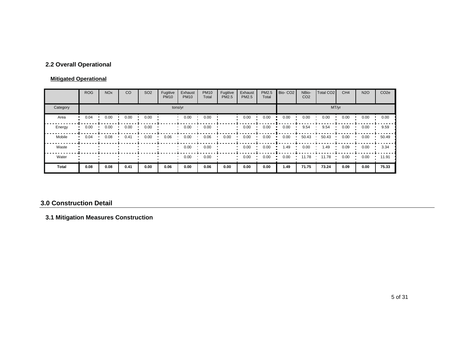# **2.2 Overall Operational**

#### **Mitigated Operational**

|              | <b>ROG</b> | <b>NO<sub>x</sub></b> | CO   | SO <sub>2</sub> | Fugitive<br><b>PM10</b> | Exhaust<br><b>PM10</b> | <b>PM10</b><br>Total | Fugitive<br>PM2.5 | Exhaust<br><b>PM2.5</b> | PM2.5<br>Total | Bio-CO <sub>2</sub> | NBio-<br>CO <sub>2</sub> | Total CO <sub>2</sub> | CH <sub>4</sub> | <b>N2O</b> | CO <sub>2</sub> e |
|--------------|------------|-----------------------|------|-----------------|-------------------------|------------------------|----------------------|-------------------|-------------------------|----------------|---------------------|--------------------------|-----------------------|-----------------|------------|-------------------|
| Category     |            |                       |      |                 |                         | tons/yr                |                      |                   |                         |                |                     |                          |                       | MT/yr           |            |                   |
| Area         | 0.04       | 0.00                  | 0.00 | 0.00            |                         | 0.00                   | 0.00                 |                   | 0.00                    | 0.00           | 0.00                | 0.00                     | 0.00                  | 0.00            | 0.00       | 0.00              |
| Energy       | 0.00       | 0.00                  | 0.00 | 0.00            |                         | 0.00                   | 0.00                 |                   | 0.00                    | 0.00           | 0.00                | 9.54                     | 9.54                  | 0.00            | 0.00       | 9.59              |
| Mobile       | 0.04       | 0.08                  | 0.41 | 0.00            | 0.06                    | 0.00                   | 0.06                 | 0.00              | 0.00                    | 0.00           | 0.00                | 50.43                    | 50.43                 | 0.00            | 0.00       | 50.49             |
| Waste        |            |                       |      |                 |                         | 0.00                   | 0.00                 |                   | 0.00                    | 0.00           | 1.49                | 0.00                     | 1.49                  | 0.09            | 0.00       | 3.34              |
| Water        |            |                       |      |                 |                         | 0.00                   | 0.00                 |                   | 0.00                    | 0.00           | 0.00                | 11.78                    | 11.78                 | 0.00            | 0.00       | 11.91             |
| <b>Total</b> | 0.08       | 0.08                  | 0.41 | 0.00            | 0.06                    | 0.00                   | 0.06                 | 0.00              | 0.00                    | 0.00           | 1.49                | 71.75                    | 73.24                 | 0.09            | 0.00       | 75.33             |

#### **3.0 Construction Detail**

# **3.1 Mitigation Measures Construction**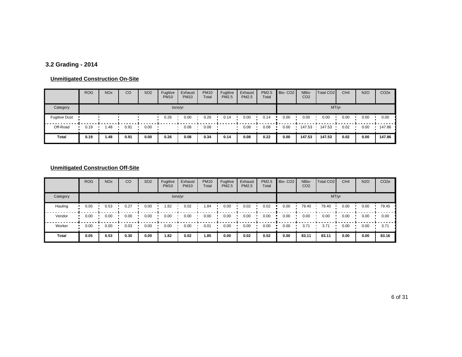# **3.2 Grading - 2014**

#### **Unmitigated Construction On-Site**

|                      | <b>ROG</b> | <b>NO<sub>x</sub></b> | CO   | SO <sub>2</sub> | Fugitive<br><b>PM10</b> | Exhaust<br><b>PM10</b> | <b>PM10</b><br>Total | Fugitive<br><b>PM2.5</b> | Exhaust<br><b>PM2.5</b> | PM2.5<br>Total | Bio-CO <sub>2</sub> | NBio-<br>CO <sub>2</sub> | Total CO <sub>2</sub> | CH <sub>4</sub> | <b>N2O</b> | CO <sub>2e</sub> |
|----------------------|------------|-----------------------|------|-----------------|-------------------------|------------------------|----------------------|--------------------------|-------------------------|----------------|---------------------|--------------------------|-----------------------|-----------------|------------|------------------|
| Category             |            |                       |      |                 | tons/yr                 |                        |                      |                          |                         |                |                     |                          |                       | MT/yr           |            |                  |
| <b>Fugitive Dust</b> |            |                       |      |                 | 0.26                    | 0.00                   | 0.26                 | 0.14                     | 0.00                    | 0.14           | 0.00                | 0.00                     | 0.00                  | 0.00            | 0.00       | 0.00             |
| Off-Road             | 0.19       | i.48                  | 0.91 | 0.00            |                         | 0.08                   | 0.08                 |                          | 0.08                    | 0.08           | 0.00                | 147.53                   | 147.53                | 0.02            | 0.00       | 147.86           |
| Total                | 0.19       | 1.48                  | 0.91 | 0.00            | 0.26                    | 0.08                   | 0.34                 | 0.14                     | 0.08                    | 0.22           | 0.00                | 147.53                   | 147.53                | 0.02            | 0.00       | 147.86           |

|          | <b>ROG</b> | <b>NO<sub>x</sub></b> | CO   | SO <sub>2</sub> | Fugitive<br><b>PM10</b> | Exhaust<br><b>PM10</b> | <b>PM10</b><br>Total | Fugitive<br><b>PM2.5</b> | Exhaust<br><b>PM2.5</b> | PM2.5<br>Total | Bio-CO <sub>2</sub> | NBio-<br>CO <sub>2</sub> | Total CO <sub>2</sub> | CH <sub>4</sub> | <b>N2O</b> | CO <sub>2e</sub> |
|----------|------------|-----------------------|------|-----------------|-------------------------|------------------------|----------------------|--------------------------|-------------------------|----------------|---------------------|--------------------------|-----------------------|-----------------|------------|------------------|
| Category |            |                       |      |                 |                         | tons/yr                |                      |                          |                         |                |                     |                          |                       | MT/yr           |            |                  |
| Hauling  | 0.05       | 0.53                  | 0.27 | 0.00            | 1.82                    | 0.02                   | .84                  | 0.00                     | 0.02                    | 0.02           | 0.00                | 79.40                    | 79.40                 | 0.00            | 0.00       | 79.45            |
| Vendor   | 0.00       | 0.00                  | 0.00 | 0.00            | 0.00                    | 0.00                   | 0.00                 | 0.00                     | 0.00                    | 0.00           | 0.00                | 0.00                     | 0.00                  | 0.00            | 0.00       | 0.00             |
| Worker   | 0.00       | 0.00                  | 0.03 | 0.00            | 0.00                    | 0.00                   | 0.01                 | 0.00                     | 0.00                    | 0.00           | 0.00                | 3.71                     | 3.71                  | 0.00            | 0.00       | 3.71             |
| Total    | 0.05       | 0.53                  | 0.30 | 0.00            | 1.82                    | 0.02                   | 1.85                 | 0.00                     | 0.02                    | 0.02           | 0.00                | 83.11                    | 83.11                 | 0.00            | 0.00       | 83.16            |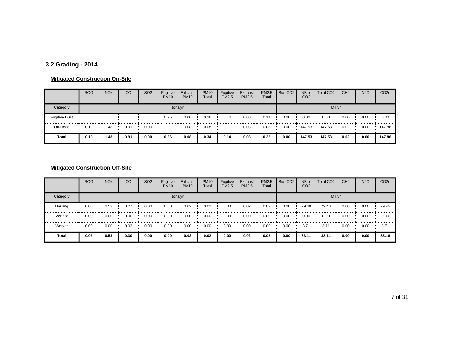# **3.2 Grading - 2014**

#### **Mitigated Construction On-Site**

|                      | <b>ROG</b> | <b>NO<sub>x</sub></b> | CO   | SO <sub>2</sub> | Fugitive<br><b>PM10</b> | Exhaust<br><b>PM10</b> | <b>PM10</b><br>Total | Fugitive<br><b>PM2.5</b> | Exhaust<br><b>PM2.5</b> | <b>PM2.5</b><br>Total | Bio-CO <sub>2</sub> | NBio-<br>CO <sub>2</sub> | Total CO <sub>2</sub> | CH <sub>4</sub> | <b>N2O</b> | CO <sub>2e</sub> |
|----------------------|------------|-----------------------|------|-----------------|-------------------------|------------------------|----------------------|--------------------------|-------------------------|-----------------------|---------------------|--------------------------|-----------------------|-----------------|------------|------------------|
| Category             |            |                       |      |                 | tons/yr                 |                        |                      |                          |                         |                       |                     |                          | MT/yr                 |                 |            |                  |
| <b>Fugitive Dust</b> |            |                       |      |                 | 0.26                    | 0.00                   | 0.26                 | 0.14                     | 0.00                    | 0.14                  | 0.00                | 0.00                     | 0.00                  | 0.00            | 0.00       | 0.00             |
| Off-Road             | 0.19       | 1.48                  | 0.91 | 0.00            |                         | 0.08                   | 0.08                 |                          | 0.08                    | 0.08                  | 0.00                | 147.53                   | 147.53                | 0.02            | 0.00       | 147.86           |
| Total                | 0.19       | 1.48                  | 0.91 | 0.00            | 0.26                    | 0.08                   | 0.34                 | 0.14                     | 0.08                    | 0.22                  | 0.00                | 147.53                   | 147.53                | 0.02            | 0.00       | 147.86           |

|          | <b>ROG</b> | <b>NO<sub>x</sub></b> | CO   | SO <sub>2</sub> | Fugitive<br><b>PM10</b> | Exhaust<br><b>PM10</b> | <b>PM10</b><br>Total | Fugitive<br><b>PM2.5</b> | Exhaust<br><b>PM2.5</b> | PM2.5<br>Total | Bio-CO <sub>2</sub> | NBio-<br>CO <sub>2</sub> | Total CO <sub>2</sub> | CH <sub>4</sub> | <b>N2O</b> | CO <sub>2e</sub> |
|----------|------------|-----------------------|------|-----------------|-------------------------|------------------------|----------------------|--------------------------|-------------------------|----------------|---------------------|--------------------------|-----------------------|-----------------|------------|------------------|
| Category |            |                       |      |                 |                         | tons/yr                |                      |                          |                         |                |                     |                          |                       | MT/yr           |            |                  |
| Hauling  | 0.05       | 0.53                  | 0.27 | 0.00            | 0.00                    | 0.02                   | 0.02                 | 0.00                     | 0.02                    | 0.02           | 0.00                | 79.40                    | 79.40                 | 0.00            | 0.00       | 79.45            |
| Vendor   | 0.00       | 0.00                  | 0.00 | 0.00            | 0.00                    | 0.00                   | 0.00                 | 0.00                     | 0.00                    | 0.00           | 0.00                | 0.00                     | 0.00                  | 0.00            | 0.00       | 0.00             |
| Worker   | 0.00       | 0.00                  | 0.03 | 0.00            | 0.00                    | 0.00                   | 0.00                 | 0.00                     | 0.00                    | 0.00           | 0.00                | 3.71                     | 3.71                  | 0.00            | 0.00       | 3.71             |
| Total    | 0.05       | 0.53                  | 0.30 | 0.00            | 0.00                    | 0.02                   | 0.02                 | 0.00                     | 0.02                    | 0.02           | 0.00                | 83.11                    | 83.11                 | 0.00            | 0.00       | 83.16            |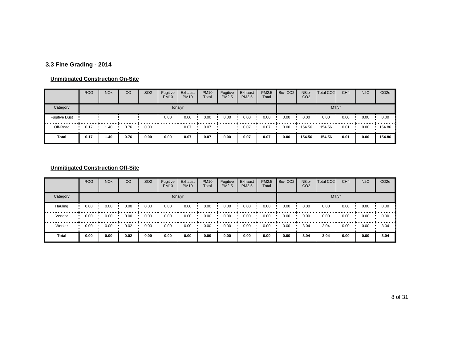# **3.3 Fine Grading - 2014**

#### **Unmitigated Construction On-Site**

|                      | <b>ROG</b> | <b>NO<sub>x</sub></b> | CO   | SO <sub>2</sub> | Fugitive<br><b>PM10</b> | Exhaust<br><b>PM10</b> | <b>PM10</b><br>Total | Fugitive<br><b>PM2.5</b> | Exhaust<br><b>PM2.5</b> | PM2.5<br>Total | Bio-CO <sub>2</sub> | NBio-<br>CO <sub>2</sub> | Total CO <sub>2</sub> | CH <sub>4</sub> | <b>N2O</b> | CO <sub>2</sub> e |
|----------------------|------------|-----------------------|------|-----------------|-------------------------|------------------------|----------------------|--------------------------|-------------------------|----------------|---------------------|--------------------------|-----------------------|-----------------|------------|-------------------|
| Category             |            |                       |      |                 |                         | tons/yr                |                      |                          |                         |                |                     |                          | MT/yr                 |                 |            |                   |
| <b>Fugitive Dust</b> |            |                       |      |                 | 0.00                    | 0.00                   | 0.00                 | 0.00                     | 0.00                    | 0.00           | 0.00                | 0.00                     | 0.00                  | 0.00            | 0.00       | 0.00              |
| Off-Road             | 0.17       | .40                   | 0.76 | 0.00            |                         | 0.07                   | 0.07                 |                          | 0.07                    | 0.07           | 0.00                | 154.56                   | 154.56                | 0.01            | 0.00       | 154.86            |
| Total                | 0.17       | 1.40                  | 0.76 | 0.00            | 0.00                    | 0.07                   | 0.07                 | 0.00                     | 0.07                    | 0.07           | 0.00                | 154.56                   | 154.56                | 0.01            | 0.00       | 154.86            |

|              | <b>ROG</b> | <b>NO<sub>x</sub></b> | CO   | SO <sub>2</sub> | Fugitive<br><b>PM10</b> | Exhaust<br><b>PM10</b> | <b>PM10</b><br>Total | Fugitive<br><b>PM2.5</b> | Exhaust<br><b>PM2.5</b> | PM2.5<br>Total | Bio-CO <sub>2</sub> | NBio-<br>CO <sub>2</sub> | Total CO <sub>2</sub> | CH <sub>4</sub> | <b>N2O</b> | CO <sub>2e</sub> |
|--------------|------------|-----------------------|------|-----------------|-------------------------|------------------------|----------------------|--------------------------|-------------------------|----------------|---------------------|--------------------------|-----------------------|-----------------|------------|------------------|
| Category     |            |                       |      |                 |                         | tons/yr                |                      |                          |                         |                |                     |                          |                       | MT/yr           |            |                  |
| Hauling      | 0.00       | 0.00                  | 0.00 | 0.00            | 0.00                    | 0.00                   | 0.00                 | 0.00                     | 0.00                    | 0.00           | 0.00                | 0.00                     | 0.00                  | 0.00            | 0.00       | 0.00             |
| Vendor       | 0.00       | 0.00                  | 0.00 | 0.00            | 0.00                    | 0.00                   | 0.00                 | 0.00                     | 0.00                    | 0.00           | 0.00                | 0.00                     | 0.00                  | 0.00            | 0.00       | 0.00             |
| Worker       | 0.00       | 0.00                  | 0.02 | 0.00            | 0.00                    | 0.00                   | 0.00                 | 0.00                     | 0.00                    | 0.00           | 0.00                | 3.04                     | 3.04                  | 0.00            | 0.00       | 3.04             |
| <b>Total</b> | 0.00       | 0.00                  | 0.02 | 0.00            | 0.00                    | 0.00                   | 0.00                 | 0.00                     | 0.00                    | 0.00           | 0.00                | 3.04                     | 3.04                  | 0.00            | 0.00       | 3.04             |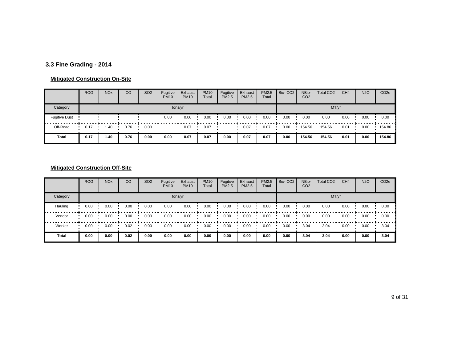# **3.3 Fine Grading - 2014**

#### **Mitigated Construction On-Site**

|                      | <b>ROG</b> | <b>NO<sub>x</sub></b> | CO   | <b>SO2</b> | Fugitive<br><b>PM10</b> | Exhaust<br><b>PM10</b> | <b>PM10</b><br>Total | Fugitive<br><b>PM2.5</b> | Exhaust<br><b>PM2.5</b> | PM2.5<br>Total | Bio-CO <sub>2</sub> | NBio-<br>CO <sub>2</sub> | Total CO <sub>2</sub> | CH <sub>4</sub> | <b>N2O</b> | CO <sub>2e</sub> |
|----------------------|------------|-----------------------|------|------------|-------------------------|------------------------|----------------------|--------------------------|-------------------------|----------------|---------------------|--------------------------|-----------------------|-----------------|------------|------------------|
| Category             |            |                       |      |            | tons/yr                 |                        |                      |                          |                         |                |                     |                          | MT/yr                 |                 |            |                  |
| <b>Fugitive Dust</b> |            |                       |      |            | 0.00                    | 0.00                   | 0.00                 | 0.00                     | 0.00                    | 0.00           | 0.00                | 0.00                     | 0.00                  | 0.00            | 0.00       | 0.00             |
| Off-Road             | 0.17       | .40                   | 0.76 | 0.00       |                         | 0.07                   | 0.07                 |                          | 0.07                    | 0.07           | 0.00                | 154.56                   | 154.56                | 0.01            | 0.00       | 154.86           |
| Total                | 0.17       | 1.40                  | 0.76 | 0.00       | 0.00                    | 0.07                   | 0.07                 | 0.00                     | 0.07                    | 0.07           | 0.00                | 154.56                   | 154.56                | 0.01            | 0.00       | 154.86           |

|          | <b>ROG</b> | <b>NO<sub>x</sub></b> | CO   | SO <sub>2</sub> | Fugitive<br><b>PM10</b> | Exhaust<br><b>PM10</b> | <b>PM10</b><br>Total | Fugitive<br><b>PM2.5</b> | Exhaust<br><b>PM2.5</b> | PM2.5<br>Total | Bio-CO <sub>2</sub> | NBio-<br>CO <sub>2</sub> | Total CO <sub>2</sub> | CH <sub>4</sub> | <b>N2O</b> | CO <sub>2e</sub> |
|----------|------------|-----------------------|------|-----------------|-------------------------|------------------------|----------------------|--------------------------|-------------------------|----------------|---------------------|--------------------------|-----------------------|-----------------|------------|------------------|
| Category |            |                       |      |                 |                         | tons/yr                |                      |                          |                         |                |                     |                          |                       | MT/yr           |            |                  |
| Hauling  | 0.00       | 0.00                  | 0.00 | 0.00            | 0.00                    | 0.00                   | 0.00                 | 0.00                     | 0.00                    | 0.00           | 0.00                | 0.00                     | 0.00                  | 0.00            | 0.00       | 0.00             |
| Vendor   | 0.00       | 0.00                  | 0.00 | 0.00            | 0.00                    | 0.00                   | 0.00                 | 0.00                     | 0.00                    | 0.00           | 0.00                | 0.00                     | 0.00                  | 0.00            | 0.00       | 0.00             |
| Worker   | 0.00       | 0.00                  | 0.02 | 0.00            | 0.00                    | 0.00                   | 0.00                 | 0.00                     | 0.00                    | 0.00           | 0.00                | 3.04                     | 3.04                  | 0.00            | 0.00       | 3.04             |
| Total    | 0.00       | 0.00                  | 0.02 | 0.00            | 0.00                    | 0.00                   | 0.00                 | 0.00                     | 0.00                    | 0.00           | 0.00                | 3.04                     | 3.04                  | 0.00            | 0.00       | 3.04             |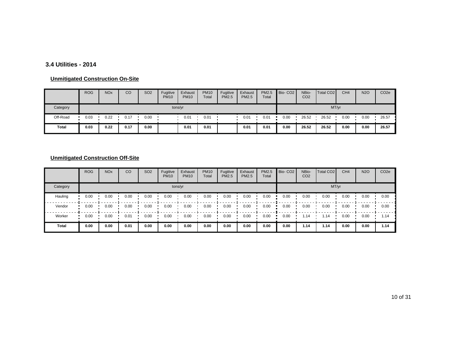#### **3.4 Utilities - 2014**

#### **Unmitigated Construction On-Site**

|          | <b>ROG</b> | <b>NO<sub>x</sub></b> | CO   | SO <sub>2</sub> | Fugitive<br><b>PM10</b> | Exhaust<br><b>PM10</b> | <b>PM10</b><br>Total | Fugitive<br><b>PM2.5</b> | Exhaust<br><b>PM2.5</b> | PM2.5<br>Total | Bio-CO <sub>2</sub> | NBio-<br>CO <sub>2</sub> | Total CO <sub>2</sub> | CH <sub>4</sub> | <b>N2O</b> | CO <sub>2</sub> e |
|----------|------------|-----------------------|------|-----------------|-------------------------|------------------------|----------------------|--------------------------|-------------------------|----------------|---------------------|--------------------------|-----------------------|-----------------|------------|-------------------|
| Category |            |                       |      |                 | tons/yr                 |                        |                      |                          |                         |                |                     |                          | MT/yr                 |                 |            |                   |
| Off-Road | 0.03       | 0.22                  | 0.17 | 0.00            |                         | 0.01                   | 0.01                 |                          | 0.01                    | 0.01           | 0.00                | 26.52                    | 26.52                 | 0.00            | 0.00       | 26.57             |
| Total    | 0.03       | 0.22                  | 0.17 | 0.00            |                         | 0.01                   | 0.01                 |                          | 0.01                    | 0.01           | 0.00                | 26.52                    | 26.52                 | 0.00            | 0.00       | 26.57             |

|              | <b>ROG</b> | <b>NO<sub>x</sub></b> | CO   | SO <sub>2</sub> | Fugitive<br><b>PM10</b> | Exhaust<br><b>PM10</b> | <b>PM10</b><br>Total | Fugitive<br><b>PM2.5</b> | Exhaust<br><b>PM2.5</b> | PM2.5<br>Total | Bio-CO <sub>2</sub> | NBio-<br>CO <sub>2</sub> | <b>Total CO2</b> | CH <sub>4</sub> | <b>N2O</b> | CO <sub>2e</sub> |
|--------------|------------|-----------------------|------|-----------------|-------------------------|------------------------|----------------------|--------------------------|-------------------------|----------------|---------------------|--------------------------|------------------|-----------------|------------|------------------|
| Category     |            |                       |      |                 |                         | tons/yr                |                      |                          |                         |                |                     |                          | MT/yr            |                 |            |                  |
| Hauling      | 0.00       | 0.00                  | 0.00 | 0.00            | 0.00                    | 0.00                   | 0.00                 | 0.00                     | 0.00                    | 0.00           | 0.00                | 0.00                     | 0.00             | 0.00            | 0.00       | 0.00             |
| Vendor       | 0.00       | 0.00                  | 0.00 | 0.00            | 0.00                    | 0.00                   | 0.00                 | 0.00                     | 0.00                    | 0.00           | 0.00                | 0.00                     | 0.00             | 0.00            | 0.00       | 0.00             |
| Worker       | 0.00       | 0.00                  | 0.01 | 0.00            | 0.00                    | 0.00                   | 0.00                 | 0.00                     | 0.00                    | 0.00           | 0.00                | 1.14                     | l.14             | 0.00            | 0.00       | 1.14             |
| <b>Total</b> | 0.00       | 0.00                  | 0.01 | 0.00            | 0.00                    | 0.00                   | 0.00                 | 0.00                     | 0.00                    | 0.00           | 0.00                | 1.14                     | 1.14             | 0.00            | 0.00       | 1.14             |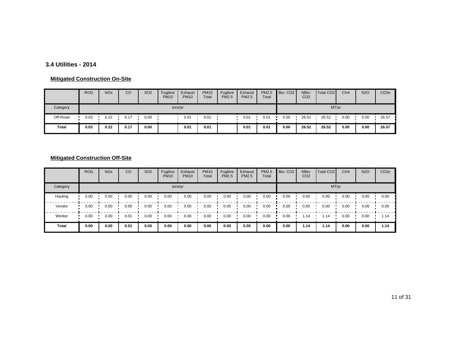#### **3.4 Utilities - 2014**

#### **Mitigated Construction On-Site**

|          | <b>ROG</b> | <b>NO<sub>x</sub></b> | CO   | SO <sub>2</sub> | Fugitive<br><b>PM10</b> | Exhaust<br><b>PM10</b> | <b>PM10</b><br>Total | Fugitive<br><b>PM2.5</b> | Exhaust<br>PM2.5 | PM2.5<br>Total | Bio-CO <sub>2</sub> | NBio-<br>CO <sub>2</sub> | Total CO <sub>2</sub> | CH <sub>4</sub> | <b>N2O</b> | CO <sub>2</sub> e |
|----------|------------|-----------------------|------|-----------------|-------------------------|------------------------|----------------------|--------------------------|------------------|----------------|---------------------|--------------------------|-----------------------|-----------------|------------|-------------------|
| Category |            |                       |      |                 | tons/yr                 |                        |                      |                          |                  |                |                     |                          | MT/yr                 |                 |            |                   |
| Off-Road | 0.03       | 0.22                  | 0.17 | 0.00            |                         | 0.01                   | 0.01                 |                          | 0.01             | 0.01           | 0.00                | 26.52                    | 26.52                 | 0.00            | 0.00       | 26.57             |
| Total    | 0.03       | 0.22                  | 0.17 | 0.00            |                         | 0.01                   | 0.01                 |                          | 0.01             | 0.01           | 0.00                | 26.52                    | 26.52                 | 0.00            | 0.00       | 26.57             |

|              | <b>ROG</b> | <b>NO<sub>x</sub></b> | CO   | SO <sub>2</sub> | Fugitive<br><b>PM10</b> | Exhaust<br><b>PM10</b> | <b>PM10</b><br>Total | Fugitive<br><b>PM2.5</b> | Exhaust<br><b>PM2.5</b> | PM2.5<br>Total | Bio-CO <sub>2</sub> | NBio-<br>CO <sub>2</sub> | <b>Total CO2</b> | CH <sub>4</sub> | <b>N2O</b> | CO <sub>2e</sub> |
|--------------|------------|-----------------------|------|-----------------|-------------------------|------------------------|----------------------|--------------------------|-------------------------|----------------|---------------------|--------------------------|------------------|-----------------|------------|------------------|
| Category     |            |                       |      |                 |                         | tons/yr                |                      |                          |                         |                |                     |                          | MT/yr            |                 |            |                  |
| Hauling      | 0.00       | 0.00                  | 0.00 | 0.00            | 0.00                    | 0.00                   | 0.00                 | 0.00                     | 0.00                    | 0.00           | 0.00                | 0.00                     | 0.00             | 0.00            | 0.00       | 0.00             |
| Vendor       | 0.00       | 0.00                  | 0.00 | 0.00            | 0.00                    | 0.00                   | 0.00                 | 0.00                     | 0.00                    | 0.00           | 0.00                | 0.00                     | 0.00             | 0.00            | 0.00       | 0.00             |
| Worker       | 0.00       | 0.00                  | 0.01 | 0.00            | 0.00                    | 0.00                   | 0.00                 | 0.00                     | 0.00                    | 0.00           | 0.00                | 1.14                     | l.14             | 0.00            | 0.00       | 1.14             |
| <b>Total</b> | 0.00       | 0.00                  | 0.01 | 0.00            | 0.00                    | 0.00                   | 0.00                 | 0.00                     | 0.00                    | 0.00           | 0.00                | 1.14                     | 1.14             | 0.00            | 0.00       | 1.14             |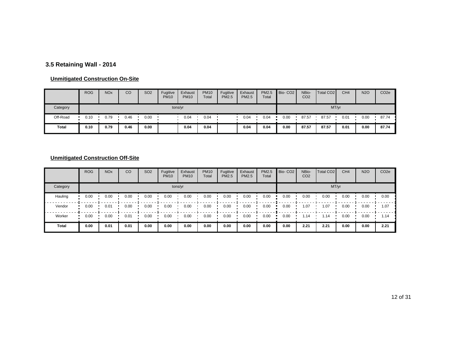# **3.5 Retaining Wall - 2014**

#### **Unmitigated Construction On-Site**

|          | <b>ROG</b> | <b>NO<sub>x</sub></b> | CO   | SO <sub>2</sub> | Fugitive<br><b>PM10</b> | Exhaust<br><b>PM10</b> | <b>PM10</b><br>Total | Fugitive<br><b>PM2.5</b> | Exhaust<br><b>PM2.5</b> | PM2.5<br>Total | Bio-CO <sub>2</sub> | NBio-<br>CO <sub>2</sub> | Total CO <sub>2</sub> | CH <sub>4</sub> | <b>N2O</b> | CO <sub>2e</sub> |
|----------|------------|-----------------------|------|-----------------|-------------------------|------------------------|----------------------|--------------------------|-------------------------|----------------|---------------------|--------------------------|-----------------------|-----------------|------------|------------------|
| Category |            |                       |      |                 |                         | tons/yr                |                      |                          |                         | MT/yr          |                     |                          |                       |                 |            |                  |
| Off-Road | 0.10       | 0.79                  | 0.46 | 0.00            |                         | 0.04                   | 0.04                 |                          | 0.04                    | 0.04           | 0.00                | 87.57                    | 87.57                 | 0.01            | 0.00       | 87.74            |
| Total    | 0.10       | 0.79                  | 0.46 | 0.00            |                         | 0.04                   | 0.04                 |                          | 0.04                    | 0.04           | 0.00                | 87.57                    | 87.57                 | 0.01            | 0.00       | 87.74            |

|              | <b>ROG</b> | <b>NO<sub>x</sub></b> | CO   | SO <sub>2</sub> | Fugitive<br><b>PM10</b> | Exhaust<br><b>PM10</b> | <b>PM10</b><br>Total | Fugitive<br><b>PM2.5</b> | Exhaust<br><b>PM2.5</b> | PM2.5<br>Total | Bio-CO <sub>2</sub> | NBio-<br>CO <sub>2</sub> | <b>Total CO2</b> | CH <sub>4</sub> | <b>N2O</b> | CO <sub>2e</sub> |
|--------------|------------|-----------------------|------|-----------------|-------------------------|------------------------|----------------------|--------------------------|-------------------------|----------------|---------------------|--------------------------|------------------|-----------------|------------|------------------|
| Category     |            |                       |      |                 |                         | tons/yr                |                      |                          |                         |                |                     |                          | MT/yr            |                 |            |                  |
| Hauling      | 0.00       | 0.00                  | 0.00 | 0.00            | 0.00                    | 0.00                   | 0.00                 | 0.00                     | 0.00                    | 0.00           | 0.00                | 0.00                     | 0.00             | 0.00            | 0.00       | 0.00             |
| Vendor       | 0.00       | 0.01                  | 0.00 | 0.00            | 0.00                    | 0.00                   | 0.00                 | 0.00                     | 0.00                    | 0.00           | 0.00                | .07                      | .07              | 0.00            | 0.00       | 1.07             |
| Worker       | 0.00       | 0.00                  | 0.01 | 0.00            | 0.00                    | 0.00                   | 0.00                 | 0.00                     | 0.00                    | 0.00           | 0.00                | 1.14                     | l.14             | 0.00            | 0.00       | 1.14             |
| <b>Total</b> | 0.00       | 0.01                  | 0.01 | 0.00            | 0.00                    | 0.00                   | 0.00                 | 0.00                     | 0.00                    | 0.00           | 0.00                | 2.21                     | 2.21             | 0.00            | 0.00       | 2.21             |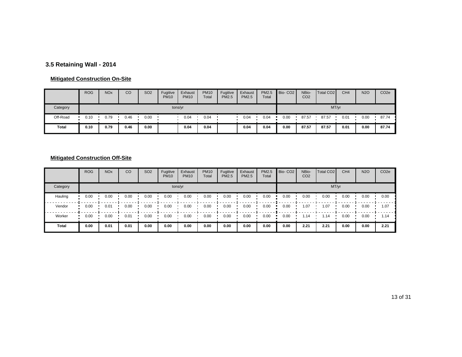# **3.5 Retaining Wall - 2014**

#### **Mitigated Construction On-Site**

|          | <b>ROG</b> | <b>NO<sub>x</sub></b> | CO   | SO <sub>2</sub> | Fugitive<br><b>PM10</b> | Exhaust<br><b>PM10</b> | <b>PM10</b><br>Total | Fugitive<br><b>PM2.5</b> | Exhaust<br><b>PM2.5</b> | PM2.5<br>Total | Bio-CO <sub>2</sub> | NBio-<br>CO <sub>2</sub> | Total CO <sub>2</sub> | CH <sub>4</sub> | <b>N2O</b> | CO <sub>2e</sub> |
|----------|------------|-----------------------|------|-----------------|-------------------------|------------------------|----------------------|--------------------------|-------------------------|----------------|---------------------|--------------------------|-----------------------|-----------------|------------|------------------|
| Category |            |                       |      |                 |                         | tons/yr                |                      |                          |                         | MT/yr          |                     |                          |                       |                 |            |                  |
| Off-Road | 0.10       | 0.79                  | 0.46 | 0.00            |                         | 0.04                   | 0.04                 |                          | 0.04                    | 0.04           | 0.00                | 87.57                    | 87.57                 | 0.01            | 0.00       | 87.74            |
| Total    | 0.10       | 0.79                  | 0.46 | 0.00            |                         | 0.04                   | 0.04                 |                          | 0.04                    | 0.04           | 0.00                | 87.57                    | 87.57                 | 0.01            | 0.00       | 87.74            |

|              | <b>ROG</b> | <b>NO<sub>x</sub></b> | CO   | SO <sub>2</sub> | Fugitive<br><b>PM10</b> | Exhaust<br><b>PM10</b> | <b>PM10</b><br>Total | Fugitive<br><b>PM2.5</b> | Exhaust<br><b>PM2.5</b> | PM2.5<br>Total | Bio-CO <sub>2</sub> | NBio-<br>CO <sub>2</sub> | <b>Total CO2</b> | CH <sub>4</sub> | <b>N2O</b> | CO <sub>2e</sub> |
|--------------|------------|-----------------------|------|-----------------|-------------------------|------------------------|----------------------|--------------------------|-------------------------|----------------|---------------------|--------------------------|------------------|-----------------|------------|------------------|
| Category     |            |                       |      |                 |                         | tons/yr                |                      |                          |                         |                |                     |                          | MT/yr            |                 |            |                  |
| Hauling      | 0.00       | 0.00                  | 0.00 | 0.00            | 0.00                    | 0.00                   | 0.00                 | 0.00                     | 0.00                    | 0.00           | 0.00                | 0.00                     | 0.00             | 0.00            | 0.00       | 0.00             |
| Vendor       | 0.00       | 0.01                  | 0.00 | 0.00            | 0.00                    | 0.00                   | 0.00                 | 0.00                     | 0.00                    | 0.00           | 0.00                | .07                      | .07              | 0.00            | 0.00       | 1.07             |
| Worker       | 0.00       | 0.00                  | 0.01 | 0.00            | 0.00                    | 0.00                   | 0.00                 | 0.00                     | 0.00                    | 0.00           | 0.00                | 1.14                     | l.14             | 0.00            | 0.00       | 1.14             |
| <b>Total</b> | 0.00       | 0.01                  | 0.01 | 0.00            | 0.00                    | 0.00                   | 0.00                 | 0.00                     | 0.00                    | 0.00           | 0.00                | 2.21                     | 2.21             | 0.00            | 0.00       | 2.21             |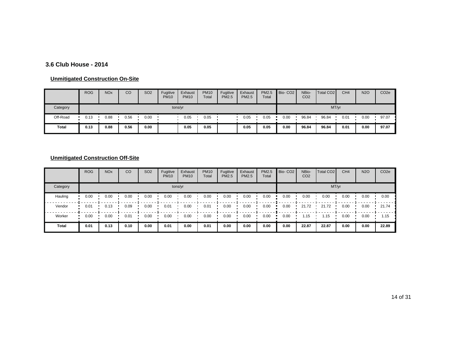### **3.6 Club House - 2014**

#### **Unmitigated Construction On-Site**

|          | <b>ROG</b> | <b>NO<sub>x</sub></b> | CO   | SO <sub>2</sub> | Fugitive<br><b>PM10</b> | Exhaust<br><b>PM10</b> | <b>PM10</b><br>Total | Fugitive<br><b>PM2.5</b> | Exhaust<br><b>PM2.5</b> | PM2.5<br>Total | Bio-CO <sub>2</sub> | NBio-<br>CO <sub>2</sub> | Total CO <sub>2</sub> | CH <sub>4</sub> | <b>N2O</b> | CO <sub>2</sub> e |
|----------|------------|-----------------------|------|-----------------|-------------------------|------------------------|----------------------|--------------------------|-------------------------|----------------|---------------------|--------------------------|-----------------------|-----------------|------------|-------------------|
| Category |            |                       |      |                 |                         | tons/yr                |                      |                          |                         |                |                     |                          | MT/yr                 |                 |            |                   |
| Off-Road | 0.13       | 0.88                  | 0.56 | 0.00            |                         | 0.05                   | 0.05                 |                          | 0.05                    | 0.05           | 0.00                | 96.84                    | 96.84                 | 0.01            | 0.00       | 97.07             |
| Total    | 0.13       | 0.88                  | 0.56 | 0.00            |                         | 0.05                   | 0.05                 |                          | 0.05                    | 0.05           | 0.00                | 96.84                    | 96.84                 | 0.01            | 0.00       | 97.07             |

|              | <b>ROG</b> | <b>NO<sub>x</sub></b> | CO   | SO <sub>2</sub> | Fugitive<br><b>PM10</b> | Exhaust<br><b>PM10</b> | <b>PM10</b><br>Total | Fugitive<br><b>PM2.5</b> | Exhaust<br><b>PM2.5</b> | PM2.5<br>Total | Bio-CO <sub>2</sub> | NBio-<br>CO <sub>2</sub> | <b>Total CO2</b> | CH <sub>4</sub> | <b>N2O</b> | CO <sub>2e</sub> |
|--------------|------------|-----------------------|------|-----------------|-------------------------|------------------------|----------------------|--------------------------|-------------------------|----------------|---------------------|--------------------------|------------------|-----------------|------------|------------------|
| Category     |            |                       |      |                 |                         | tons/yr                |                      |                          |                         |                |                     |                          |                  | MT/yr           |            |                  |
| Hauling      | 0.00       | 0.00                  | 0.00 | 0.00            | 0.00                    | 0.00                   | 0.00                 | 0.00                     | 0.00                    | 0.00           | 0.00                | 0.00                     | 0.00             | 0.00            | 0.00       | 0.00             |
| Vendor       | 0.01       | 0.13                  | 0.09 | 0.00            | 0.01                    | 0.00                   | 0.01                 | 0.00                     | 0.00                    | 0.00           | 0.00                | 21.72                    | 21.72            | 0.00            | 0.00       | 21.74            |
| Worker       | 0.00       | 0.00                  | 0.01 | 0.00            | 0.00                    | 0.00                   | 0.00                 | 0.00                     | 0.00                    | 0.00           | 0.00                | 1.15                     | 1.15             | 0.00            | 0.00       | 1.15             |
| <b>Total</b> | 0.01       | 0.13                  | 0.10 | 0.00            | 0.01                    | 0.00                   | 0.01                 | 0.00                     | 0.00                    | 0.00           | 0.00                | 22.87                    | 22.87            | 0.00            | 0.00       | 22.89            |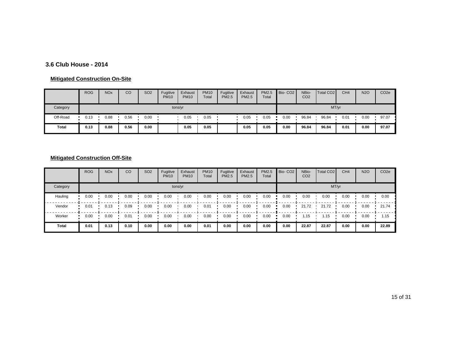### **3.6 Club House - 2014**

#### **Mitigated Construction On-Site**

|          | <b>ROG</b> | <b>NO<sub>x</sub></b> | CO   | SO <sub>2</sub> | Fugitive<br><b>PM10</b> | Exhaust<br><b>PM10</b> | <b>PM10</b><br>Total | Fugitive<br><b>PM2.5</b> | Exhaust<br><b>PM2.5</b> | PM2.5<br>Total | Bio-CO <sub>2</sub> | NBio-<br>CO <sub>2</sub> | Total CO <sub>2</sub> | CH <sub>4</sub> | <b>N2O</b> | CO <sub>2e</sub> |
|----------|------------|-----------------------|------|-----------------|-------------------------|------------------------|----------------------|--------------------------|-------------------------|----------------|---------------------|--------------------------|-----------------------|-----------------|------------|------------------|
| Category |            |                       |      |                 | tons/yr                 |                        |                      |                          |                         |                |                     |                          | MT/yr                 |                 |            |                  |
| Off-Road | 0.13       | 0.88                  | 0.56 | 0.00            |                         | 0.05                   | 0.05                 |                          | 0.05                    | 0.05           | 0.00                | 96.84                    | 96.84                 | 0.01            | 0.00       | 97.07            |
| Total    | 0.13       | 0.88                  | 0.56 | 0.00            |                         | 0.05                   | 0.05                 |                          | 0.05                    | 0.05           | 0.00                | 96.84                    | 96.84                 | 0.01            | 0.00       | 97.07            |

|              | <b>ROG</b> | <b>NO<sub>x</sub></b> | CO   | SO <sub>2</sub> | Fugitive<br><b>PM10</b> | Exhaust<br><b>PM10</b> | <b>PM10</b><br>Total | Fugitive<br><b>PM2.5</b> | Exhaust<br><b>PM2.5</b> | PM2.5<br>Total | Bio-CO <sub>2</sub> | NBio-<br>CO <sub>2</sub> | <b>Total CO2</b> | CH <sub>4</sub> | <b>N2O</b> | CO <sub>2e</sub> |
|--------------|------------|-----------------------|------|-----------------|-------------------------|------------------------|----------------------|--------------------------|-------------------------|----------------|---------------------|--------------------------|------------------|-----------------|------------|------------------|
| Category     |            |                       |      |                 |                         | tons/yr                |                      |                          |                         |                |                     |                          | MT/yr            |                 |            |                  |
| Hauling      | 0.00       | 0.00                  | 0.00 | 0.00            | 0.00                    | 0.00                   | 0.00                 | 0.00                     | 0.00                    | 0.00           | 0.00                | 0.00                     | 0.00             | 0.00            | 0.00       | 0.00             |
| Vendor       | 0.01       | 0.13                  | 0.09 | 0.00            | 0.00                    | 0.00                   | 0.01                 | 0.00                     | 0.00                    | 0.00           | 0.00                | 21.72                    | 21.72            | 0.00            | 0.00       | 21.74            |
| Worker       | 0.00       | 0.00                  | 0.01 | 0.00            | 0.00                    | 0.00                   | 0.00                 | 0.00                     | 0.00                    | 0.00           | 0.00                | 1.15                     | 1.15             | 0.00            | 0.00       | 1.15             |
| <b>Total</b> | 0.01       | 0.13                  | 0.10 | 0.00            | 0.00                    | 0.00                   | 0.01                 | 0.00                     | 0.00                    | 0.00           | 0.00                | 22.87                    | 22.87            | 0.00            | 0.00       | 22.89            |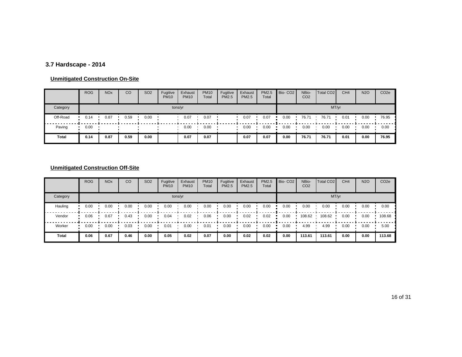# **3.7 Hardscape - 2014**

#### **Unmitigated Construction On-Site**

|          | <b>ROG</b> | <b>NOx</b> | CO   | SO <sub>2</sub> | Fugitive<br><b>PM10</b> | Exhaust<br><b>PM10</b> | <b>PM10</b><br>Total | Fugitive<br><b>PM2.5</b> | Exhaust<br><b>PM2.5</b> | PM2.5<br>Total | Bio-CO <sub>2</sub> | NBio-<br>CO <sub>2</sub> | Total CO <sub>2</sub> | CH <sub>4</sub> | <b>N2O</b> | CO <sub>2e</sub> |  |
|----------|------------|------------|------|-----------------|-------------------------|------------------------|----------------------|--------------------------|-------------------------|----------------|---------------------|--------------------------|-----------------------|-----------------|------------|------------------|--|
| Category | tons/yr    |            |      |                 |                         |                        |                      |                          |                         |                | MT/yr               |                          |                       |                 |            |                  |  |
| Off-Road | 0.14       | 0.87       | 0.59 | 0.00            |                         | 0.07                   | 0.07                 |                          | 0.07                    | 0.07           | 0.00                | 76.71                    | 76.71                 | 0.01            | 0.00       | 76.95            |  |
| Paving   | 0.00       |            |      |                 |                         | 0.00                   | 0.00                 |                          | 0.00                    | 0.00           | 0.00                | 0.00                     | 0.00                  | 0.00            | 0.00       | 0.00             |  |
| Total    | 0.14       | 0.87       | 0.59 | 0.00            |                         | 0.07                   | 0.07                 |                          | 0.07                    | 0.07           | 0.00                | 76.71                    | 76.71                 | 0.01            | 0.00       | 76.95            |  |

|              | <b>ROG</b> | <b>NO<sub>x</sub></b> | CO   | SO <sub>2</sub> | Fugitive<br><b>PM10</b> | Exhaust<br><b>PM10</b> | <b>PM10</b><br>Total | Fugitive<br><b>PM2.5</b> | Exhaust<br><b>PM2.5</b> | PM2.5<br>Total | Bio-CO <sub>2</sub> | NBio-<br>CO <sub>2</sub> | Total CO <sub>2</sub> | CH <sub>4</sub> | <b>N2O</b> | CO <sub>2e</sub> |  |  |  |
|--------------|------------|-----------------------|------|-----------------|-------------------------|------------------------|----------------------|--------------------------|-------------------------|----------------|---------------------|--------------------------|-----------------------|-----------------|------------|------------------|--|--|--|
| Category     | tons/yr    |                       |      |                 |                         |                        |                      |                          |                         |                |                     | MT/yr                    |                       |                 |            |                  |  |  |  |
| Hauling      | 0.00       | 0.00                  | 0.00 | 0.00            | 0.00                    | 0.00                   | 0.00                 | 0.00                     | 0.00                    | 0.00           | 0.00                | 0.00                     | 0.00                  | 0.00            | 0.00       | 0.00             |  |  |  |
| Vendor       | 0.06       | 0.67                  | 0.43 | 0.00            | 0.04                    | 0.02                   | 0.06                 | 0.00                     | 0.02                    | 0.02           | 0.00                | 108.62                   | 108.62                | 0.00            | 0.00       | 108.68           |  |  |  |
| Worker       | 0.00       | 0.00                  | 0.03 | 0.00            | 0.01                    | 0.00                   | 0.01                 | 0.00                     | 0.00                    | 0.00           | 0.00                | 4.99                     | 4.99                  | 0.00            | 0.00       | 5.00             |  |  |  |
| <b>Total</b> | 0.06       | 0.67                  | 0.46 | 0.00            | 0.05                    | 0.02                   | 0.07                 | 0.00                     | 0.02                    | 0.02           | 0.00                | 113.61                   | 113.61                | 0.00            | 0.00       | 113.68           |  |  |  |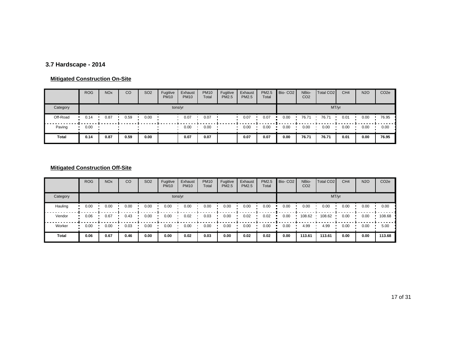# **3.7 Hardscape - 2014**

#### **Mitigated Construction On-Site**

|          | <b>ROG</b> | <b>NO<sub>x</sub></b> | CO   | <b>SO2</b> | Fugitive<br><b>PM10</b> | Exhaust<br><b>PM10</b> | <b>PM10</b><br>Total | Fugitive<br><b>PM2.5</b> | Exhaust<br><b>PM2.5</b> | PM2.5<br>Total | Bio-CO <sub>2</sub> | NBio-<br>CO <sub>2</sub> | Total CO <sub>2</sub> | CH <sub>4</sub> | <b>N2O</b> | CO <sub>2</sub> e |  |
|----------|------------|-----------------------|------|------------|-------------------------|------------------------|----------------------|--------------------------|-------------------------|----------------|---------------------|--------------------------|-----------------------|-----------------|------------|-------------------|--|
| Category | tons/yr    |                       |      |            |                         |                        |                      |                          |                         |                | MT/yr               |                          |                       |                 |            |                   |  |
| Off-Road | 0.14       | 0.87                  | 0.59 | 0.00       |                         | 0.07                   | 0.07                 |                          | 0.07                    | 0.07           | 0.00                | 76.71                    | 76.71                 | 0.01            | 0.00       | 76.95             |  |
| Paving   | 0.00       |                       |      |            |                         | 0.00                   | 0.00                 |                          | 0.00                    | 0.00           | 0.00                | 0.00                     | 0.00                  | 0.00            | 0.00       | 0.00              |  |
| Total    | 0.14       | 0.87                  | 0.59 | 0.00       |                         | 0.07                   | 0.07                 |                          | 0.07                    | 0.07           | 0.00                | 76.71                    | 76.71                 | 0.01            | 0.00       | 76.95             |  |

|          | <b>ROG</b> | <b>NO<sub>x</sub></b> | CO   | SO <sub>2</sub> | Fugitive<br><b>PM10</b> | Exhaust<br><b>PM10</b> | <b>PM10</b><br>Total | Fugitive<br><b>PM2.5</b> | Exhaust<br><b>PM2.5</b> | PM2.5<br>Total | Bio-CO <sub>2</sub> | NBio-<br>CO <sub>2</sub> | Total CO <sub>2</sub> | CH <sub>4</sub> | <b>N2O</b> | CO <sub>2e</sub> |  |  |  |
|----------|------------|-----------------------|------|-----------------|-------------------------|------------------------|----------------------|--------------------------|-------------------------|----------------|---------------------|--------------------------|-----------------------|-----------------|------------|------------------|--|--|--|
| Category | tons/yr    |                       |      |                 |                         |                        |                      |                          |                         |                |                     | MT/yr                    |                       |                 |            |                  |  |  |  |
| Hauling  | 0.00       | 0.00                  | 0.00 | 0.00            | 0.00                    | 0.00                   | 0.00                 | 0.00                     | 0.00                    | 0.00           | 0.00                | 0.00                     | 0.00                  | 0.00            | 0.00       | 0.00             |  |  |  |
| Vendor   | 0.06       | 0.67                  | 0.43 | 0.00            | 0.00                    | 0.02                   | 0.03                 | 0.00                     | 0.02                    | 0.02           | 0.00                | 108.62                   | 108.62                | 0.00            | 0.00       | 108.68           |  |  |  |
| Worker   | 0.00       | 0.00                  | 0.03 | 0.00            | 0.00                    | 0.00                   | 0.00                 | 0.00                     | 0.00                    | 0.00           | 0.00                | 4.99                     | 4.99                  | 0.00            | 0.00       | 5.00             |  |  |  |
| Total    | 0.06       | 0.67                  | 0.46 | 0.00            | 0.00                    | 0.02                   | 0.03                 | 0.00                     | 0.02                    | 0.02           | 0.00                | 113.61                   | 113.61                | 0.00            | 0.00       | 113.68           |  |  |  |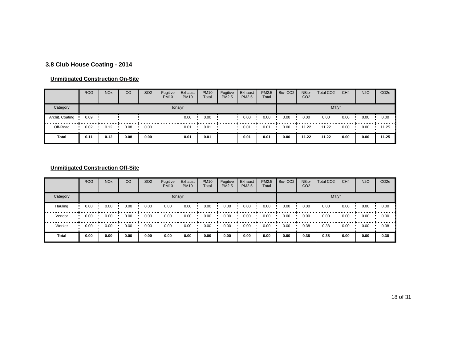# **3.8 Club House Coating - 2014**

#### **Unmitigated Construction On-Site**

|                 | <b>ROG</b> | <b>NO<sub>x</sub></b> | CO   | SO <sub>2</sub> | Fugitive<br><b>PM10</b> | Exhaust<br><b>PM10</b> | <b>PM10</b><br>Total | Fugitive<br><b>PM2.5</b> | Exhaust<br><b>PM2.5</b> | PM2.5<br>Total | Bio-CO <sub>2</sub> | NBio-<br>CO <sub>2</sub> | Total CO <sub>2</sub> | CH <sub>4</sub> | <b>N2O</b> | CO <sub>2e</sub> |
|-----------------|------------|-----------------------|------|-----------------|-------------------------|------------------------|----------------------|--------------------------|-------------------------|----------------|---------------------|--------------------------|-----------------------|-----------------|------------|------------------|
| Category        |            |                       |      |                 |                         | tons/yr                |                      |                          |                         |                |                     |                          | MT/yr                 |                 |            |                  |
| Archit. Coating | 0.09       |                       |      |                 |                         | 0.00                   | 0.00                 |                          | 0.00                    | 0.00           | 0.00                | 0.00                     | 0.00                  | 0.00            | 0.00       | 0.00             |
| Off-Road        | 0.02       | 0.12                  | 0.08 | 0.00            |                         | 0.01                   | 0.01                 |                          | 0.01                    | 0.01           | 0.00                | 11.22                    | 11.22                 | 0.00            | 0.00       | 11.25            |
| <b>Total</b>    | 0.11       | 0.12                  | 0.08 | 0.00            |                         | 0.01                   | 0.01                 |                          | 0.01                    | 0.01           | 0.00                | 11.22                    | 11.22                 | 0.00            | 0.00       | 11.25            |

## **Unmitigated Construction Off-Site**

|              | <b>ROG</b> | <b>NO<sub>x</sub></b> | CO   | SO <sub>2</sub> | Fugitive<br><b>PM10</b> | Exhaust<br><b>PM10</b> | <b>PM10</b><br>Total | Fugitive<br><b>PM2.5</b> | Exhaust<br><b>PM2.5</b> | PM2.5<br>Total | Bio-CO <sub>2</sub> | NBio-<br>CO <sub>2</sub> | Total CO <sub>2</sub> | CH <sub>4</sub> | <b>N2O</b> | CO <sub>2e</sub> |
|--------------|------------|-----------------------|------|-----------------|-------------------------|------------------------|----------------------|--------------------------|-------------------------|----------------|---------------------|--------------------------|-----------------------|-----------------|------------|------------------|
| Category     |            |                       |      |                 |                         | tons/yr                |                      |                          |                         |                |                     |                          |                       | MT/yr           |            |                  |
| Hauling      | 0.00       | 0.00                  | 0.00 | 0.00            | 0.00                    | 0.00                   | 0.00                 | 0.00                     | 0.00                    | 0.00           | 0.00                | 0.00                     | 0.00                  | 0.00            | 0.00       | 0.00             |
| Vendor       | 0.00       | 0.00                  | 0.00 | 0.00            | 0.00                    | 0.00                   | 0.00                 | 0.00                     | 0.00                    | 0.00           | 0.00                | 0.00                     | 0.00                  | 0.00            | 0.00       | 0.00             |
| Worker       | 0.00       | 0.00                  | 0.00 | 0.00            | 0.00                    | 0.00                   | 0.00                 | 0.00                     | 0.00                    | 0.00           | 0.00                | 0.38                     | 0.38                  | 0.00            | 0.00       | 0.38             |
| <b>Total</b> | 0.00       | 0.00                  | 0.00 | 0.00            | 0.00                    | 0.00                   | 0.00                 | 0.00                     | 0.00                    | 0.00           | 0.00                | 0.38                     | 0.38                  | 0.00            | 0.00       | 0.38             |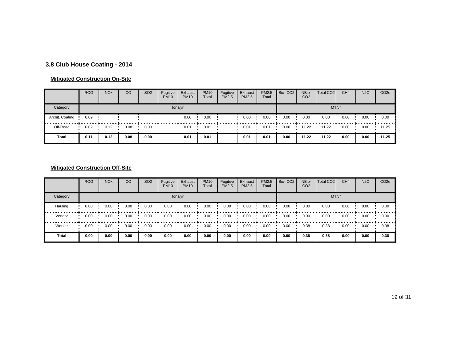# **3.8 Club House Coating - 2014**

### **Mitigated Construction On-Site**

|                 | <b>ROG</b> | <b>NO<sub>x</sub></b> | CO   | SO <sub>2</sub> | Fugitive<br><b>PM10</b> | Exhaust<br><b>PM10</b> | <b>PM10</b><br>Total | Fugitive<br><b>PM2.5</b> | Exhaust<br><b>PM2.5</b> | PM2.5<br>Total | Bio-CO <sub>2</sub> | NBio-<br>CO <sub>2</sub> | Total CO <sub>2</sub> | CH <sub>4</sub> | <b>N2O</b> | CO <sub>2</sub> e |
|-----------------|------------|-----------------------|------|-----------------|-------------------------|------------------------|----------------------|--------------------------|-------------------------|----------------|---------------------|--------------------------|-----------------------|-----------------|------------|-------------------|
| Category        |            |                       |      |                 |                         | tons/yr                |                      |                          |                         |                |                     |                          | MT/yr                 |                 |            |                   |
| Archit. Coating | 0.09       |                       |      |                 |                         | 0.00                   | 0.00                 |                          | 0.00                    | 0.00           | 0.00                | 0.00                     | 0.00                  | 0.00            | 0.00       | 0.00              |
| Off-Road        | 0.02       | 0.12                  | 0.08 | 0.00            |                         | 0.01                   | 0.01                 |                          | 0.01                    | 0.01           | 0.00                | 11.22                    | 11.22                 | 0.00            | 0.00       | 11.25             |
| Total           | 0.11       | 0.12                  | 0.08 | 0.00            |                         | 0.01                   | 0.01                 |                          | 0.01                    | 0.01           | 0.00                | 11.22                    | 11.22                 | 0.00            | 0.00       | 11.25             |

## **Mitigated Construction Off-Site**

|          | <b>ROG</b> | <b>NO<sub>x</sub></b> | CO   | SO <sub>2</sub> | Fugitive<br><b>PM10</b> | Exhaust<br><b>PM10</b> | <b>PM10</b><br>Total | Fugitive<br><b>PM2.5</b> | Exhaust<br><b>PM2.5</b> | PM2.5<br>Total | Bio-CO <sub>2</sub> | NBio-<br>CO <sub>2</sub> | Total CO <sub>2</sub> | CH <sub>4</sub> | <b>N2O</b> | CO <sub>2e</sub> |
|----------|------------|-----------------------|------|-----------------|-------------------------|------------------------|----------------------|--------------------------|-------------------------|----------------|---------------------|--------------------------|-----------------------|-----------------|------------|------------------|
| Category |            |                       |      |                 |                         | tons/yr                |                      |                          |                         |                |                     |                          |                       | MT/yr           |            |                  |
| Hauling  | 0.00       | 0.00                  | 0.00 | 0.00            | 0.00                    | 0.00                   | 0.00                 | 0.00                     | 0.00                    | 0.00           | 0.00                | 0.00                     | 0.00                  | 0.00            | 0.00       | 0.00             |
| Vendor   | 0.00       | 0.00                  | 0.00 | 0.00            | 0.00                    | 0.00                   | 0.00                 | 0.00                     | 0.00                    | 0.00           | 0.00                | 0.00                     | 0.00                  | 0.00            | 0.00       | 0.00             |
| Worker   | 0.00       | 0.00                  | 0.00 | 0.00            | 0.00                    | 0.00                   | 0.00                 | 0.00                     | 0.00                    | 0.00           | 0.00                | 0.38                     | 0.38                  | 0.00            | 0.00       | 0.38             |
| Total    | 0.00       | 0.00                  | 0.00 | 0.00            | 0.00                    | 0.00                   | 0.00                 | 0.00                     | 0.00                    | 0.00           | 0.00                | 0.38                     | 0.38                  | 0.00            | 0.00       | 0.38             |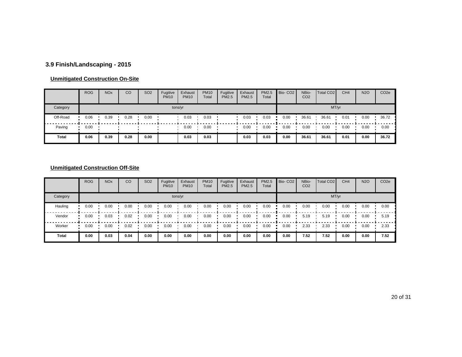# **3.9 Finish/Landscaping - 2015**

### **Unmitigated Construction On-Site**

|          | <b>ROG</b> | <b>NO<sub>x</sub></b> | CO   | SO <sub>2</sub> | Fugitive<br><b>PM10</b> | Exhaust<br><b>PM10</b> | <b>PM10</b><br>Total | Fugitive<br><b>PM2.5</b> | Exhaust<br><b>PM2.5</b> | PM2.5<br>Total | Bio-CO <sub>2</sub> | NBio-<br>CO <sub>2</sub> | Total CO <sub>2</sub> | CH <sub>4</sub> | <b>N2O</b> | CO <sub>2</sub> e |
|----------|------------|-----------------------|------|-----------------|-------------------------|------------------------|----------------------|--------------------------|-------------------------|----------------|---------------------|--------------------------|-----------------------|-----------------|------------|-------------------|
| Category |            |                       |      |                 |                         | tons/yr                |                      |                          |                         |                |                     |                          | MT/yr                 |                 |            |                   |
| Off-Road | 0.06       | 0.39                  | 0.28 | 0.00            |                         | 0.03                   | 0.03                 |                          | 0.03                    | 0.03           | 0.00                | 36.61                    | 36.61                 | 0.01            | 0.00       | 36.72             |
| Paving   | 0.00       |                       |      |                 |                         | 0.00                   | 0.00                 |                          | 0.00                    | 0.00           | 0.00                | 0.00                     | 0.00                  | 0.00            | 0.00       | 0.00              |
| Total    | 0.06       | 0.39                  | 0.28 | 0.00            |                         | 0.03                   | 0.03                 |                          | 0.03                    | 0.03           | 0.00                | 36.61                    | 36.61                 | 0.01            | 0.00       | 36.72             |

## **Unmitigated Construction Off-Site**

|              | <b>ROG</b> | <b>NO<sub>x</sub></b> | CO   | SO <sub>2</sub> | Fugitive<br><b>PM10</b> | Exhaust<br><b>PM10</b> | <b>PM10</b><br>Total | Fugitive<br><b>PM2.5</b> | Exhaust<br><b>PM2.5</b> | PM2.5<br>Total | Bio-CO <sub>2</sub> | NBio-<br>CO <sub>2</sub> | Total CO <sub>2</sub> | CH <sub>4</sub> | <b>N2O</b> | CO <sub>2e</sub> |
|--------------|------------|-----------------------|------|-----------------|-------------------------|------------------------|----------------------|--------------------------|-------------------------|----------------|---------------------|--------------------------|-----------------------|-----------------|------------|------------------|
| Category     |            |                       |      |                 |                         | tons/yr                |                      |                          |                         |                |                     |                          |                       | MT/yr           |            |                  |
| Hauling      | 0.00       | 0.00                  | 0.00 | 0.00            | 0.00                    | 0.00                   | 0.00                 | 0.00                     | 0.00                    | 0.00           | 0.00                | 0.00                     | 0.00                  | 0.00            | 0.00       | 0.00             |
| Vendor       | 0.00       | 0.03                  | 0.02 | 0.00            | 0.00                    | 0.00                   | 0.00                 | 0.00                     | 0.00                    | 0.00           | 0.00                | 5.19                     | 5.19                  | 0.00            | 0.00       | 5.19             |
| Worker       | 0.00       | 0.00                  | 0.02 | 0.00            | 0.00                    | 0.00                   | 0.00                 | 0.00                     | 0.00                    | 0.00           | 0.00                | 2.33                     | 2.33                  | 0.00            | 0.00       | 2.33             |
| <b>Total</b> | 0.00       | 0.03                  | 0.04 | 0.00            | 0.00                    | 0.00                   | 0.00                 | 0.00                     | 0.00                    | 0.00           | 0.00                | 7.52                     | 7.52                  | 0.00            | 0.00       | 7.52             |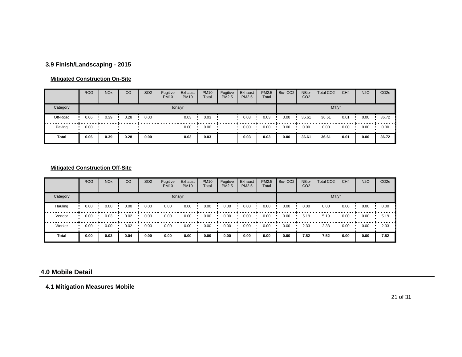## **3.9 Finish/Landscaping - 2015**

### **Mitigated Construction On-Site**

|          | <b>ROG</b> | <b>NO<sub>x</sub></b> | CO   | <b>SO2</b> | Fugitive<br><b>PM10</b> | Exhaust<br><b>PM10</b> | <b>PM10</b><br>Total | Fugitive<br><b>PM2.5</b> | Exhaust<br>PM2.5 | <b>PM2.5</b><br>Total | Bio-CO <sub>2</sub> | NBio-<br>CO <sub>2</sub> | Total CO <sub>2</sub> | CH <sub>4</sub> | <b>N2O</b> | CO <sub>2</sub> e |
|----------|------------|-----------------------|------|------------|-------------------------|------------------------|----------------------|--------------------------|------------------|-----------------------|---------------------|--------------------------|-----------------------|-----------------|------------|-------------------|
| Category |            |                       |      |            | tons/yr                 |                        |                      |                          |                  |                       |                     |                          | MT/yr                 |                 |            |                   |
| Off-Road | 0.06       | 0.39                  | 0.28 | 0.00       |                         | 0.03                   | 0.03                 |                          | 0.03             | 0.03                  | 0.00                | 36.61                    | 36.61                 | 0.01            | 0.00       | 36.72             |
| Paving   | 0.00       |                       |      |            |                         | 0.00                   | 0.00                 |                          | 0.00             | 0.00                  | 0.00                | 0.00                     | 0.00                  | 0.00            | 0.00       | 0.00              |
| Total    | 0.06       | 0.39                  | 0.28 | 0.00       |                         | 0.03                   | 0.03                 |                          | 0.03             | 0.03                  | 0.00                | 36.61                    | 36.61                 | 0.01            | 0.00       | 36.72             |

## **Mitigated Construction Off-Site**

|          | <b>ROG</b> | <b>NO<sub>x</sub></b> | CO   | <b>SO2</b> | Fugitive<br><b>PM10</b> | Exhaust<br><b>PM10</b> | <b>PM10</b><br>Total | Fugitive<br>PM2.5 | Exhaust<br><b>PM2.5</b> | PM2.5<br>Total | Bio-CO <sub>2</sub> | NBio-<br>CO <sub>2</sub> | Total CO <sub>2</sub> | CH <sub>4</sub> | <b>N2O</b> | CO <sub>2e</sub> |
|----------|------------|-----------------------|------|------------|-------------------------|------------------------|----------------------|-------------------|-------------------------|----------------|---------------------|--------------------------|-----------------------|-----------------|------------|------------------|
| Category |            |                       |      |            |                         | tons/yr                |                      |                   |                         |                |                     |                          |                       | MT/yr           |            |                  |
| Hauling  | 0.00       | 0.00                  | 0.00 | 0.00       | 0.00                    | 0.00                   | 0.00                 | 0.00              | 0.00                    | 0.00           | 0.00                | 0.00                     | 0.00                  | 0.00            | 0.00       | 0.00             |
| Vendor   | 0.00       | 0.03                  | 0.02 | 0.00       | 0.00                    | 0.00                   | 0.00                 | 0.00              | 0.00                    | 0.00           | 0.00                | 5.19                     | 5.19                  | 0.00            | 0.00       | 5.19             |
| Worker   | 0.00       | 0.00                  | 0.02 | 0.00       | 0.00                    | 0.00                   | 0.00                 | 0.00              | 0.00                    | 0.00           | 0.00                | 2.33                     | 2.33                  | 0.00            | 0.00       | 2.33             |
| Total    | 0.00       | 0.03                  | 0.04 | 0.00       | 0.00                    | 0.00                   | 0.00                 | 0.00              | 0.00                    | 0.00           | 0.00                | 7.52                     | 7.52                  | 0.00            | 0.00       | 7.52             |

#### **4.0 Mobile Detail**

**4.1 Mitigation Measures Mobile**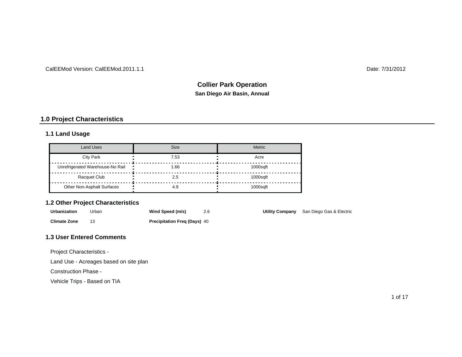#### CalEEMod Version: CalEEMod.2011.1.1

Date: 7/31/2012

# **San Diego Air Basin, Annual Collier Park Operation**

## **1.0 Project Characteristics**

### **1.1 Land Usage**

| <b>Land Uses</b>                 | Size | <b>Metric</b> |
|----------------------------------|------|---------------|
| <b>City Park</b>                 | 7.53 | Acre          |
| Unrefrigerated Warehouse-No Rail | 1.66 | 1000saft      |
| Racquet Club                     | 2.5  | 1000saft      |
| Other Non-Asphalt Surfaces       | 4.9  | $1000$ saft   |

### **1.2 Other Project Characteristics**

| Urbanization        | Urban | Wind Speed (m/s)                    |  | <b>Utility Company</b> San Diego Gas & Electric |
|---------------------|-------|-------------------------------------|--|-------------------------------------------------|
| <b>Climate Zone</b> |       | <b>Precipitation Freg (Days) 40</b> |  |                                                 |

#### **1.3 User Entered Comments**

Project Characteristics -

Land Use - Acreages based on site plan

Construction Phase -

Vehicle Trips - Based on TIA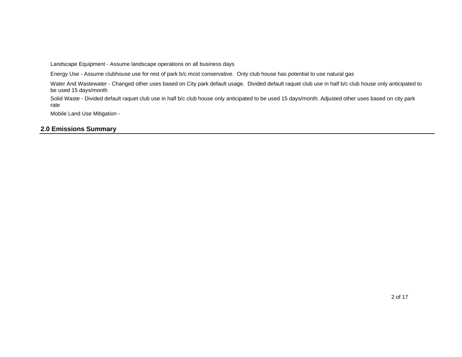Landscape Equipment - Assume landscape operations on all business days

Energy Use - Assume clubhouse use for rest of park b/c most conservative. Only club house has potential to use natural gas

Water And Wastewater - Changed other uses based on City park default usage. Divided default raquet club use in half b/c club house only anticipated to be used 15 days/month

Solid Waste - Divided default raquet club use in half b/c club house only anticipated to be used 15 days/month. Adjusted other uses based on city park rate

Mobile Land Use Mitigation -

### **2.0 Emissions Summary**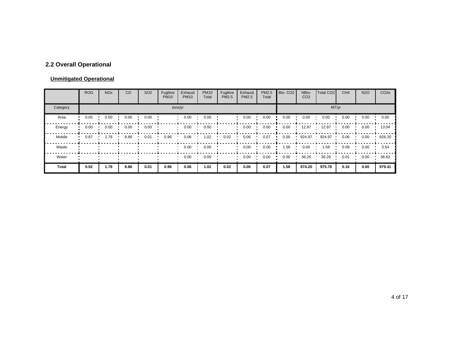# **2.2 Overall Operational**

### **Unmitigated Operational**

|          | <b>ROG</b> | <b>NO<sub>x</sub></b> | CO   | SO <sub>2</sub> | Fugitive<br><b>PM10</b> | Exhaust<br><b>PM10</b> | <b>PM10</b><br>Total | Fugitive<br>PM2.5 | Exhaust<br>PM2.5 | PM2.5<br>Total | Bio-CO <sub>2</sub> | NBio-<br>CO <sub>2</sub> | Total CO <sub>2</sub> | CH <sub>4</sub> | <b>N2O</b> | CO <sub>2e</sub> |
|----------|------------|-----------------------|------|-----------------|-------------------------|------------------------|----------------------|-------------------|------------------|----------------|---------------------|--------------------------|-----------------------|-----------------|------------|------------------|
| Category |            |                       |      |                 |                         | tons/yr                |                      |                   |                  |                |                     |                          | MT/yr                 |                 |            |                  |
| Area     | 0.05       | 0.00                  | 0.00 | 0.00            |                         | 0.00                   | 0.00                 |                   | 0.00             | 0.00           | 0.00                | 0.00                     | 0.00                  | 0.00            | 0.00       | 0.00             |
| Energy   | 0.00       | 0.00                  | 0.00 | 0.00            |                         | 0.00                   | 0.00                 |                   | 0.00             | 0.00           | 0.00                | 12.97                    | 12.97                 | 0.00            | 0.00       | 13.04            |
| Mobile   | 0.87       | .78                   | 8.86 | 0.01            | 0.96                    | 0.06                   | 1.02                 | 0.02              | 0.06             | 0.07           | 0.00                | 924.97                   | 924.97                | 0.06            | 0.00       | 926.20           |
| Waste    |            |                       |      |                 |                         | 0.00                   | 0.00                 |                   | 0.00             | 0.00           | 1.58                | 0.00                     | 1.58                  | 0.09            | 0.00       | 3.54             |
| Water    |            |                       |      |                 |                         | 0.00                   | 0.00                 |                   | 0.00             | 0.00           | 0.00                | 36.26                    | 36.26                 | 0.01            | 0.00       | 36.63            |
| Total    | 0.92       | 1.78                  | 8.86 | 0.01            | 0.96                    | 0.06                   | 1.02                 | 0.02              | 0.06             | 0.07           | 1.58                | 974.20                   | 975.78                | 0.16            | 0.00       | 979.41           |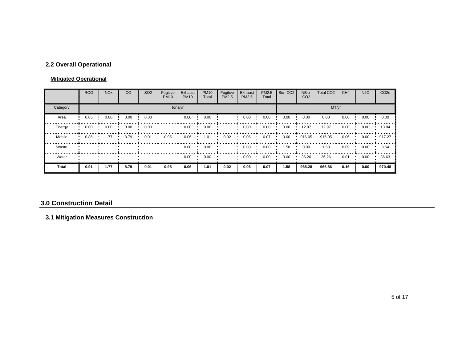## **2.2 Overall Operational**

### **Mitigated Operational**

|          | <b>ROG</b> | <b>NO<sub>x</sub></b> | CO   | SO <sub>2</sub> | Fugitive<br><b>PM10</b> | Exhaust<br><b>PM10</b> | <b>PM10</b><br>Total | Fugitive<br>PM2.5 | Exhaust<br><b>PM2.5</b> | PM2.5<br>Total | Bio-CO <sub>2</sub> | NBio-<br>CO <sub>2</sub> | Total CO <sub>2</sub> | CH <sub>4</sub> | <b>N2O</b> | CO <sub>2e</sub> |
|----------|------------|-----------------------|------|-----------------|-------------------------|------------------------|----------------------|-------------------|-------------------------|----------------|---------------------|--------------------------|-----------------------|-----------------|------------|------------------|
| Category |            |                       |      |                 |                         | tons/yr                |                      |                   |                         |                |                     |                          |                       | MT/yr           |            |                  |
| Area     | 0.05       | 0.00                  | 0.00 | 0.00            |                         | 0.00                   | 0.00                 |                   | 0.00                    | 0.00           | 0.00                | 0.00                     | 0.00                  | 0.00            | 0.00       | 0.00             |
| Energy   | 0.00       | 0.00                  | 0.00 | 0.00            |                         | 0.00                   | 0.00                 |                   | 0.00                    | 0.00           | 0.00                | 12.97                    | 12.97                 | 0.00            | 0.00       | 13.04            |
| Mobile   | 0.86       | 1.77                  | 8.79 | 0.01            | 0.95                    | 0.06                   | 1.01                 | 0.02              | 0.06                    | 0.07           | 0.00                | 916.05                   | 916.05                | 0.06            | 0.00       | 917.27           |
| Waste    |            |                       |      |                 |                         | 0.00                   | 0.00                 |                   | 0.00                    | 0.00           | 1.58                | 0.00                     | 1.58                  | 0.09            | 0.00       | 3.54             |
| Water    |            |                       |      |                 |                         | 0.00                   | 0.00                 |                   | 0.00                    | 0.00           | 0.00                | 36.26                    | 36.26                 | 0.01            | 0.00       | 36.63            |
| Total    | 0.91       | 1.77                  | 8.79 | 0.01            | 0.95                    | 0.06                   | 1.01                 | 0.02              | 0.06                    | 0.07           | 1.58                | 965.28                   | 966.86                | 0.16            | 0.00       | 970.48           |

#### **3.0 Construction Detail**

## **3.1 Mitigation Measures Construction**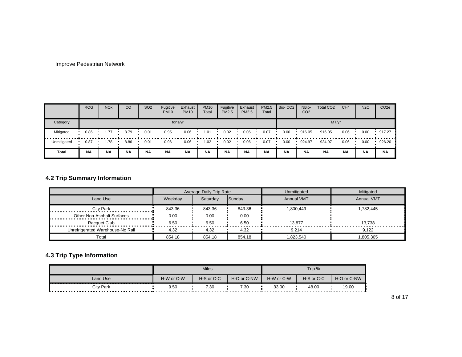#### Improve Pedestrian Network

|             | <b>ROG</b>       | <b>NO<sub>x</sub></b> | CO        | SO <sub>2</sub> | Fugitive<br><b>PM10</b> | Exhaust<br><b>PM10</b> | <b>PM10</b><br>Total | Fugitive<br><b>PM2.5</b> | Exhaust<br>PM2.5 | PM2.5<br>Total | Bio-CO <sub>2</sub> | NBio-<br>CO <sub>2</sub> | Total CO <sub>2</sub> | CH <sub>4</sub> | <b>N2O</b> | CO <sub>2</sub> e |
|-------------|------------------|-----------------------|-----------|-----------------|-------------------------|------------------------|----------------------|--------------------------|------------------|----------------|---------------------|--------------------------|-----------------------|-----------------|------------|-------------------|
| Category    | MT/yr<br>tons/yr |                       |           |                 |                         |                        |                      |                          |                  |                |                     |                          |                       |                 |            |                   |
| Mitigated   | 0.86             | 1.77                  | 8.79      | 0.01            | 0.95                    | 0.06                   | 1.01                 | 0.02                     | 0.06             | 0.07           | 0.00                | 916.05                   | 916.05                | 0.06            | 0.00       | 917.27            |
| Unmitigated | 0.87             | 1.78                  | 8.86      | 0.01            | 0.96                    | 0.06                   | 1.02                 | 0.02                     | 0.06             | 0.07           | 0.00                | 924.97                   | 924.97                | 0.06            | 0.00       | 926.20            |
| Total       | <b>NA</b>        | <b>NA</b>             | <b>NA</b> | <b>NA</b>       | <b>NA</b>               | <b>NA</b>              | <b>NA</b>            | <b>NA</b>                | <b>NA</b>        | <b>NA</b>      | <b>NA</b>           | <b>NA</b>                | <b>NA</b>             | <b>NA</b>       | <b>NA</b>  | <b>NA</b>         |

# **4.2 Trip Summary Information**

|                                  |         | Average Daily Trip Rate |               | Unmitigated       | Mitigated         |
|----------------------------------|---------|-------------------------|---------------|-------------------|-------------------|
| Land Use                         | Weekdav | Saturday                | <b>Sundav</b> | <b>Annual VMT</b> | <b>Annual VMT</b> |
| City Park                        | 843.36  | 843.36                  | 843.36        | 1.800.449         | 1.782.445         |
| Other Non-Asphalt Surfaces       | 0.00    | 0.00                    | 0.00          |                   |                   |
| Racquet Club                     | 6.50    | 6.50                    | 6.50          | 13.877            | 13.738            |
| Unrefrigerated Warehouse-No Rail | 4.32    | 4.32                    | 4.32          | 9.214             | 9.122             |
| Total                            | 854.18  | 854.18                  | 854.18        | 823.540           | 1,805,305         |

## **4.3 Trip Type Information**

|                  |            | <b>Miles</b> |             |            | Trip %     |             |
|------------------|------------|--------------|-------------|------------|------------|-------------|
| Land Use         | H-W or C-W | H-S or C-C   | H-O or C-NW | H-W or C-W | H-S or C-C | H-O or C-NW |
| <b>City Park</b> | 9.50       | 7.30         | 7.30        | 33.00      | 48.00      | 19.00       |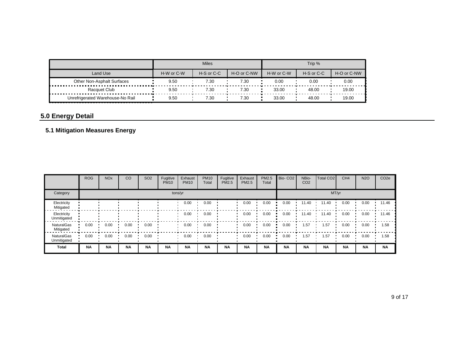|                                  |            | <b>Miles</b> |             |            | Trip %     |             |
|----------------------------------|------------|--------------|-------------|------------|------------|-------------|
| Land Use                         | H-W or C-W | H-S or C-C   | H-O or C-NW | H-W or C-W | H-S or C-C | H-O or C-NW |
| Other Non-Asphalt Surfaces       | 9.50       | 7.30         | 7.30        | 0.00       | 0.00       | 0.00        |
| Racquet Club                     | 9.50       | 7.30         | 7.30        | 33.00      | 48.00      | 19.00       |
| Unrefrigerated Warehouse-No Rail | 9.50       | 7.30         | 7.30        | 33.00      | 48.00      | 19.00       |

# **5.0 Energy Detail**

## **5.1 Mitigation Measures Energy**

|                                  | <b>ROG</b> | <b>NO<sub>x</sub></b> | CO        | SO <sub>2</sub> | Fugitive<br><b>PM10</b> | Exhaust<br><b>PM10</b> | <b>PM10</b><br>Total | Fugitive<br>PM2.5 | Exhaust<br>PM2.5 | PM2.5<br>Total | Bio-CO <sub>2</sub> | NBio-<br>CO <sub>2</sub> | Total CO <sub>2</sub> | CH <sub>4</sub> | <b>N2O</b> | CO <sub>2e</sub> |
|----------------------------------|------------|-----------------------|-----------|-----------------|-------------------------|------------------------|----------------------|-------------------|------------------|----------------|---------------------|--------------------------|-----------------------|-----------------|------------|------------------|
| Category                         |            |                       |           |                 |                         | tons/yr                |                      |                   |                  |                |                     |                          | MT/yr                 |                 |            |                  |
| Electricity<br>Mitigated         |            |                       |           |                 |                         | 0.00                   | 0.00                 |                   | 0.00             | 0.00           | 0.00                | 11.40                    | 11.40                 | 0.00            | 0.00       | 11.46            |
| Electricity<br>Unmitigated       |            |                       |           |                 |                         | 0.00                   | 0.00                 |                   | 0.00             | 0.00           | 0.00                | 11.40                    | 11.40                 | 0.00            | 0.00       | 11.46            |
| NaturalGas<br>Mitigated          | 0.00       | 0.00                  | 0.00      | 0.00            |                         | 0.00                   | 0.00                 |                   | 0.00             | 0.00           | 0.00                | 1.57                     | 1.57                  | 0.00            | 0.00       | 1.58             |
| <b>NaturalGas</b><br>Unmitigated | 0.00       | 0.00                  | 0.00      | 0.00            |                         | 0.00                   | 0.00                 |                   | 0.00             | 0.00           | 0.00                | 1.57                     | 1.57                  | 0.00            | 0.00       | 1.58             |
| <b>Total</b>                     | <b>NA</b>  | <b>NA</b>             | <b>NA</b> | <b>NA</b>       | <b>NA</b>               | <b>NA</b>              | <b>NA</b>            | <b>NA</b>         | <b>NA</b>        | <b>NA</b>      | <b>NA</b>           | <b>NA</b>                | <b>NA</b>             | <b>NA</b>       | <b>NA</b>  | <b>NA</b>        |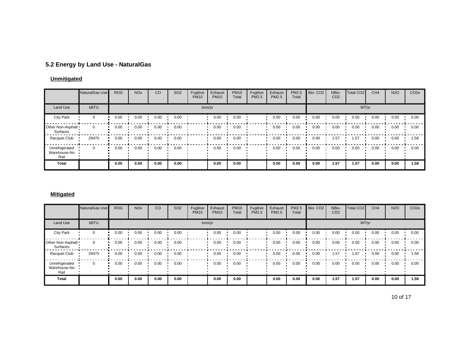## **5.2 Energy by Land Use - NaturalGas**

### **Unmitigated**

|                                        | <b>NaturalGas Use</b> | <b>ROG</b> | <b>NO<sub>x</sub></b> | CO   | SO <sub>2</sub> | Fugitive<br><b>PM10</b> | Exhaust<br><b>PM10</b> | <b>PM10</b><br>Total | Fugitive<br>PM2.5 | Exhaust<br>PM2.5 | PM2.5<br>Total | Bio-CO <sub>2</sub> | NBio-<br>CO <sub>2</sub> | Total CO <sub>2</sub> | CH <sub>4</sub> | <b>N2O</b> | CO <sub>2e</sub> |
|----------------------------------------|-----------------------|------------|-----------------------|------|-----------------|-------------------------|------------------------|----------------------|-------------------|------------------|----------------|---------------------|--------------------------|-----------------------|-----------------|------------|------------------|
| Land Use                               | <b>kBTU</b>           |            |                       |      |                 |                         | tons/yr                |                      |                   |                  |                |                     |                          |                       | MT/yr           |            |                  |
| <b>City Park</b>                       | $\Omega$              | 0.00       | 0.00                  | 0.00 | 0.00            |                         | 0.00                   | 0.00                 |                   | 0.00             | 0.00           | 0.00                | 0.00                     | 0.00                  | 0.00            | 0.00       | 0.00             |
| Other Non-Asphalt<br>Surfaces          | $\Omega$              | 0.00       | 0.00                  | 0.00 | 0.00            |                         | 0.00                   | 0.00                 |                   | 0.00             | 0.00           | 0.00                | 0.00                     | 0.00                  | 0.00            | 0.00       | 0.00             |
| Racquet Club                           | 29475                 | 0.00       | 0.00                  | 0.00 | 0.00            |                         | 0.00                   | 0.00                 |                   | 0.00             | 0.00           | 0.00                | 1.57                     | .57                   | 0.00            | 0.00       | 1.58             |
| Unrefrigerated<br>Warehouse-No<br>Rail |                       | 0.00       | 0.00                  | 0.00 | 0.00            |                         | 0.00                   | 0.00                 |                   | 0.00             | 0.00           | 0.00                | 0.00                     | 0.00                  | 0.00            | 0.00       | 0.00             |
| Total                                  |                       | 0.00       | 0.00                  | 0.00 | 0.00            |                         | 0.00                   | 0.00                 |                   | 0.00             | 0.00           | 0.00                | 1.57                     | 1.57                  | 0.00            | 0.00       | 1.58             |

#### **Mitigated**

|                                        | NaturalGas Use | <b>ROG</b> | <b>NO<sub>x</sub></b> | <sub>CO</sub> | SO <sub>2</sub> | Fugitive<br><b>PM10</b> | Exhaust<br><b>PM10</b> | <b>PM10</b><br>Total | Fugitive<br>PM2.5 | Exhaust<br>PM2.5 | PM2.5<br>Total | Bio-CO <sub>2</sub> | NBio-<br>CO <sub>2</sub> | Total CO <sub>2</sub> | CH <sub>4</sub> | <b>N2O</b> | CO <sub>2e</sub> |
|----------------------------------------|----------------|------------|-----------------------|---------------|-----------------|-------------------------|------------------------|----------------------|-------------------|------------------|----------------|---------------------|--------------------------|-----------------------|-----------------|------------|------------------|
| Land Use                               | <b>kBTU</b>    |            |                       |               |                 | tons/yr                 |                        |                      |                   |                  |                |                     |                          | MT/yr                 |                 |            |                  |
| <b>City Park</b>                       | $\Omega$       | 0.00       | 0.00                  | 0.00          | 0.00            |                         | 0.00                   | 0.00                 |                   | 0.00             | 0.00           | 0.00                | 0.00                     | 0.00                  | 0.00            | 0.00       | 0.00             |
| Other Non-Asphalt<br>Surfaces          | 0              | 0.00       | 0.00                  | 0.00          | 0.00            |                         | 0.00                   | 0.00                 |                   | 0.00             | 0.00           | 0.00                | 0.00                     | 0.00                  | 0.00            | 0.00       | 0.00             |
| Racquet Club                           | 29475          | 0.00       | 0.00                  | 0.00          | 0.00            |                         | 0.00                   | 0.00                 |                   | 0.00             | 0.00           | 0.00                | 1.57                     | 1.57                  | 0.00            | 0.00       | 1.58             |
| Unrefrigerated<br>Warehouse-No<br>Rail | $\Omega$       | 0.00       | 0.00                  | 0.00          | 0.00            |                         | 0.00                   | 0.00                 |                   | 0.00             | 0.00           | 0.00                | 0.00                     | 0.00                  | 0.00            | 0.00       | 0.00             |
| Total                                  |                | 0.00       | 0.00                  | 0.00          | 0.00            |                         | 0.00                   | 0.00                 |                   | 0.00             | 0.00           | 0.00                | 1.57                     | 1.57                  | 0.00            | 0.00       | 1.58             |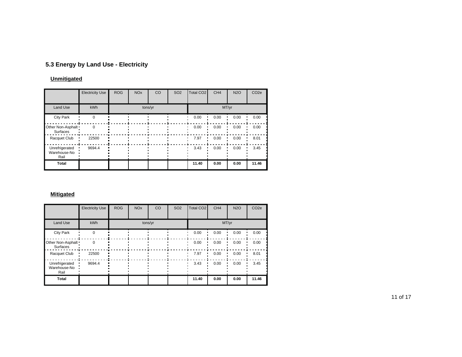# **5.3 Energy by Land Use - Electricity**

### **Unmitigated**

|                                        | <b>Electricity Use</b> | <b>ROG</b> | <b>NO<sub>x</sub></b> | CO      | <b>SO2</b> | Total CO <sub>2</sub> | CH <sub>4</sub> | <b>N2O</b> | CO <sub>2e</sub> |
|----------------------------------------|------------------------|------------|-----------------------|---------|------------|-----------------------|-----------------|------------|------------------|
| <b>Land Use</b>                        | <b>kWh</b>             |            |                       | tons/yr |            |                       |                 | MT/yr      |                  |
| City Park                              | $\Omega$               |            |                       |         |            | 0.00                  | 0.00            | 0.00       | 0.00             |
| Other Non-Asphalt<br>Surfaces          | $\Omega$               |            |                       |         |            | 0.00                  | 0.00            | 0.00       | 0.00             |
| Racquet Club                           | 22500                  |            |                       |         |            | 7.97                  | 0.00            | 0.00       | 8.01             |
| Unrefrigerated<br>Warehouse-No<br>Rail | 9694.4                 |            |                       |         |            | 3.43                  | 0.00            | 0.00       | 3.45             |
| <b>Total</b>                           |                        |            |                       |         |            | 11.40                 | 0.00            | 0.00       | 11.46            |

### **Mitigated**

|                                        | <b>Electricity Use</b> | <b>ROG</b> | <b>NO<sub>x</sub></b> | CO      | <b>SO2</b> | <b>Total CO2</b> | CH <sub>4</sub> | <b>N2O</b> | CO <sub>2e</sub> |
|----------------------------------------|------------------------|------------|-----------------------|---------|------------|------------------|-----------------|------------|------------------|
| Land Use                               | kWh                    |            |                       | tons/yr |            |                  |                 | MT/yr      |                  |
| <b>City Park</b>                       | $\Omega$               |            |                       |         |            | 0.00             | 0.00            | 0.00       | 0.00             |
| Other Non-Asphalt<br>Surfaces          | $\Omega$               |            |                       |         |            | 0.00             | 0.00            | 0.00       | 0.00             |
| Racquet Club                           | 22500                  |            |                       |         |            | 7.97             | 0.00            | 0.00       | 8.01             |
| Unrefrigerated<br>Warehouse-No<br>Rail | 9694.4                 |            |                       |         |            | 3.43             | 0.00            | 0.00       | 3.45             |
| Total                                  |                        |            |                       |         |            | 11.40            | 0.00            | 0.00       | 11.46            |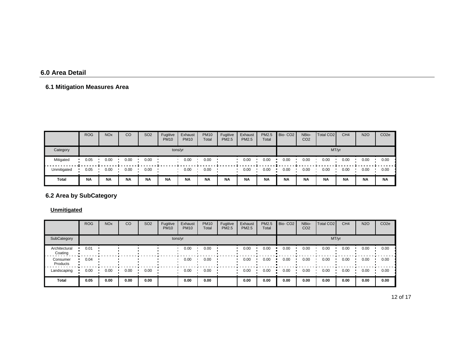#### **6.0 Area Detail**

# **6.1 Mitigation Measures Area**

|             | <b>ROG</b> | <b>NO<sub>x</sub></b> | CO        | SO <sub>2</sub> | Fugitive<br><b>PM10</b> | Exhaust<br><b>PM10</b> | <b>PM10</b><br>Total | Fugitive<br><b>PM2.5</b> | Exhaust<br><b>PM2.5</b> | PM2.5<br>Total | Bio-CO <sub>2</sub> | NBio-<br>CO <sub>2</sub> | Total CO <sub>2</sub> | CH <sub>4</sub> | <b>N2O</b> | CO <sub>2</sub> e |
|-------------|------------|-----------------------|-----------|-----------------|-------------------------|------------------------|----------------------|--------------------------|-------------------------|----------------|---------------------|--------------------------|-----------------------|-----------------|------------|-------------------|
| Category    |            |                       |           |                 |                         | tons/yr                |                      |                          |                         | MT/yr          |                     |                          |                       |                 |            |                   |
| Mitigated   | 0.05       | 0.00                  | 0.00      | 0.00            |                         | 0.00                   | 0.00                 |                          | 0.00                    | 0.00           | 0.00                | 0.00                     | 0.00                  | 0.00            | 0.00       | 0.00              |
| Unmitigated | 0.05       | 0.00                  | 0.00      | 0.00            |                         | 0.00                   | 0.00                 |                          | 0.00                    | 0.00           | 0.00                | 0.00                     | 0.00                  | 0.00            | 0.00       | 0.00              |
| Total       | <b>NA</b>  | <b>NA</b>             | <b>NA</b> | <b>NA</b>       | <b>NA</b>               | <b>NA</b>              | <b>NA</b>            | <b>NA</b>                | <b>NA</b>               | <b>NA</b>      | <b>NA</b>           | <b>NA</b>                | <b>NA</b>             | <b>NA</b>       | <b>NA</b>  | <b>NA</b>         |

# **6.2 Area by SubCategory**

**Unmitigated**

|                          | <b>ROG</b> | <b>NO<sub>x</sub></b> | CO   | SO <sub>2</sub> | Fugitive<br><b>PM10</b> | Exhaust<br><b>PM10</b> | <b>PM10</b><br>Total | Fugitive<br>PM2.5 | Exhaust<br><b>PM2.5</b> | <b>PM2.5</b><br>Total | Bio-CO <sub>2</sub> | NBio-<br>CO <sub>2</sub> | Total CO <sub>2</sub> | CH <sub>4</sub> | <b>N2O</b> | CO <sub>2e</sub> |
|--------------------------|------------|-----------------------|------|-----------------|-------------------------|------------------------|----------------------|-------------------|-------------------------|-----------------------|---------------------|--------------------------|-----------------------|-----------------|------------|------------------|
| SubCategory              |            |                       |      |                 | tons/yr                 |                        |                      |                   |                         |                       |                     |                          | MT/yr                 |                 |            |                  |
| Architectural<br>Coating | 0.01       |                       |      |                 |                         | 0.00                   | 0.00                 |                   | 0.00                    | 0.00                  | 0.00                | 0.00                     | 0.00                  | 0.00            | 0.00       | 0.00             |
| Consumer<br>Products     | 0.04       |                       |      |                 |                         | 0.00                   | 0.00                 |                   | 0.00                    | 0.00                  | 0.00                | 0.00                     | 0.00                  | 0.00            | 0.00       | 0.00             |
| Landscaping              | 0.00       | 0.00                  | 0.00 | 0.00            |                         | 0.00                   | 0.00                 |                   | 0.00                    | 0.00                  | 0.00                | 0.00                     | 0.00                  | 0.00            | 0.00       | 0.00             |
| <b>Total</b>             | 0.05       | 0.00                  | 0.00 | 0.00            |                         | 0.00                   | 0.00                 |                   | 0.00                    | 0.00                  | 0.00                | 0.00                     | 0.00                  | 0.00            | 0.00       | 0.00             |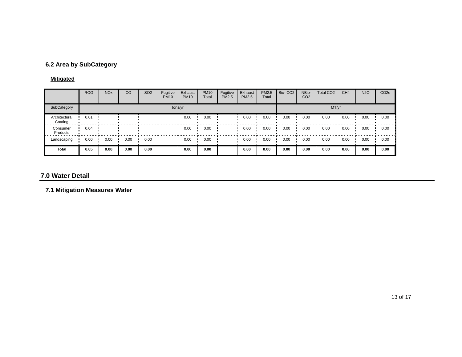## **6.2 Area by SubCategory**

## **Mitigated**

|                          | <b>ROG</b> | <b>NO<sub>x</sub></b> | CO   | SO <sub>2</sub> | Fugitive<br><b>PM10</b> | Exhaust<br><b>PM10</b> | <b>PM10</b><br>Total | Fugitive<br>PM2.5 | Exhaust<br>PM2.5 | PM2.5<br>Total | Bio-CO <sub>2</sub> | NBio-<br>CO <sub>2</sub> | Total CO <sub>2</sub> | CH <sub>4</sub> | <b>N2O</b> | CO <sub>2e</sub> |
|--------------------------|------------|-----------------------|------|-----------------|-------------------------|------------------------|----------------------|-------------------|------------------|----------------|---------------------|--------------------------|-----------------------|-----------------|------------|------------------|
| SubCategory              |            |                       |      |                 | tons/yr                 |                        |                      |                   |                  |                |                     |                          | MT/yr                 |                 |            |                  |
| Architectural<br>Coating | 0.01       |                       |      |                 |                         | 0.00                   | 0.00                 |                   | 0.00             | 0.00           | 0.00                | 0.00                     | 0.00                  | 0.00            | 0.00       | 0.00             |
| Consumer<br>Products     | 0.04       |                       |      |                 |                         | 0.00                   | 0.00                 |                   | 0.00             | 0.00           | 0.00                | 0.00                     | 0.00                  | 0.00            | 0.00       | 0.00             |
| Landscaping              | 0.00       | 0.00                  | 0.00 | 0.00            |                         | 0.00                   | 0.00                 |                   | 0.00             | 0.00           | 0.00                | 0.00                     | 0.00                  | 0.00            | 0.00       | 0.00             |
| Total                    | 0.05       | 0.00                  | 0.00 | 0.00            |                         | 0.00                   | 0.00                 |                   | 0.00             | 0.00           | 0.00                | 0.00                     | 0.00                  | 0.00            | 0.00       | 0.00             |

#### **7.0 Water Detail**

**7.1 Mitigation Measures Water**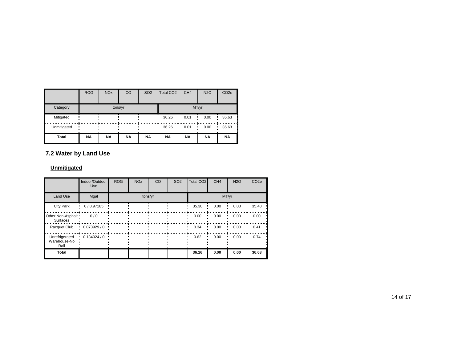|             | <b>ROG</b> | <b>NO<sub>x</sub></b> | CO        | <b>SO2</b> | Total CO <sub>2</sub> | CH <sub>4</sub> | <b>N2O</b> | CO <sub>2e</sub> |  |  |
|-------------|------------|-----------------------|-----------|------------|-----------------------|-----------------|------------|------------------|--|--|
| Category    |            |                       | tons/yr   |            | MT/yr                 |                 |            |                  |  |  |
| Mitigated   |            |                       |           |            | 36.26<br>٠            | 0.01            | 0.00       | 36.63            |  |  |
| Unmitigated |            |                       |           |            | 36.26<br>٠            | 0.01            | 0.00       | 36.63            |  |  |
| Total       | <b>NA</b>  | <b>NA</b>             | <b>NA</b> | <b>NA</b>  | <b>NA</b>             | <b>NA</b>       | <b>NA</b>  | <b>NA</b>        |  |  |

## **7.2 Water by Land Use**

### **Unmitigated**

|                                        | Indoor/Outdoor<br>Use | <b>ROG</b> | <b>NO<sub>x</sub></b> | <b>CO</b> | <b>SO2</b> | Total CO <sub>2</sub> | CH <sub>4</sub> | <b>N2O</b> | CO <sub>2e</sub> |  |
|----------------------------------------|-----------------------|------------|-----------------------|-----------|------------|-----------------------|-----------------|------------|------------------|--|
| <b>Land Use</b>                        | Mgal                  |            |                       | tons/yr   |            | MT/yr                 |                 |            |                  |  |
| <b>City Park</b>                       | 0/8.97185             |            |                       |           |            | 35.30                 | 0.00            | 0.00       | 35.48            |  |
| Other Non-Asphalt<br>Surfaces          | 0/0                   |            |                       |           |            | 0.00                  | 0.00            | 0.00       | 0.00             |  |
| Racquet Club                           | 0.073929/0            |            |                       |           |            | 0.34                  | 0.00            | 0.00       | 0.41             |  |
| Unrefrigerated<br>Warehouse-No<br>Rail | 0.134024/0            |            |                       |           |            | 0.62                  | 0.00            | 0.00       | 0.74             |  |
| Total                                  |                       |            |                       |           |            | 36.26                 | 0.00            | 0.00       | 36.63            |  |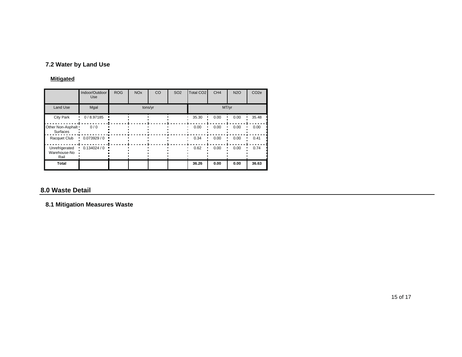## **7.2 Water by Land Use**

## **Mitigated**

|                                        | Indoor/Outdoor<br>Use | <b>ROG</b> | <b>NO<sub>x</sub></b> | CO      | <b>SO2</b> | Total CO <sub>2</sub> | CH <sub>4</sub> | <b>N2O</b> | CO <sub>2e</sub> |
|----------------------------------------|-----------------------|------------|-----------------------|---------|------------|-----------------------|-----------------|------------|------------------|
| <b>Land Use</b>                        | Mgal                  |            |                       | tons/yr |            |                       |                 | MT/yr      |                  |
| <b>City Park</b>                       | 0/8.97185             |            |                       |         |            | 35.30                 | 0.00            | 0.00       | 35.48            |
| Other Non-Asphalt<br>Surfaces          | 0/0                   |            |                       |         |            | 0.00                  | 0.00            | 0.00       | 0.00             |
| Racquet Club                           | 0.073929/0            |            |                       |         |            | 0.34                  | 0.00            | 0.00       | 0.41             |
| Unrefrigerated<br>Warehouse-No<br>Rail | 0.134024/0            |            |                       |         |            | 0.62                  | 0.00            | 0.00       | 0.74             |
| Total                                  |                       |            |                       |         |            | 36.26                 | 0.00            | 0.00       | 36.63            |

## **8.0 Waste Detail**

# **8.1 Mitigation Measures Waste**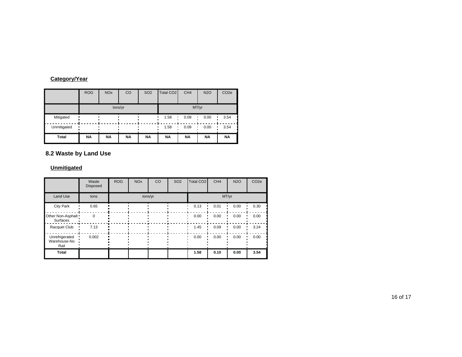## **Category/Year**

|             | <b>ROG</b> | <b>NO<sub>x</sub></b> | CO        | <b>SO2</b> | Total CO <sub>2</sub> | CH <sub>4</sub> | <b>N2O</b> | CO <sub>2e</sub> |  |  |
|-------------|------------|-----------------------|-----------|------------|-----------------------|-----------------|------------|------------------|--|--|
|             |            | tons/yr               |           |            | MT/yr                 |                 |            |                  |  |  |
| Mitigated   |            |                       |           |            | 1.58                  | 0.09            | 0.00       | 3.54             |  |  |
| Unmitigated |            |                       |           |            | 1.58<br>٠             | 0.09            | 0.00<br>٠  | 3.54             |  |  |
| Total       | <b>NA</b>  | <b>NA</b>             | <b>NA</b> | <b>NA</b>  | <b>NA</b>             | <b>NA</b>       | <b>NA</b>  | <b>NA</b>        |  |  |

## **8.2 Waste by Land Use**

### **Unmitigated**

|                                        | Waste<br><b>Disposed</b> | <b>ROG</b> | <b>NO<sub>x</sub></b> | <b>CO</b> | SO <sub>2</sub> | <b>Total CO2</b> | CH <sub>4</sub> | <b>N2O</b> | CO <sub>2e</sub> |
|----------------------------------------|--------------------------|------------|-----------------------|-----------|-----------------|------------------|-----------------|------------|------------------|
| Land Use                               | tons                     |            |                       | tons/yr   |                 | MT/yr            |                 |            |                  |
| City Park                              | 0.65                     |            |                       |           |                 | 0.13             | 0.01            | 0.00       | 0.30             |
| Other Non-Asphalt<br>Surfaces          | $\Omega$                 |            |                       |           |                 | 0.00             | 0.00            | 0.00       | 0.00             |
| Racquet Club                           | 7.13                     |            |                       |           |                 | 1.45             | 0.09            | 0.00       | 3.24             |
| Unrefrigerated<br>Warehouse-No<br>Rail | 0.002                    |            |                       |           |                 | 0.00             | 0.00            | 0.00       | 0.00             |
| Total                                  |                          |            |                       |           |                 | 1.58             | 0.10            | 0.00       | 3.54             |